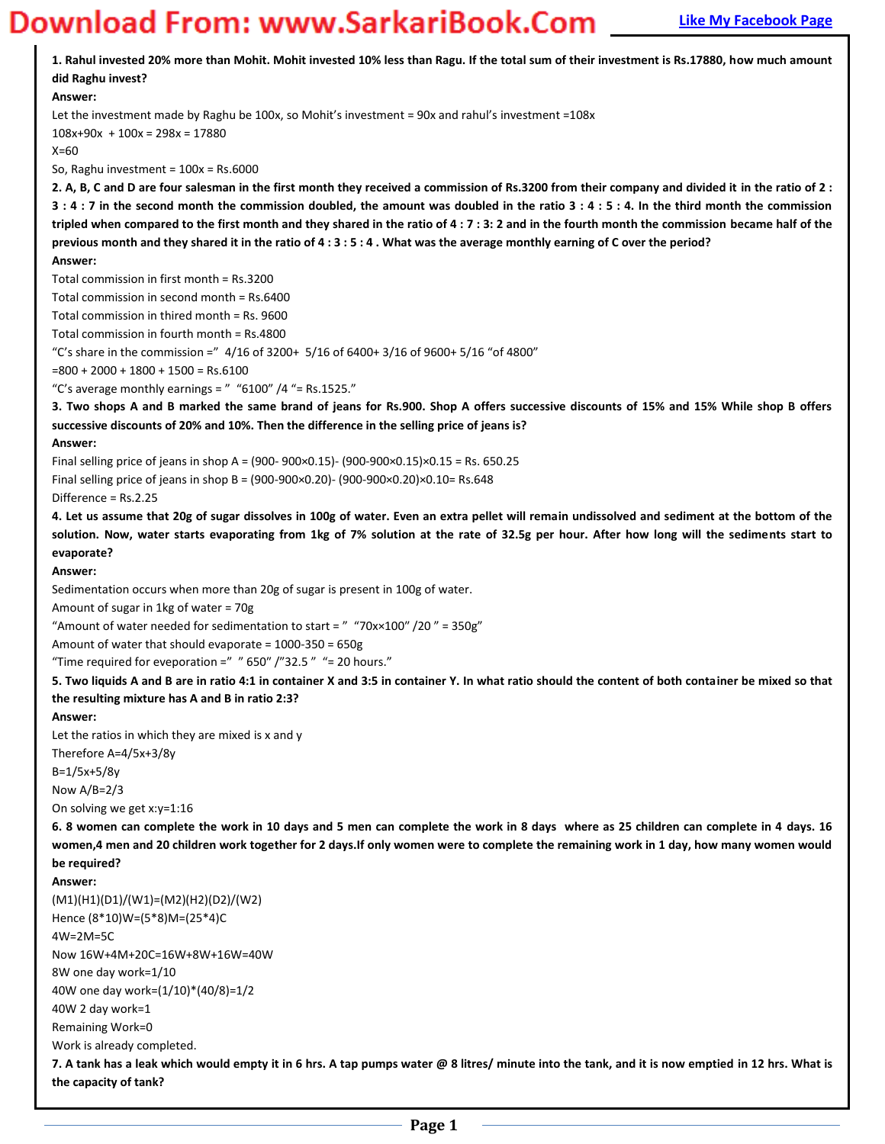# **Magnum** Bank Bank Example **20 WORD 2010 Page Download From: WWW.SarkariBook.Com**

| wilioau i i ollii, www.jalkalibook.com                                                                                                                           |
|------------------------------------------------------------------------------------------------------------------------------------------------------------------|
| 1. Rahul invested 20% more than Mohit. Mohit invested 10% less than Ragu. If the total sum of their investment is Rs.17880, how much amount<br>did Raghu invest? |
| Answer:                                                                                                                                                          |
| Let the investment made by Raghu be 100x, so Mohit's investment = 90x and rahul's investment = 108x                                                              |
| $108x+90x + 100x = 298x = 17880$                                                                                                                                 |
| $X=60$                                                                                                                                                           |
| So, Raghu investment = $100x = Rs.6000$                                                                                                                          |
| 2. A, B, C and D are four salesman in the first month they received a commission of Rs.3200 from their company and divided it in the ratio of 2:                 |
|                                                                                                                                                                  |
| 3:4:7 in the second month the commission doubled, the amount was doubled in the ratio 3:4:5:4. In the third month the commission                                 |
| tripled when compared to the first month and they shared in the ratio of 4:7:3:2 and in the fourth month the commission became half of the                       |
| previous month and they shared it in the ratio of 4:3:5:4. What was the average monthly earning of C over the period?                                            |
| Answer:                                                                                                                                                          |
| Total commission in first month = Rs.3200                                                                                                                        |
| Total commission in second month = Rs.6400                                                                                                                       |
| Total commission in thired month = Rs. 9600                                                                                                                      |
| Total commission in fourth month = Rs.4800                                                                                                                       |
| "C's share in the commission =" $4/16$ of 3200+ 5/16 of 6400+ 3/16 of 9600+ 5/16 "of 4800"                                                                       |
| $= 800 + 2000 + 1800 + 1500 =$ Rs.6100                                                                                                                           |
| "C's average monthly earnings = $"$ "6100" /4 "= Rs.1525."                                                                                                       |
| 3. Two shops A and B marked the same brand of jeans for Rs.900. Shop A offers successive discounts of 15% and 15% While shop B offers                            |
| successive discounts of 20% and 10%. Then the difference in the selling price of jeans is?                                                                       |
|                                                                                                                                                                  |
| Answer:                                                                                                                                                          |
| Final selling price of jeans in shop A = $(900-900 \times 0.15)$ - $(900-900 \times 0.15) \times 0.15$ = Rs. 650.25                                              |
| Final selling price of jeans in shop B = (900-900×0.20)- (900-900×0.20)×0.10= Rs.648                                                                             |
| Difference = Rs.2.25                                                                                                                                             |
| 4. Let us assume that 20g of sugar dissolves in 100g of water. Even an extra pellet will remain undissolved and sediment at the bottom of the                    |
| solution. Now, water starts evaporating from 1kg of 7% solution at the rate of 32.5g per hour. After how long will the sediments start to                        |
| evaporate?                                                                                                                                                       |
| Answer:                                                                                                                                                          |
| Sedimentation occurs when more than 20g of sugar is present in 100g of water.                                                                                    |
| Amount of sugar in 1kg of water = 70g                                                                                                                            |
| "Amount of water needed for sedimentation to start = $"$ "70x×100" /20" = 350g"                                                                                  |
| Amount of water that should evaporate = 1000-350 = 650g                                                                                                          |
| "Time required for eveporation =" $"$ 650" /"32.5" "= 20 hours."                                                                                                 |
| 5. Two liquids A and B are in ratio 4:1 in container X and 3:5 in container Y. In what ratio should the content of both container be mixed so that               |
|                                                                                                                                                                  |
| the resulting mixture has A and B in ratio 2:3?                                                                                                                  |
| Answer:                                                                                                                                                          |
| Let the ratios in which they are mixed is x and y                                                                                                                |
| Therefore A=4/5x+3/8y                                                                                                                                            |
| $B = 1/5x + 5/8y$                                                                                                                                                |
| Now $A/B=2/3$                                                                                                                                                    |
| On solving we get x:y=1:16                                                                                                                                       |
| 6. 8 women can complete the work in 10 days and 5 men can complete the work in 8 days where as 25 children can complete in 4 days. 16                            |
| women,4 men and 20 children work together for 2 days. If only women were to complete the remaining work in 1 day, how many women would                           |
| be required?                                                                                                                                                     |
| Answer:                                                                                                                                                          |
| $(M1)(H1)(D1)/(W1)=(M2)(H2)(D2)/(W2)$                                                                                                                            |
| Hence (8*10)W=(5*8)M=(25*4)C                                                                                                                                     |
| $4W=2M=5C$                                                                                                                                                       |
|                                                                                                                                                                  |
| Now 16W+4M+20C=16W+8W+16W=40W                                                                                                                                    |
| 8W one day work=1/10                                                                                                                                             |
| 40W one day work=(1/10)*(40/8)=1/2                                                                                                                               |
| 40W 2 day work=1                                                                                                                                                 |
| Remaining Work=0                                                                                                                                                 |
| Work is already completed.                                                                                                                                       |
| 7. A tank has a leak which would empty it in 6 hrs. A tap pumps water @ 8 litres/ minute into the tank, and it is now emptied in 12 hrs. What is                 |

**the capacity of tank?**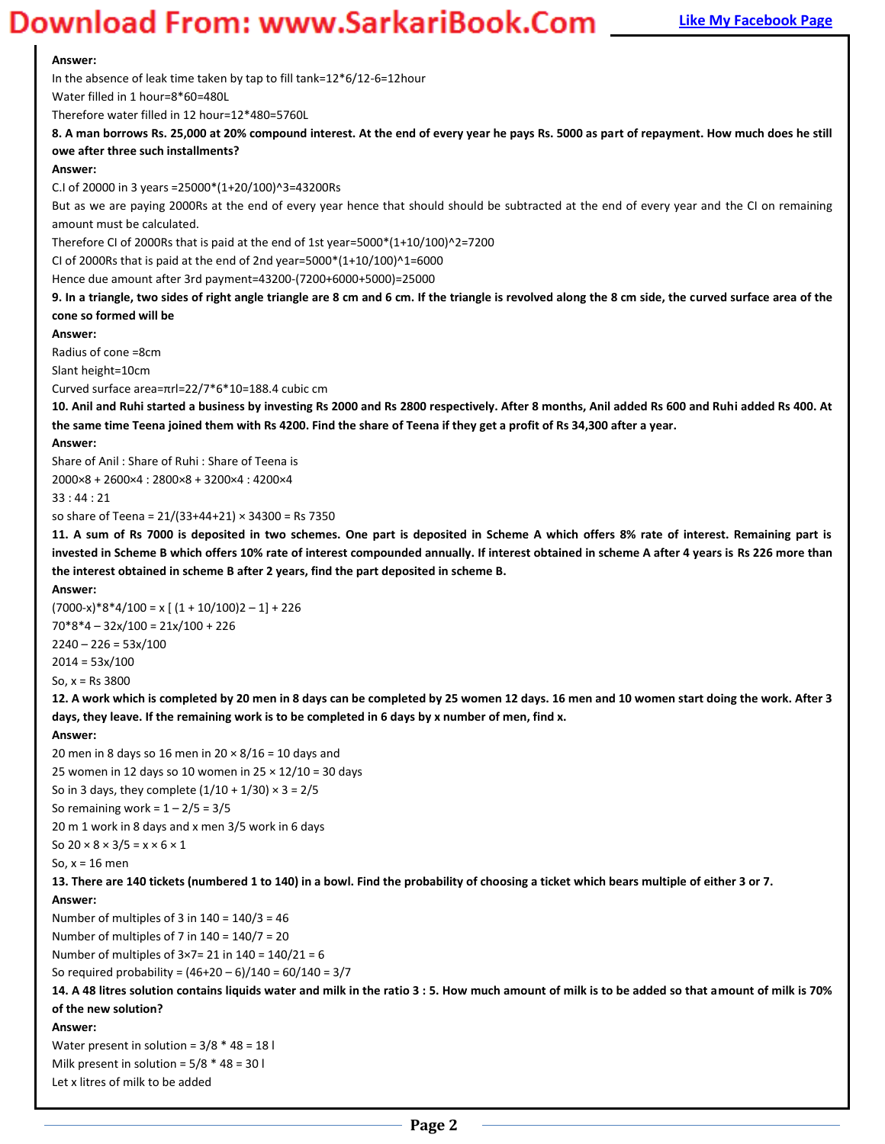### **Magnus Bank Example 20 You Bank Apple 2011 Magnus 2013 Apple 2013 Page Digital Page 10 You Bage 2013 Page 10 You Bage 2013 Page 2013 Page 2013 Page 2014 Page 2014 Page 2014 Page 2014 Page 2014 Page 2014 Page 2014 Page 201**

#### **Answer:**

In the absence of leak time taken by tap to fill tank=12\*6/12-6=12hour

Water filled in 1 hour=8\*60=480L

Therefore water filled in 12 hour=12\*480=5760L

**8. A man borrows Rs. 25,000 at 20% compound interest. At the end of every year he pays Rs. 5000 as part of repayment. How much does he still owe after three such installments?** 

#### **Answer:**

C.I of 20000 in 3 years =25000\*(1+20/100)^3=43200Rs

But as we are paying 2000Rs at the end of every year hence that should should be subtracted at the end of every year and the CI on remaining amount must be calculated.

Therefore CI of 2000Rs that is paid at the end of 1st year=5000 $*(1+10/100)^2$ =7200

CI of 2000Rs that is paid at the end of 2nd year=5000\*(1+10/100)^1=6000

Hence due amount after 3rd payment=43200-(7200+6000+5000)=25000

**9. In a triangle, two sides of right angle triangle are 8 cm and 6 cm. If the triangle is revolved along the 8 cm side, the curved surface area of the cone so formed will be** 

#### **Answer:**

Radius of cone =8cm

Slant height=10cm

Curved surface area=πrl=22/7\*6\*10=188.4 cubic cm

**10. Anil and Ruhi started a business by investing Rs 2000 and Rs 2800 respectively. After 8 months, Anil added Rs 600 and Ruhi added Rs 400. At the same time Teena joined them with Rs 4200. Find the share of Teena if they get a profit of Rs 34,300 after a year.**

#### **Answer:**

Share of Anil : Share of Ruhi : Share of Teena is

2000×8 + 2600×4 : 2800×8 + 3200×4 : 4200×4

33 : 44 : 21

so share of Teena = 21/(33+44+21) × 34300 = Rs 7350

**11. A sum of Rs 7000 is deposited in two schemes. One part is deposited in Scheme A which offers 8% rate of interest. Remaining part is invested in Scheme B which offers 10% rate of interest compounded annually. If interest obtained in scheme A after 4 years is Rs 226 more than the interest obtained in scheme B after 2 years, find the part deposited in scheme B.** 

#### **Answer:**

 $(7000-x)*8*4/100 = x [(1 + 10/100)2 - 1] + 226$ 70\*8\*4 – 32x/100 = 21x/100 + 226  $2240 - 226 = 53x/100$  $2014 = 53x/100$ So,  $x = Rs 3800$ 

**12. A work which is completed by 20 men in 8 days can be completed by 25 women 12 days. 16 men and 10 women start doing the work. After 3 days, they leave. If the remaining work is to be completed in 6 days by x number of men, find x.** 

#### **Answer:**

20 men in 8 days so 16 men in 20  $\times$  8/16 = 10 days and 25 women in 12 days so 10 women in  $25 \times 12/10 = 30$  days So in 3 days, they complete  $(1/10 + 1/30) \times 3 = 2/5$ So remaining work =  $1 - 2/5 = 3/5$ 20 m 1 work in 8 days and x men 3/5 work in 6 days

### So  $20 \times 8 \times 3/5 = x \times 6 \times 1$

So, x = 16 men

**13. There are 140 tickets (numbered 1 to 140) in a bowl. Find the probability of choosing a ticket which bears multiple of either 3 or 7.** 

**Answer:** 

Number of multiples of 3 in  $140 = 140/3 = 46$ 

Number of multiples of 7 in  $140 = 140/7 = 20$ 

Number of multiples of  $3 \times 7 = 21$  in  $140 = 140/21 = 6$ 

So required probability =  $(46+20-6)/140 = 60/140 = 3/7$ 

**14. A 48 litres solution contains liquids water and milk in the ratio 3 : 5. How much amount of milk is to be added so that amount of milk is 70% of the new solution?** 

#### **Answer:**

Water present in solution =  $3/8 * 48 = 18$  l Milk present in solution = 5/8 \* 48 = 30 l Let x litres of milk to be added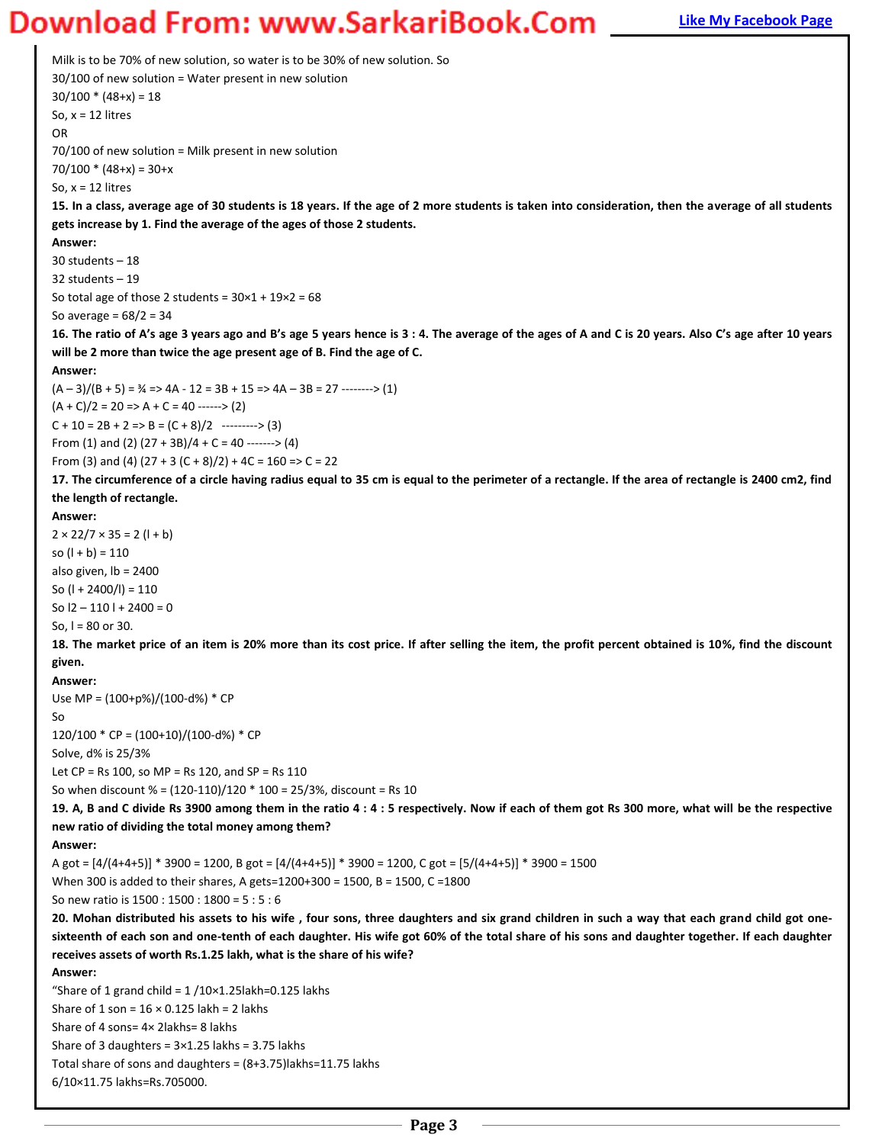### **Magnus Bank Example 20 You Bank Apple 2011 Magnus 2015 2016 Page Diggs Page Bank Page 10 You Bank Page 10 You Bank Page**

Milk is to be 70% of new solution, so water is to be 30% of new solution. So 30/100 of new solution = Water present in new solution  $30/100 * (48+x) = 18$ So,  $x = 12$  litres OR 70/100 of new solution = Milk present in new solution  $70/100 * (48+x) = 30+x$ So,  $x = 12$  litres **15. In a class, average age of 30 students is 18 years. If the age of 2 more students is taken into consideration, then the average of all students gets increase by 1. Find the average of the ages of those 2 students. Answer:**  30 students – 18 32 students – 19 So total age of those 2 students =  $30 \times 1 + 19 \times 2 = 68$ So average =  $68/2 = 34$ 16. The ratio of A's age 3 years ago and B's age 5 years hence is 3 : 4. The average of the ages of A and C is 20 years. Also C's age after 10 years **will be 2 more than twice the age present age of B. Find the age of C. Answer:**   $(A-3)/(B+5) = \frac{3}{4}$  => 4A - 12 = 3B + 15 => 4A - 3B = 27 --------> (1)  $(A + C)/2 = 20 \Rightarrow A + C = 40$  ------> (2)  $C + 10 = 2B + 2 \Rightarrow B = (C + 8)/2$  --------> (3) From (1) and (2)  $(27 + 3B)/4 + C = 40$  -------> (4) From (3) and (4) (27 + 3 (C + 8)/2) + 4C = 160 => C = 22 **17. The circumference of a circle having radius equal to 35 cm is equal to the perimeter of a rectangle. If the area of rectangle is 2400 cm2, find the length of rectangle. Answer:**   $2 \times 22/7 \times 35 = 2 (1 + b)$ so  $(l + b) = 110$ also given, lb = 2400 So (l + 2400/l) = 110 So  $12 - 110 + 2400 = 0$ So,  $I = 80$  or 30. **18. The market price of an item is 20% more than its cost price. If after selling the item, the profit percent obtained is 10%, find the discount given. Answer:**  Use MP = (100+p%)/(100-d%) \* CP So  $120/100 * CP = (100+10)/(100-d%) * CP$ Solve, d% is 25/3% Let  $CP = Rs 100$ , so  $MP = Rs 120$ , and  $SP = Rs 110$ So when discount % = (120-110)/120 \* 100 = 25/3%, discount = Rs 10 **19. A, B and C divide Rs 3900 among them in the ratio 4 : 4 : 5 respectively. Now if each of them got Rs 300 more, what will be the respective new ratio of dividing the total money among them? Answer:** A got = [4/(4+4+5)] \* 3900 = 1200, B got = [4/(4+4+5)] \* 3900 = 1200, C got = [5/(4+4+5)] \* 3900 = 1500 When 300 is added to their shares, A gets=1200+300 = 1500, B = 1500, C =1800 So new ratio is 1500 : 1500 : 1800 = 5 : 5 : 6 **20. Mohan distributed his assets to his wife , four sons, three daughters and six grand children in such a way that each grand child got onesixteenth of each son and one-tenth of each daughter. His wife got 60% of the total share of his sons and daughter together. If each daughter receives assets of worth Rs.1.25 lakh, what is the share of his wife? Answer:**  "Share of 1 grand child =  $1/10\times1.25$ lakh=0.125 lakhs Share of 1 son =  $16 \times 0.125$  lakh = 2 lakhs Share of 4 sons= 4× 2lakhs= 8 lakhs Share of 3 daughters =  $3 \times 1.25$  lakhs = 3.75 lakhs Total share of sons and daughters =  $(8+3.75)$ lakhs=11.75 lakhs 6/10×11.75 lakhs=Rs.705000.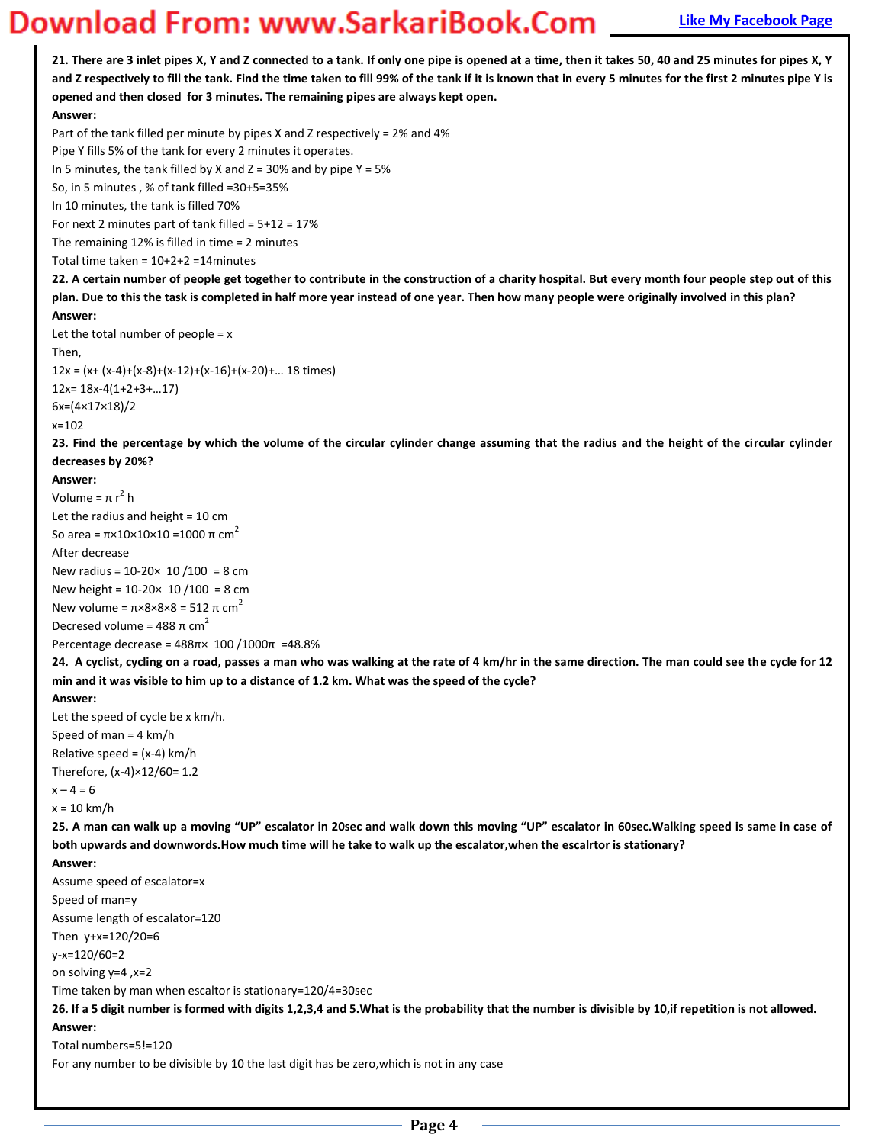**21. There are 3 inlet pipes X, Y and Z connected to a tank. If only one pipe is opened at a time, then it takes 50, 40 and 25 minutes for pipes X, Y and Z respectively to fill the tank. Find the time taken to fill 99% of the tank if it is known that in every 5 minutes for the first 2 minutes pipe Y is opened and then closed for 3 minutes. The remaining pipes are always kept open.** 

### **Answer:**

Part of the tank filled per minute by pipes X and Z respectively = 2% and 4%

Pipe Y fills 5% of the tank for every 2 minutes it operates.

In 5 minutes, the tank filled by X and  $Z = 30\%$  and by pipe Y = 5%

So, in 5 minutes , % of tank filled =30+5=35%

In 10 minutes, the tank is filled 70%

For next 2 minutes part of tank filled =  $5+12 = 17%$ 

The remaining 12% is filled in time = 2 minutes

Total time taken = 10+2+2 =14minutes

**22. A certain number of people get together to contribute in the construction of a charity hospital. But every month four people step out of this plan. Due to this the task is completed in half more year instead of one year. Then how many people were originally involved in this plan? Answer:** 

### Let the total number of people  $= x$

Then,

 $12x = (x+(x-4)+(x-8)+(x-12)+(x-16)+(x-20)+...$  18 times)  $12x= 18x-4(1+2+3+...17)$ 

6x=(4×17×18)/2

#### x=102

**23. Find the percentage by which the volume of the circular cylinder change assuming that the radius and the height of the circular cylinder decreases by 20%?** 

#### **Answer:**

Volume =  $\pi r^2$  h Let the radius and height = 10 cm So area =  $\pi$ ×10×10×10 = 1000  $\pi$  cm<sup>2</sup> After decrease New radius =  $10-20 \times 10 / 100 = 8$  cm New height = 10-20× 10 /100 = 8 cm New volume =  $\pi \times 8 \times 8 \times 8 = 512 \pi \text{ cm}^2$ Decresed volume =  $488 \pi \text{ cm}^2$ 

Percentage decrease =  $488π × 100 / 1000π$  = 48.8%

**24. A cyclist, cycling on a road, passes a man who was walking at the rate of 4 km/hr in the same direction. The man could see the cycle for 12 min and it was visible to him up to a distance of 1.2 km. What was the speed of the cycle?** 

#### **Answer:**

Let the speed of cycle be x km/h. Speed of man = 4 km/h Relative speed =  $(x-4)$  km/h Therefore, (x-4)×12/60= 1.2  $x - 4 = 6$ 

 $x = 10$  km/h

25. A man can walk up a moving "UP" escalator in 20sec and walk down this moving "UP" escalator in 60sec.Walking speed is same in case of **both upwards and downwords.How much time will he take to walk up the escalator,when the escalrtor is stationary?** 

#### **Answer:**

Assume speed of escalator=x Speed of man=y Assume length of escalator=120 Then y+x=120/20=6 y-x=120/60=2 on solving y=4 ,x=2 Time taken by man when escaltor is stationary=120/4=30sec **26. If a 5 digit number is formed with digits 1,2,3,4 and 5.What is the probability that the number is divisible by 10,if repetition is not allowed. Answer:**  Total numbers=5!=120

For any number to be divisible by 10 the last digit has be zero,which is not in any case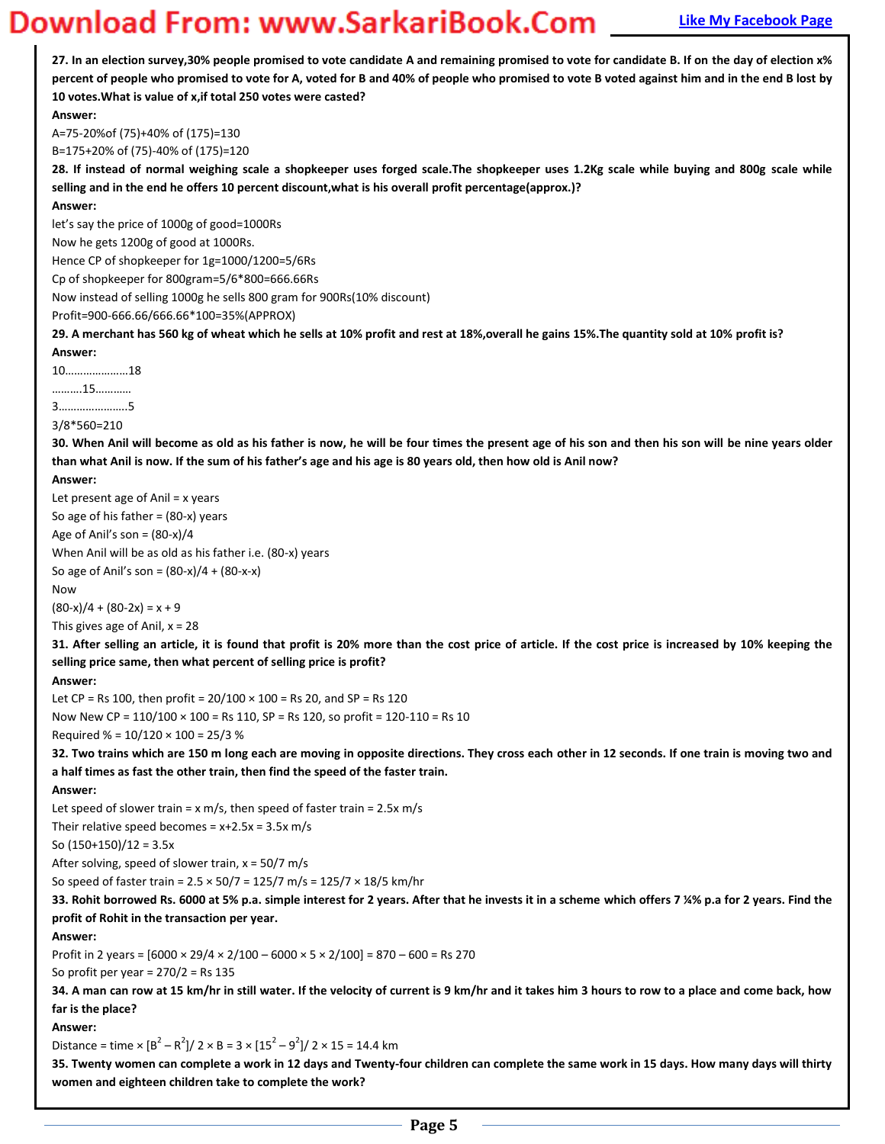**[Mentor for Bank Exams](http://www.mentorforbankexams.com/) QUANTITATIVE APTITUDE – 250 WORD PROBLEMS [Like My Facebook Page](http://www.facebook.com/munipallisairam) 27. In an election survey,30% people promised to vote candidate A and remaining promised to vote for candidate B. If on the day of election x% percent of people who promised to vote for A, voted for B and 40% of people who promised to vote B voted against him and in the end B lost by 10 votes.What is value of x,if total 250 votes were casted? Answer:**  A=75-20%of (75)+40% of (175)=130 B=175+20% of (75)-40% of (175)=120 **28. If instead of normal weighing scale a shopkeeper uses forged scale.The shopkeeper uses 1.2Kg scale while buying and 800g scale while selling and in the end he offers 10 percent discount,what is his overall profit percentage(approx.)? Answer:**  let's say the price of 1000g of good=1000Rs Now he gets 1200g of good at 1000Rs. Hence CP of shopkeeper for 1g=1000/1200=5/6Rs Cp of shopkeeper for 800gram=5/6\*800=666.66Rs Now instead of selling 1000g he sells 800 gram for 900Rs(10% discount) Profit=900-666.66/666.66\*100=35%(APPROX) **29. A merchant has 560 kg of wheat which he sells at 10% profit and rest at 18%,overall he gains 15%.The quantity sold at 10% profit is? Answer:**   $10$ ...........................18 ………..15………… ϯ…………………..ϱ 3/8\*560=210 **30. When Anil will become as old as his father is now, he will be four times the present age of his son and then his son will be nine years older**  than what Anil is now. If the sum of his father's age and his age is 80 years old, then how old is Anil now? **Answer:**  Let present age of Anil = x years So age of his father  $=$  (80-x) years Age of Anil's son =  $(80-x)/4$ When Anil will be as old as his father i.e. (80-x) years So age of Anil's son =  $(80-x)/4 + (80-x-x)$ Now  $(80-x)/4 + (80-2x) = x + 9$ This gives age of Anil,  $x = 28$ **31. After selling an article, it is found that profit is 20% more than the cost price of article. If the cost price is increased by 10% keeping the selling price same, then what percent of selling price is profit? Answer:**  Let CP = Rs 100, then profit =  $20/100 \times 100$  = Rs 20, and SP = Rs 120 Now New CP = 110/100 × 100 = Rs 110, SP = Rs 120, so profit = 120-110 = Rs 10 Required % =  $10/120 \times 100 = 25/3$  % **32. Two trains which are 150 m long each are moving in opposite directions. They cross each other in 12 seconds. If one train is moving two and a half times as fast the other train, then find the speed of the faster train. Answer:**  Let speed of slower train =  $x$  m/s, then speed of faster train = 2.5 $x$  m/s Their relative speed becomes =  $x+2.5x = 3.5x$  m/s So  $(150+150)/12 = 3.5x$ After solving, speed of slower train,  $x = 50/7$  m/s So speed of faster train = 2.5 × 50/7 = 125/7 m/s = 125/7 × 18/5 km/hr **33. Rohit borrowed Rs. 6000 at 5% p.a. simple interest for 2 years. After that he invests it in a scheme which offers 7 ¼% p.a for 2 years. Find the profit of Rohit in the transaction per year. Answer:**  Profit in 2 years =  $[6000 \times 29/4 \times 2/100 - 6000 \times 5 \times 2/100] = 870 - 600 =$  Rs 270 So profit per year =  $270/2$  = Rs 135 **34. A man can row at 15 km/hr in still water. If the velocity of current is 9 km/hr and it takes him 3 hours to row to a place and come back, how far is the place? Answer:**  Distance = time  $\times$   $\frac{B^2 - R^2}{2 \times B} = 3 \times \frac{[15^2 - 9^2]}{2 \times 15} = 14.4$  km **35. Twenty women can complete a work in 12 days and Twenty-four children can complete the same work in 15 days. How many days will thirty women and eighteen children take to complete the work?**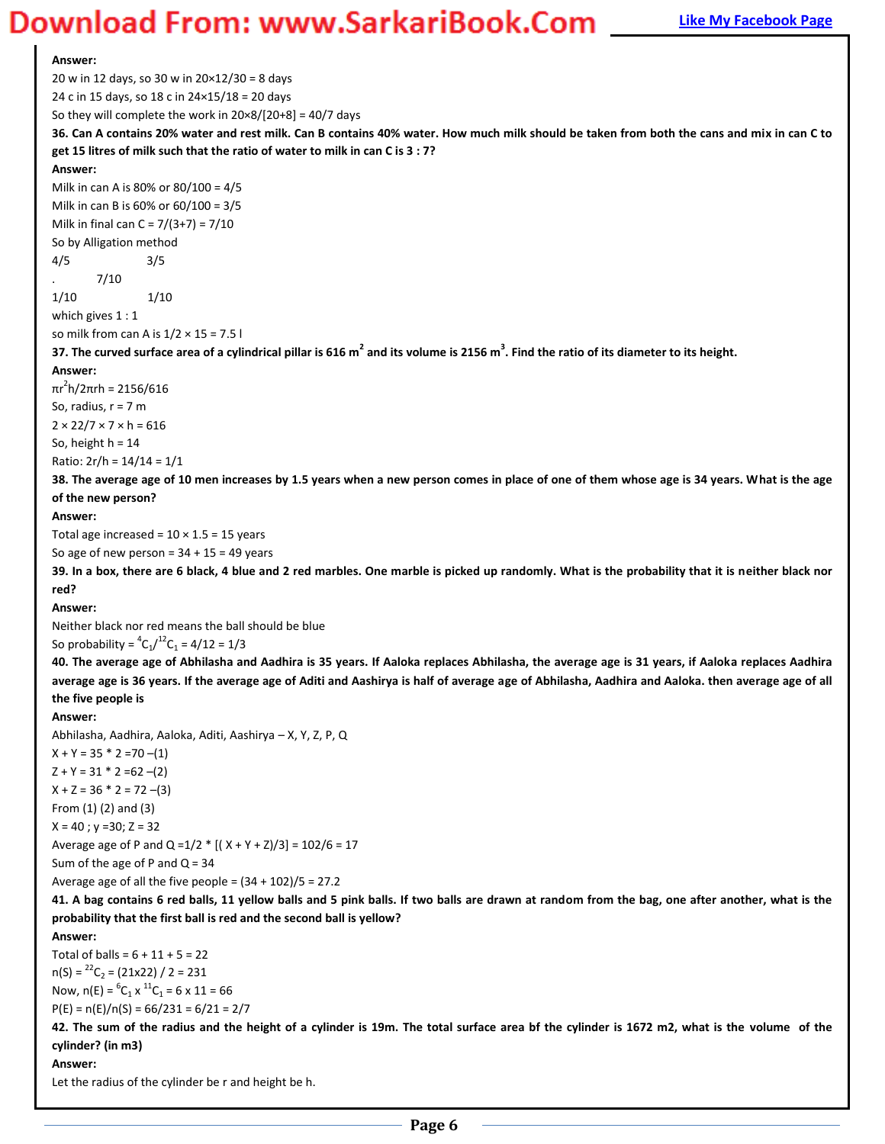**Answer:**  20 w in 12 days, so 30 w in 20×12/30 = 8 days 24 c in 15 days, so 18 c in 24×15/18 = 20 days So they will complete the work in 20×8/[20+8] = 40/7 days **36. Can A contains 20% water and rest milk. Can B contains 40% water. How much milk should be taken from both the cans and mix in can C to get 15 litres of milk such that the ratio of water to milk in can C is 3 : 7? Answer:**  Milk in can A is 80% or 80/100 = 4/5 Milk in can B is 60% or 60/100 = 3/5 Milk in final can  $C = 7/(3+7) = 7/10$ So by Alligation method 4/5 3/5 . 7/10 1/10 1/10 which gives  $1:1$ so milk from can A is  $1/2 \times 15 = 7.5$  l **37. The curved surface area of a cylindrical pillar is 616 m<sup>2</sup> and its volume is 2156 m<sup>3</sup> . Find the ratio of its diameter to its height. Answer:**  πr $^2$ h/2πrh = 2156/616 So, radius,  $r = 7$  m  $2 \times 22/7 \times 7 \times h = 616$ So, height  $h = 14$ Ratio: 2r/h = 14/14 = 1/1 **38. The average age of 10 men increases by 1.5 years when a new person comes in place of one of them whose age is 34 years. What is the age of the new person? Answer:**  Total age increased =  $10 \times 1.5 = 15$  years So age of new person =  $34 + 15 = 49$  years **39. In a box, there are 6 black, 4 blue and 2 red marbles. One marble is picked up randomly. What is the probability that it is neither black nor red? Answer:**  Neither black nor red means the ball should be blue So probability =  ${}^4C_1/{}^{12}C_1$  = 4/12 = 1/3 **40. The average age of Abhilasha and Aadhira is 35 years. If Aaloka replaces Abhilasha, the average age is 31 years, if Aaloka replaces Aadhira average age is 36 years. If the average age of Aditi and Aashirya is half of average age of Abhilasha, Aadhira and Aaloka. then average age of all the five people is Answer:**  Abhilasha, Aadhira, Aaloka, Aditi, Aashirya – X, Y, Z, P, Q  $X + Y = 35 * 2 = 70$  –(1)  $Z + Y = 31 * 2 = 62 - (2)$  $X + Z = 36 * 2 = 72$  –(3) From (1) (2) and (3)  $X = 40$ ;  $y = 30$ ;  $Z = 32$ Average age of P and Q =  $1/2$  \* [( X + Y + Z)/3] =  $102/6$  = 17 Sum of the age of P and  $Q = 34$ Average age of all the five people =  $(34 + 102)/5 = 27.2$ **41. A bag contains 6 red balls, 11 yellow balls and 5 pink balls. If two balls are drawn at random from the bag, one after another, what is the probability that the first ball is red and the second ball is yellow? Answer:**  Total of balls =  $6 + 11 + 5 = 22$  $n(S) = {}^{22}C_2 = (21x22) / 2 = 231$ Now,  $n(E) = {^{6}}C_1 \times {^{11}}C_1 = 6 \times 11 = 66$  $P(E) = n(E)/n(S) = 66/231 = 6/21 = 2/7$ **42. The sum of the radius and the height of a cylinder is 19m. The total surface area bf the cylinder is 1672 m2, what is the volume of the cylinder? (in m3) Answer:**  Let the radius of the cylinder be r and height be h.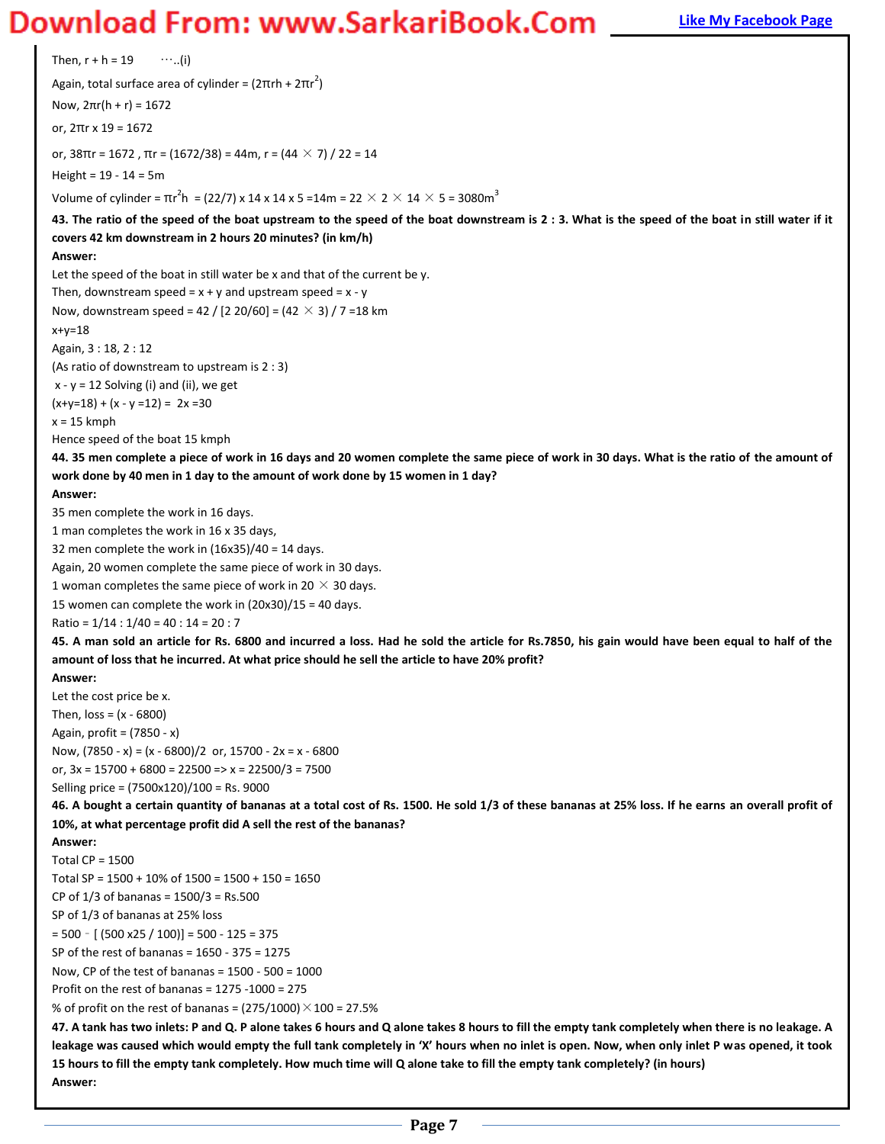### **Magnus Bank Example 20 You Bank Example 20 You Download From: WWW.SarkariBook.Com False Apple Page**

Then,  $r + h = 19$  …..(i) Again, total surface area of cylinder = (2πrh + 2πr<sup>2</sup>) Now, 2πr(h + r) = 1672 or, 2πr x 19 = 1672 or,  $38\pi r = 1672$ ,  $\pi r = (1672/38) = 44$ m,  $r = (44 \times 7) / 22 = 14$ Height = 19 - 14 = 5m Volume of cylinder =  $\text{πr}^2$ h = (22/7) x 14 x 14 x 5 =14m = 22  $\times$  2  $\times$  14  $\times$  5 = 3080m $^3$ **43. The ratio of the speed of the boat upstream to the speed of the boat downstream is 2 : 3. What is the speed of the boat in still water if it covers 42 km downstream in 2 hours 20 minutes? (in km/h) Answer:**  Let the speed of the boat in still water be x and that of the current be y. Then, downstream speed =  $x + y$  and upstream speed =  $x - y$ Now, downstream speed = 42 / [2 20/60] =  $(42 \times 3)$  / 7 = 18 km x+y=18 Again, 3 : 18, 2 : 12 (As ratio of downstream to upstream is 2 : 3)  $x - y = 12$  Solving (i) and (ii), we get  $(x+y=18) + (x - y = 12) = 2x = 30$  $x = 15$  kmph Hence speed of the boat 15 kmph **44. 35 men complete a piece of work in 16 days and 20 women complete the same piece of work in 30 days. What is the ratio of the amount of work done by 40 men in 1 day to the amount of work done by 15 women in 1 day? Answer:**  35 men complete the work in 16 days. 1 man completes the work in 16 x 35 days, 32 men complete the work in (16x35)/40 = 14 days. Again, 20 women complete the same piece of work in 30 days. 1 woman completes the same piece of work in 20  $\times$  30 days. 15 women can complete the work in  $(20x30)/15 = 40$  days. Ratio =  $1/14$  :  $1/40$  =  $40$  :  $14$  =  $20$  : 7 **45. A man sold an article for Rs. 6800 and incurred a loss. Had he sold the article for Rs.7850, his gain would have been equal to half of the amount of loss that he incurred. At what price should he sell the article to have 20% profit? Answer:**  Let the cost price be x. Then,  $loss = (x - 6800)$ Again, profit = (7850 - x) Now,  $(7850 - x) = (x - 6800)/2$  or,  $15700 - 2x = x - 6800$ or,  $3x = 15700 + 6800 = 22500 \Rightarrow x = 22500/3 = 7500$ Selling price = (7500x120)/100 = Rs. 9000 **46. A bought a certain quantity of bananas at a total cost of Rs. 1500. He sold 1/3 of these bananas at 25% loss. If he earns an overall profit of 10%, at what percentage profit did A sell the rest of the bananas? Answer:**  Total  $CP = 1500$ Total SP = 1500 + 10% of 1500 = 1500 + 150 = 1650 CP of 1/3 of bananas = 1500/3 = Rs.500 SP of 1/3 of bananas at 25% loss  $= 500 - [ (500 x25 / 100) ] = 500 - 125 = 375$ SP of the rest of bananas = 1650 - 375 = 1275 Now, CP of the test of bananas =  $1500 - 500 = 1000$ Profit on the rest of bananas = 1275 -1000 = 275 % of profit on the rest of bananas =  $(275/1000) \times 100 = 27.5\%$ **47. A tank has two inlets: P and Q. P alone takes 6 hours and Q alone takes 8 hours to fill the empty tank completely when there is no leakage. A**  leakage was caused which would empty the full tank completely in 'X' hours when no inlet is open. Now, when only inlet P was opened, it took **15 hours to fill the empty tank completely. How much time will Q alone take to fill the empty tank completely? (in hours) Answer:**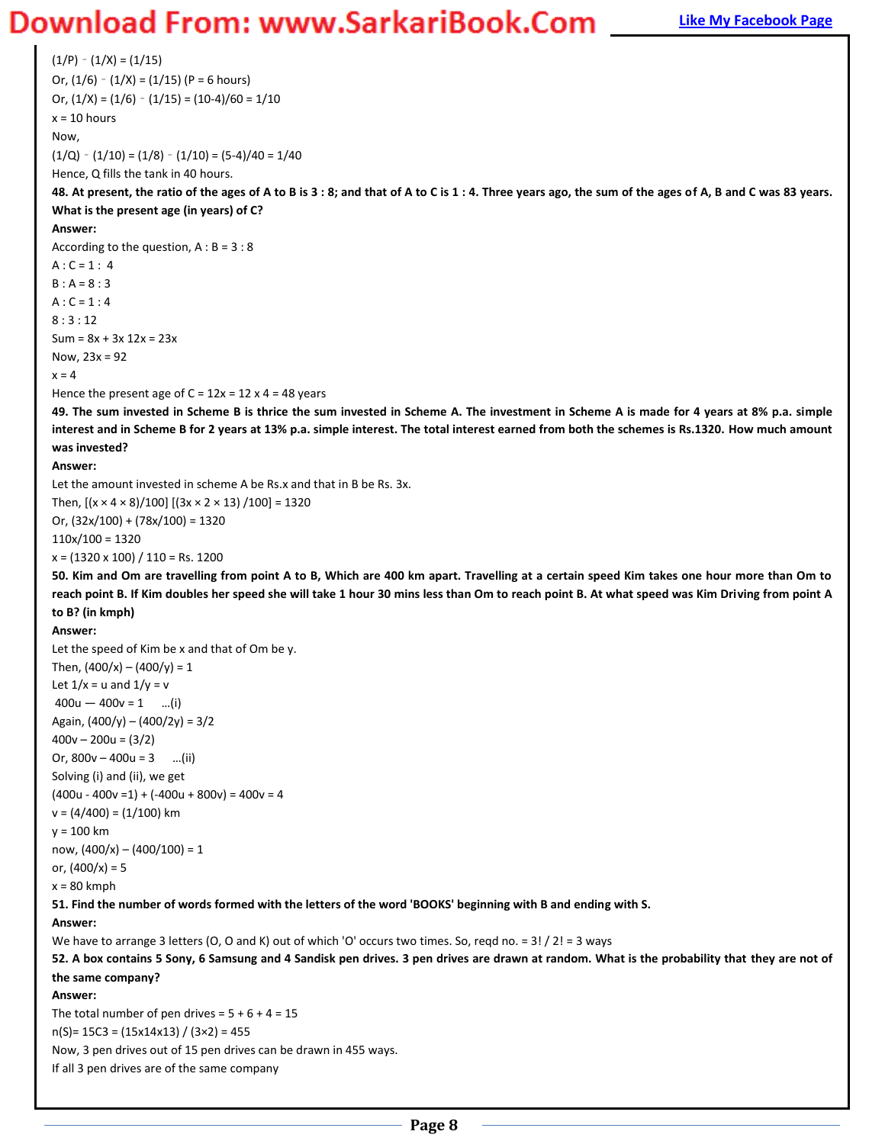### **Magnus Bank Example 20 You Bank Example 20 You Download From: WWW.SarkariBook.Com Find Bank Page**

 $(1/P) - (1/X) = (1/15)$ Or,  $(1/6) - (1/X) = (1/15)$  (P = 6 hours) Or,  $(1/X) = (1/6) - (1/15) = (10-4)/60 = 1/10$  $x = 10$  hours Now,  $(1/Q) - (1/10) = (1/8) - (1/10) = (5-4)/40 = 1/40$ Hence, Q fills the tank in 40 hours. **48. At present, the ratio of the ages of A to B is 3 : 8; and that of A to C is 1 : 4. Three years ago, the sum of the ages of A, B and C was 83 years. What is the present age (in years) of C? Answer:**  According to the question,  $A : B = 3 : 8$  $A : C = 1 : 4$  $B : A = 8 : 3$  $A : C = 1 : 4$ 8 : 3 : 12  $Sum = 8x + 3x 12x = 23x$ Now, 23x = 92  $x = 4$ Hence the present age of  $C = 12x = 12 \times 4 = 48$  years **49. The sum invested in Scheme B is thrice the sum invested in Scheme A. The investment in Scheme A is made for 4 years at 8% p.a. simple interest and in Scheme B for 2 years at 13% p.a. simple interest. The total interest earned from both the schemes is Rs.1320. How much amount was invested? Answer:**  Let the amount invested in scheme A be Rs.x and that in B be Rs. 3x. Then,  $[(x \times 4 \times 8)/100]$   $[(3x \times 2 \times 13)/100] = 1320$ Or, (32x/100) + (78x/100) = 1320 110x/100 = 1320  $x = (1320 \times 100) / 110 =$ Rs. 1200 **50. Kim and Om are travelling from point A to B, Which are 400 km apart. Travelling at a certain speed Kim takes one hour more than Om to reach point B. If Kim doubles her speed she will take 1 hour 30 mins less than Om to reach point B. At what speed was Kim Driving from point A to B? (in kmph) Answer:**  Let the speed of Kim be x and that of Om be y. Then,  $(400/x) - (400/y) = 1$ Let  $1/x = u$  and  $1/y = v$  $400u - 400v = 1$  ...(i) Again, (400/y) – (400/2y) = 3/2  $400v - 200u = (3/2)$ Or,  $800v - 400u = 3$  ...(ii) Solving (i) and (ii), we get  $(400u - 400v = 1) + (-400u + 800v) = 400v = 4$  $v = (4/400) = (1/100)$  km y = 100 km now,  $(400/x) - (400/100) = 1$ or,  $(400/x) = 5$  $x = 80$  kmph **51. Find the number of words formed with the letters of the word 'BOOKS' beginning with B and ending with S. Answer:**  We have to arrange 3 letters (O, O and K) out of which 'O' occurs two times. So, regd no. = 3! / 2! = 3 ways **52. A box contains 5 Sony, 6 Samsung and 4 Sandisk pen drives. 3 pen drives are drawn at random. What is the probability that they are not of the same company? Answer:**  The total number of pen drives =  $5 + 6 + 4 = 15$  $n(S) = 15C3 = (15x14x13) / (3x2) = 455$ Now, 3 pen drives out of 15 pen drives can be drawn in 455 ways. If all 3 pen drives are of the same company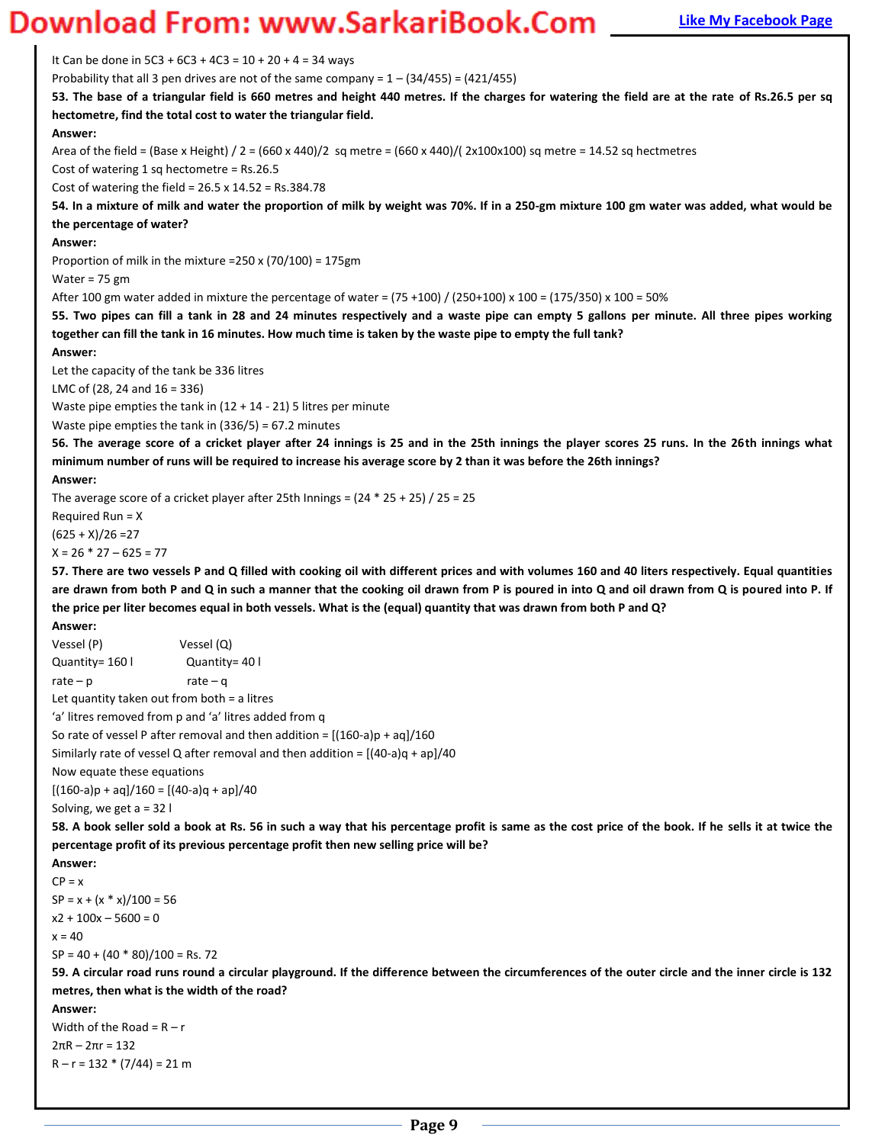### **Magnum** Bank Bank The My Facebook Page 10 Work 2013 **[Like My Facebook Page](http://www.facebook.com/munipallisairam)**

It Can be done in  $5C3 + 6C3 + 4C3 = 10 + 20 + 4 = 34$  ways

Probability that all 3 pen drives are not of the same company =  $1 - (34/455) = (421/455)$ 

**53. The base of a triangular field is 660 metres and height 440 metres. If the charges for watering the field are at the rate of Rs.26.5 per sq hectometre, find the total cost to water the triangular field.** 

### **Answer:**

Area of the field = (Base x Height) / 2 = (660 x 440)/2 sq metre = (660 x 440)/( 2x100x100) sq metre = 14.52 sq hectmetres

Cost of watering 1 sq hectometre = Rs.26.5

Cost of watering the field =  $26.5 \times 14.52 =$  Rs.384.78

**54. In a mixture of milk and water the proportion of milk by weight was 70%. If in a 250-gm mixture 100 gm water was added, what would be the percentage of water?** 

#### **Answer:**

Proportion of milk in the mixture =250 x (70/100) = 175gm

Water = 75 gm

After 100 gm water added in mixture the percentage of water = (75 +100) / (250+100) x 100 = (175/350) x 100 = 50%

**55. Two pipes can fill a tank in 28 and 24 minutes respectively and a waste pipe can empty 5 gallons per minute. All three pipes working together can fill the tank in 16 minutes. How much time is taken by the waste pipe to empty the full tank?** 

#### **Answer:**

Let the capacity of the tank be 336 litres

LMC of (28, 24 and 16 = 336)

Waste pipe empties the tank in  $(12 + 14 - 21)$  5 litres per minute

Waste pipe empties the tank in (336/5) = 67.2 minutes

**56. The average score of a cricket player after 24 innings is 25 and in the 25th innings the player scores 25 runs. In the 26th innings what minimum number of runs will be required to increase his average score by 2 than it was before the 26th innings?** 

#### **Answer:**

The average score of a cricket player after 25th Innings =  $(24 * 25 + 25) / 25 = 25$ 

Required Run = X

 $(625 + X)/26 = 27$  $X = 26 * 27 - 625 = 77$ 

**57. There are two vessels P and Q filled with cooking oil with different prices and with volumes 160 and 40 liters respectively. Equal quantities are drawn from both P and Q in such a manner that the cooking oil drawn from P is poured in into Q and oil drawn from Q is poured into P. If the price per liter becomes equal in both vessels. What is the (equal) quantity that was drawn from both P and Q?** 

```
Answer: 
Vessel (P) Vessel (Q) 
Quantity= 160 l Quantity= 40 l
rate - p rate – q
Let quantity taken out from both = a litres 
'a' litres removed from p and 'a' litres added from q
So rate of vessel P after removal and then addition = [(160-a)p + aq]/160Similarly rate of vessel Q after removal and then addition = [(40-a)q + ap]/40Now equate these equations 
[(160-a)p + aq]/160 = [(40-a)q + ap]/40Solving, we get a = 32 l 
58. A book seller sold a book at Rs. 56 in such a way that his percentage profit is same as the cost price of the book. If he sells it at twice the
percentage profit of its previous percentage profit then new selling price will be? 
Answer: 
CP = xSP = x + (x * x)/100 = 56x2 + 100x - 5600 = 0x = 40SP = 40 + (40 * 80)/100 = Rs. 7259. A circular road runs round a circular playground. If the difference between the circumferences of the outer circle and the inner circle is 132 
metres, then what is the width of the road? 
Answer: 
Width of the Road = R - r2\pi R - 2\pi r = 132R - r = 132 * (7/44) = 21 m
```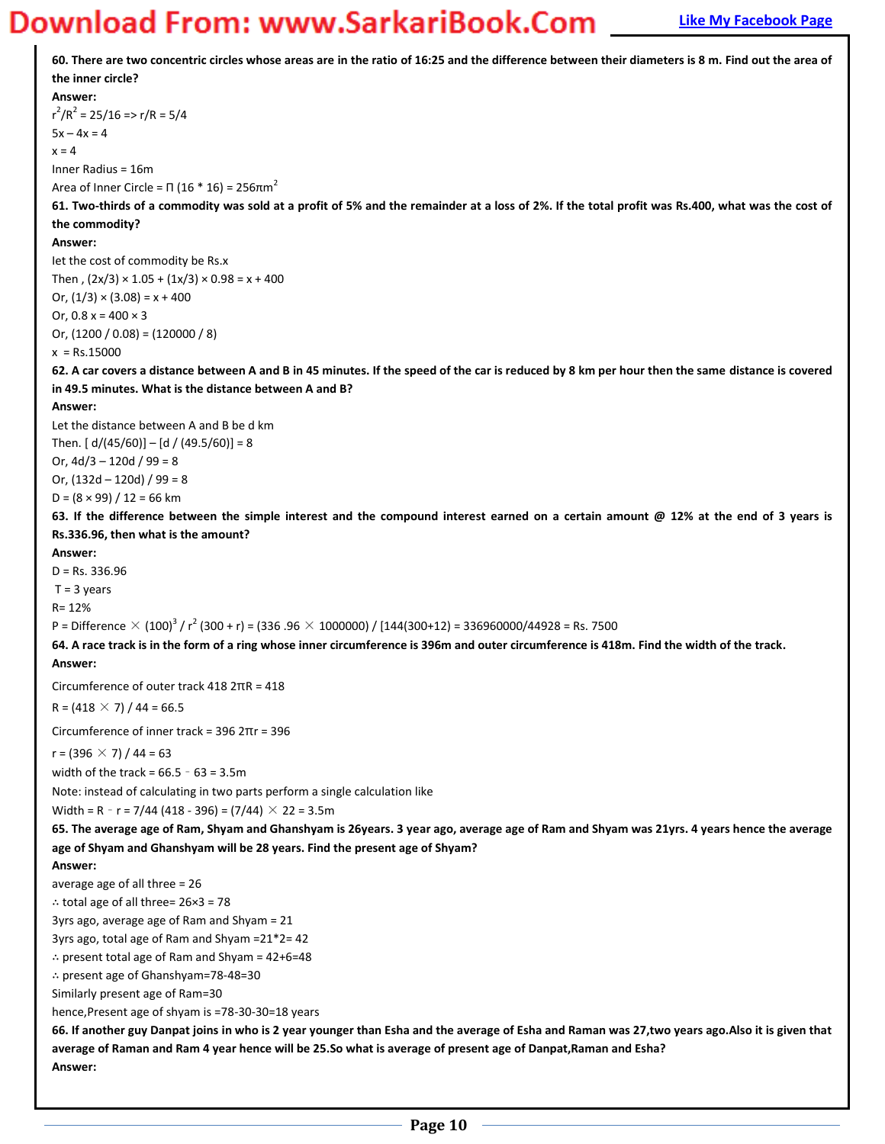**60. There are two concentric circles whose areas are in the ratio of 16:25 and the difference between their diameters is 8 m. Find out the area of the inner circle? Answer:**   $r^2/R^2 = 25/16 \Rightarrow r/R = 5/4$  $5x - 4x = 4$  $x = 4$ Inner Radius = 16m Area of Inner Circle = Π (16 \* 16) = 256 $\pi$ m<sup>2</sup> **61. Two-thirds of a commodity was sold at a profit of 5% and the remainder at a loss of 2%. If the total profit was Rs.400, what was the cost of the commodity? Answer:**  Iet the cost of commodity be Rs.x Then,  $(2x/3) \times 1.05 + (1x/3) \times 0.98 = x + 400$ Or,  $(1/3) \times (3.08) = x + 400$ Or,  $0.8 x = 400 \times 3$ Or,  $(1200 / 0.08) = (120000 / 8)$  $x = Rs.15000$ **62. A car covers a distance between A and B in 45 minutes. If the speed of the car is reduced by 8 km per hour then the same distance is covered in 49.5 minutes. What is the distance between A and B? Answer:**  Let the distance between A and B be d km Then.  $\lceil d/(45/60) \rceil - \lceil d/(49.5/60) \rceil = 8$ Or,  $4d/3 - 120d / 99 = 8$ Or,  $(132d - 120d)$  / 99 = 8  $D = (8 \times 99) / 12 = 66$  km **63. If the difference between the simple interest and the compound interest earned on a certain amount @ 12% at the end of 3 years is Rs.336.96, then what is the amount? Answer:**  D = Rs. 336.96  $T = 3$  years R= 12% P = Difference  $\times$  (100) $^3$  / r $^2$  (300 + r) = (336 .96  $\times$  1000000) / [144(300+12) = 336960000/44928 = Rs. 7500 **64. A race track is in the form of a ring whose inner circumference is 396m and outer circumference is 418m. Find the width of the track. Answer:**  Circumference of outer track 418 2πR = 418  $R = (418 \times 7) / 44 = 66.5$ Circumference of inner track = 396 2πr = 396  $r = (396 \times 7) / 44 = 63$ width of the track =  $66.5 - 63 = 3.5$ m Note: instead of calculating in two parts perform a single calculation like Width = R - r = 7/44 (418 - 396) = (7/44)  $\times$  22 = 3.5m **65. The average age of Ram, Shyam and Ghanshyam is 26years. 3 year ago, average age of Ram and Shyam was 21yrs. 4 years hence the average age of Shyam and Ghanshyam will be 28 years. Find the present age of Shyam? Answer:**  average age of all three = 26 ∴ total age of all three= 26×3 = 78 3yrs ago, average age of Ram and Shyam = 21 3yrs ago, total age of Ram and Shyam =21\*2= 42 ∴ present total age of Ram and Shyam = 42+6=48 ∴ present age of Ghanshyam=78-48=30 Similarly present age of Ram=30 hence,Present age of shyam is =78-30-30=18 years **66. If another guy Danpat joins in who is 2 year younger than Esha and the average of Esha and Raman was 27,two years ago.Also it is given that average of Raman and Ram 4 year hence will be 25.So what is average of present age of Danpat,Raman and Esha? Answer:**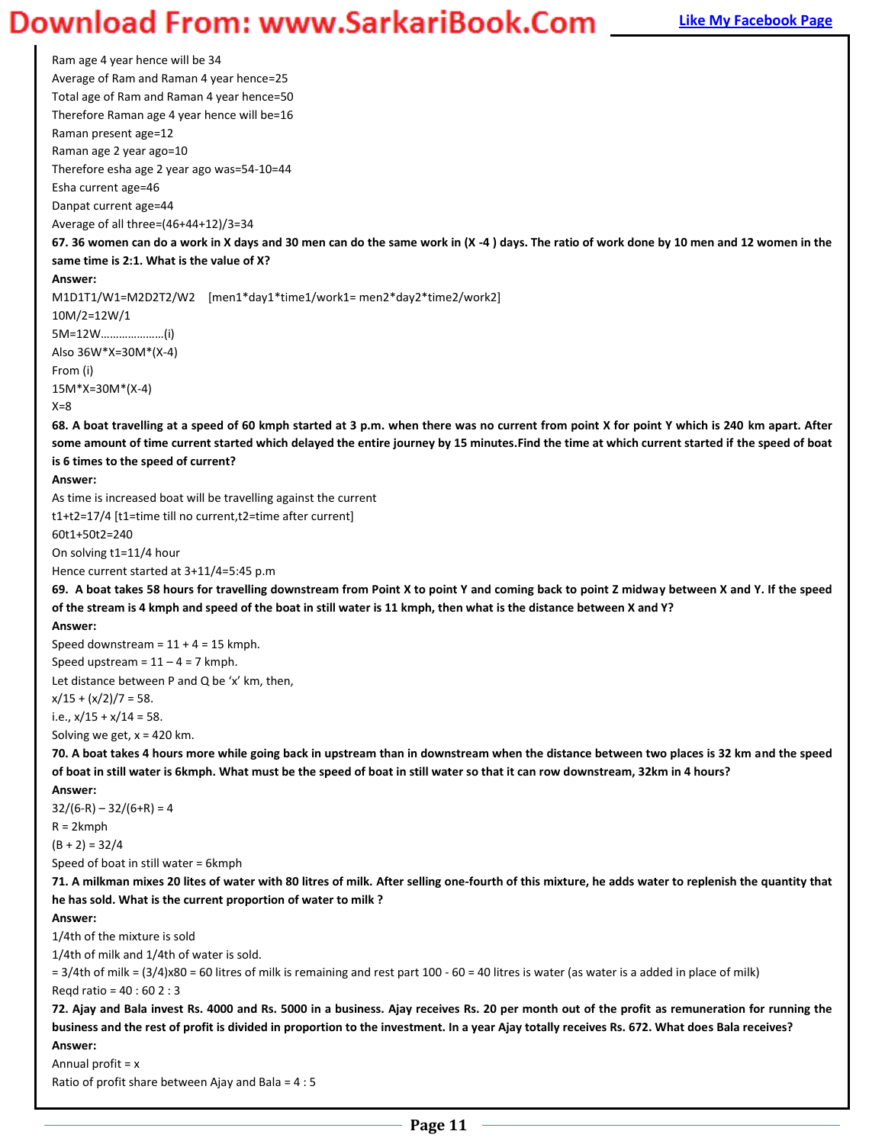### **Magnum** Bank Bank Theory and Book Bank Bank Com **[Like My Facebook Page](http://www.facebook.com/munipallisairam)**

Ram age 4 year hence will be 34 Average of Ram and Raman 4 year hence=25 Total age of Ram and Raman 4 year hence=50 Therefore Raman age 4 year hence will be=16 Raman present age=12 Raman age 2 year ago=10 Therefore esha age 2 year ago was=54-10=44 Esha current age=46 Danpat current age=44 Average of all three=(46+44+12)/3=34 **67. 36 women can do a work in X days and 30 men can do the same work in (X -4 ) days. The ratio of work done by 10 men and 12 women in the same time is 2:1. What is the value of X? Answer:**  M1D1T1/W1=M2D2T2/W2 [men1\*day1\*time1/work1= men2\*day2\*time2/work2] 10M/2=12W/1 5M=12W....................(i) Also 36W\*X=30M\*(X-4) From (i) 15M\*X=30M\*(X-4)  $X=8$ **68. A boat travelling at a speed of 60 kmph started at 3 p.m. when there was no current from point X for point Y which is 240 km apart. After some amount of time current started which delayed the entire journey by 15 minutes.Find the time at which current started if the speed of boat is 6 times to the speed of current? Answer:**  As time is increased boat will be travelling against the current t1+t2=17/4 [t1=time till no current,t2=time after current] 60t1+50t2=240 On solving t1=11/4 hour Hence current started at 3+11/4=5:45 p.m **69. A boat takes 58 hours for travelling downstream from Point X to point Y and coming back to point Z midway between X and Y. If the speed of the stream is 4 kmph and speed of the boat in still water is 11 kmph, then what is the distance between X and Y? Answer:**  Speed downstream =  $11 + 4 = 15$  kmph. Speed upstream =  $11 - 4 = 7$  kmph. Let distance between P and Q be  $'x'$  km, then,  $x/15 + (x/2)/7 = 58$ . i.e.,  $x/15 + x/14 = 58$ . Solving we get,  $x = 420$  km. **70. A boat takes 4 hours more while going back in upstream than in downstream when the distance between two places is 32 km and the speed of boat in still water is 6kmph. What must be the speed of boat in still water so that it can row downstream, 32km in 4 hours? Answer:**   $32/(6-R) - 32/(6+R) = 4$ R = 2kmph  $(B + 2) = 32/4$ Speed of boat in still water = 6kmph **71. A milkman mixes 20 lites of water with 80 litres of milk. After selling one-fourth of this mixture, he adds water to replenish the quantity that he has sold. What is the current proportion of water to milk ? Answer:**  1/4th of the mixture is sold 1/4th of milk and 1/4th of water is sold. = 3/4th of milk = (3/4)x80 = 60 litres of milk is remaining and rest part 100 - 60 = 40 litres is water (as water is a added in place of milk) Reqd ratio = 40 : 60 2 : 3 **72. Ajay and Bala invest Rs. 4000 and Rs. 5000 in a business. Ajay receives Rs. 20 per month out of the profit as remuneration for running the business and the rest of profit is divided in proportion to the investment. In a year Ajay totally receives Rs. 672. What does Bala receives? Answer:** 

Annual profit = x

Ratio of profit share between Ajay and Bala = 4 : 5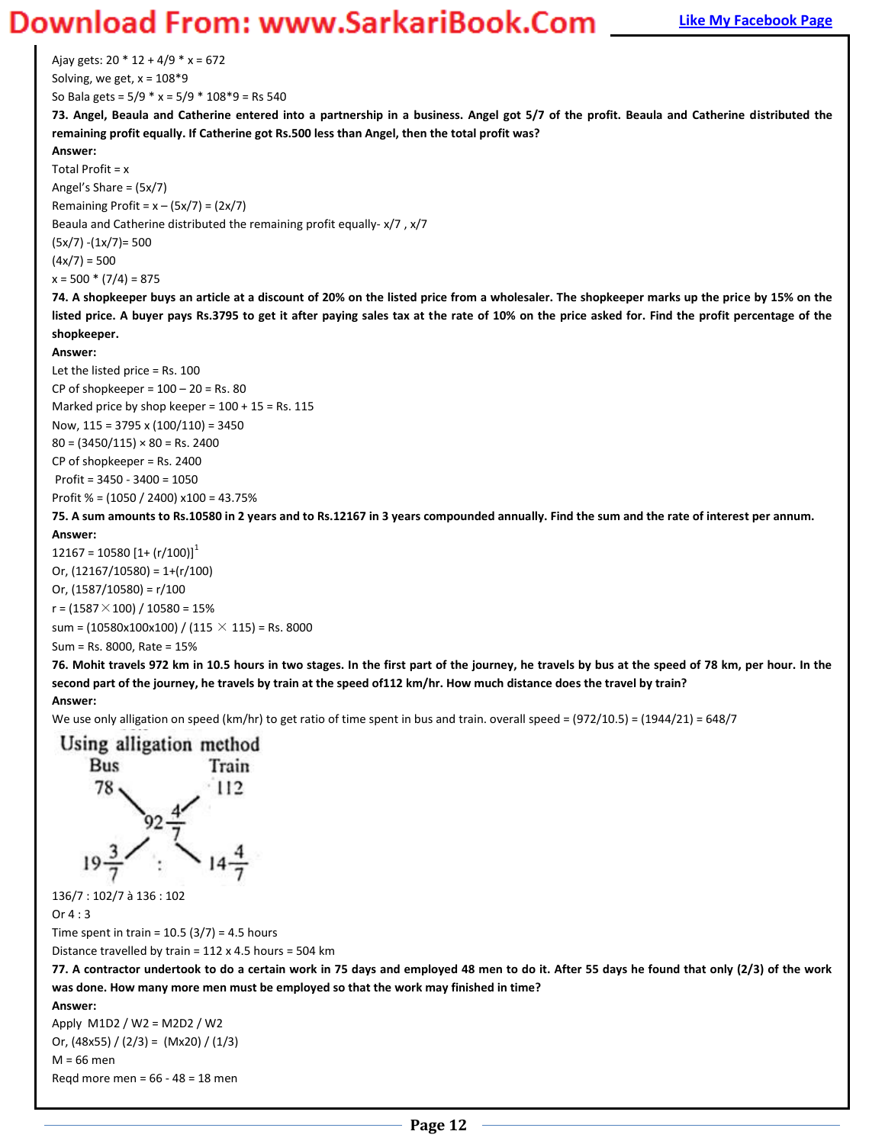Ajay gets:  $20 * 12 + 4/9 * x = 672$ Solving, we get,  $x = 108*9$ 

So Bala gets = 5/9 \* x = 5/9 \* 108\*9 = Rs 540

**73. Angel, Beaula and Catherine entered into a partnership in a business. Angel got 5/7 of the profit. Beaula and Catherine distributed the remaining profit equally. If Catherine got Rs.500 less than Angel, then the total profit was?**

### **Answer:**

Total Profit =  $x$ Angel's Share =  $(5x/7)$ Remaining Profit =  $x - (5x/7) = (2x/7)$ Beaula and Catherine distributed the remaining profit equally- x/7 , x/7 (5x/7) -(1x/7)= 500  $(4x/7) = 500$  $x = 500 * (7/4) = 875$ 

**74. A shopkeeper buys an article at a discount of 20% on the listed price from a wholesaler. The shopkeeper marks up the price by 15% on the listed price. A buyer pays Rs.3795 to get it after paying sales tax at the rate of 10% on the price asked for. Find the profit percentage of the shopkeeper.** 

### **Answer:**

Let the listed price = Rs. 100 CP of shopkeeper =  $100 - 20$  = Rs. 80 Marked price by shop keeper =  $100 + 15$  = Rs. 115 Now, 115 = 3795 x (100/110) = 3450  $80 = (3450/115) \times 80 =$  Rs. 2400 CP of shopkeeper = Rs. 2400 Profit = 3450 - 3400 = 1050 Profit % = (1050 / 2400) x100 = 43.75%

### **75. A sum amounts to Rs.10580 in 2 years and to Rs.12167 in 3 years compounded annually. Find the sum and the rate of interest per annum. Answer:**

 $12167 = 10580$   $[1 + (r/100)]<sup>1</sup>$ Or,  $(12167/10580) = 1+(r/100)$ Or,  $(1587/10580) = r/100$  $r = (1587 \times 100) / 10580 = 15%$ sum =  $(10580x100x100) / (115 \times 115)$  = Rs. 8000 Sum = Rs. 8000, Rate = 15%

**76. Mohit travels 972 km in 10.5 hours in two stages. In the first part of the journey, he travels by bus at the speed of 78 km, per hour. In the second part of the journey, he travels by train at the speed of112 km/hr. How much distance does the travel by train? Answer:** 

### We use only alligation on speed (km/hr) to get ratio of time spent in bus and train. overall speed = (972/10.5) = (1944/21) = 648/7



136/7 : 102/7 à 136 : 102

Or 4 : 3

Time spent in train =  $10.5$  (3/7) = 4.5 hours

Distance travelled by train = 112 x 4.5 hours = 504 km

**77. A contractor undertook to do a certain work in 75 days and employed 48 men to do it. After 55 days he found that only (2/3) of the work was done. How many more men must be employed so that the work may finished in time?** 

**Answer:** 

Apply M1D2 / W2 = M2D2 / W2 Or,  $(48x55) / (2/3) = (Mx20) / (1/3)$ M = 66 men Reqd more men = 66 - 48 = 18 men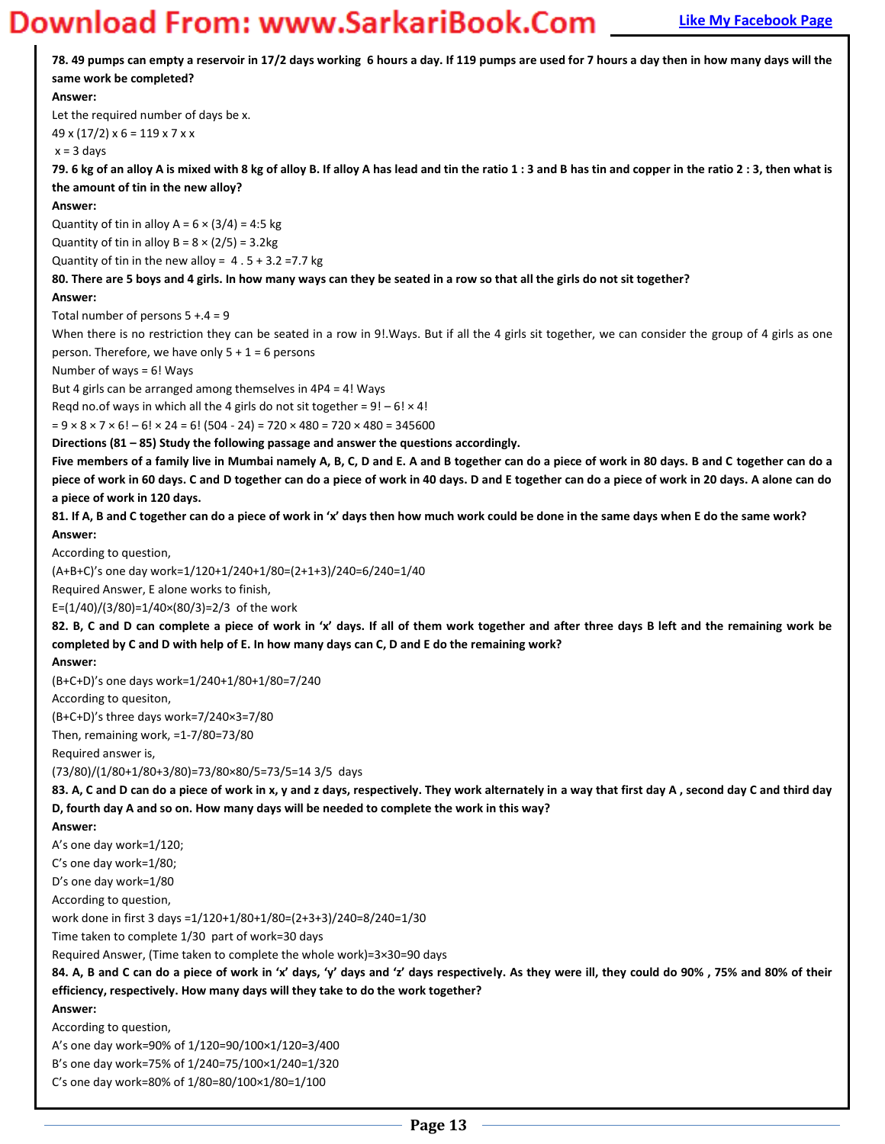

**Page 13**

C's one day work=80% of  $1/80=80/100\times1/80=1/100$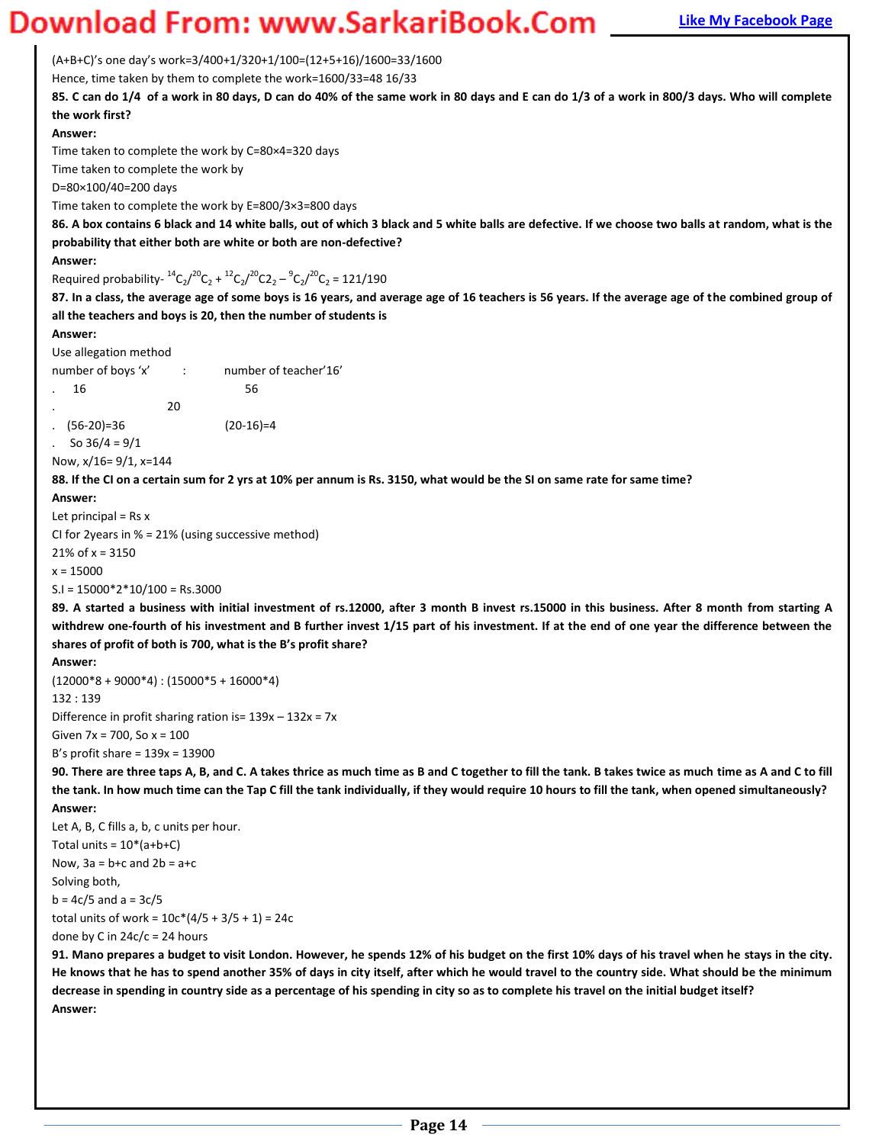$(A+B+C)'s$  one day's work=3/400+1/320+1/100=(12+5+16)/1600=33/1600

Hence, time taken by them to complete the work=1600/33=48 16/33

**85. C can do 1/4 of a work in 80 days, D can do 40% of the same work in 80 days and E can do 1/3 of a work in 800/3 days. Who will complete the work first?** 

**Answer:** 

Time taken to complete the work by C=80×4=320 days

Time taken to complete the work by

D=80×100/40=200 days

Time taken to complete the work by E=800/3×3=800 days

**86. A box contains 6 black and 14 white balls, out of which 3 black and 5 white balls are defective. If we choose two balls at random, what is the probability that either both are white or both are non-defective?** 

#### **Answer:**

Required probability- ${}^{14}C_2/{}^{20}C_2 + {}^{12}C_2/{}^{20}C_2 - {}^{9}C_2/{}^{20}C_2 = 121/190$ 

**87. In a class, the average age of some boys is 16 years, and average age of 16 teachers is 56 years. If the average age of the combined group of all the teachers and boys is 20, then the number of students is** 

#### **Answer:**

Use allegation method

| number of boys 'x' |    | number of teacher'16' |
|--------------------|----|-----------------------|
| -16<br>$\sim$      |    | 56                    |
|                    | 20 |                       |
| $(56-20)=36$       |    | $(20-16)=4$           |

So  $36/4 = 9/1$ 

Now, x/16= 9/1, x=144

**88. If the CI on a certain sum for 2 yrs at 10% per annum is Rs. 3150, what would be the SI on same rate for same time?** 

#### **Answer:**

Let principal  $=$  Rs  $x$ 

CI for 2years in % = 21% (using successive method)

 $21\%$  of x = 3150

x = 15000

S.I = 15000\*2\*10/100 = Rs.3000

**89. A started a business with initial investment of rs.12000, after 3 month B invest rs.15000 in this business. After 8 month from starting A withdrew one-fourth of his investment and B further invest 1/15 part of his investment. If at the end of one year the difference between the**  shares of profit of both is 700, what is the B's profit share?

**Answer:** 

 $(12000*8+9000*4):(15000*5+16000*4)$ 132 : 139 Difference in profit sharing ration is=  $139x - 132x = 7x$ Given 7x = 700, So x = 100 B's profit share =  $139x = 13900$ 

**90. There are three taps A, B, and C. A takes thrice as much time as B and C together to fill the tank. B takes twice as much time as A and C to fill the tank. In how much time can the Tap C fill the tank individually, if they would require 10 hours to fill the tank, when opened simultaneously? Answer:** 

Let A, B, C fills a, b, c units per hour. Total units =  $10*(a+b+C)$ Now,  $3a = b + c$  and  $2b = a + c$ Solving both,  $b = 4c/5$  and  $a = 3c/5$ total units of work =  $10c*(4/5 + 3/5 + 1) = 24c$ done by C in  $24c/c = 24$  hours

**91. Mano prepares a budget to visit London. However, he spends 12% of his budget on the first 10% days of his travel when he stays in the city. He knows that he has to spend another 35% of days in city itself, after which he would travel to the country side. What should be the minimum decrease in spending in country side as a percentage of his spending in city so as to complete his travel on the initial budget itself? Answer:**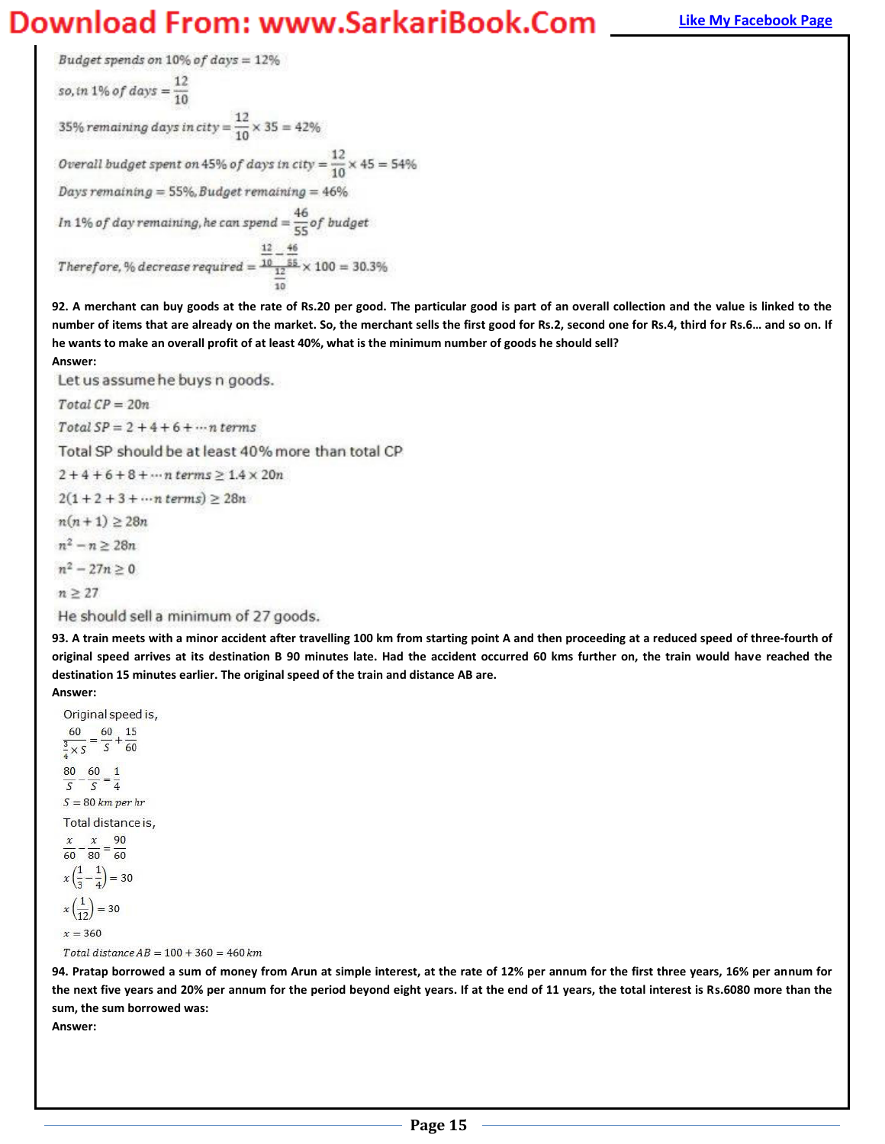Budget spends on  $10\%$  of days =  $12\%$ so, in 1% of days =  $\frac{12}{10}$ 35% remaining days in city =  $\frac{12}{10} \times 35 = 42\%$ Overall budget spent on 45% of days in city =  $\frac{12}{10} \times 45 = 54\%$ Days remaining = 55%, Budget remaining =  $46\%$ In 1% of day remaining, he can spend =  $\frac{46}{55}$  of budget  $\label{eq:10} Therefore, \% \, decrease \, required = \frac{\frac{12}{10} - \frac{46}{55}}{12} \times 100 = 30.3\%$ 

**92. A merchant can buy goods at the rate of Rs.20 per good. The particular good is part of an overall collection and the value is linked to the**  number of items that are already on the market. So, the merchant sells the first good for Rs.2, second one for Rs.4, third for Rs.6... and so on. If **he wants to make an overall profit of at least 40%, what is the minimum number of goods he should sell?** 

**Answer:** 

Let us assume he buys n goods.

 $Total CP = 20n$ 

 $Total SP = 2 + 4 + 6 + \dots n$  terms

Total SP should be at least 40% more than total CP

 $2 + 4 + 6 + 8 + \cdots$ n terms  $\geq 1.4 \times 20n$ 

 $2(1 + 2 + 3 + \cdots n \text{ terms}) \ge 28n$ 

 $n(n+1) \ge 28n$ 

 $n^2 - n \ge 28n$ 

 $n^2 - 27n > 0$ 

 $n \geq 27$ 

**Answer:** 

He should sell a minimum of 27 goods.

**93. A train meets with a minor accident after travelling 100 km from starting point A and then proceeding at a reduced speed of three-fourth of original speed arrives at its destination B 90 minutes late. Had the accident occurred 60 kms further on, the train would have reached the destination 15 minutes earlier. The original speed of the train and distance AB are.** 

Original speed is,

 $\frac{60}{\frac{3}{4} \times S} = \frac{60}{S} + \frac{15}{60}$  $\frac{80}{S} - \frac{60}{S} = \frac{1}{4}$  $S = 80$  km per hr Total distance is,  $\frac{x}{60} - \frac{x}{80} = \frac{90}{60}$  $x\left(\frac{1}{3}-\frac{1}{4}\right)=30$ 

 $x\left(\frac{1}{12}\right) = 30$ 

 $x = 360$ 

Total distance  $AB = 100 + 360 = 460$  km

**94. Pratap borrowed a sum of money from Arun at simple interest, at the rate of 12% per annum for the first three years, 16% per annum for the next five years and 20% per annum for the period beyond eight years. If at the end of 11 years, the total interest is Rs.6080 more than the sum, the sum borrowed was:** 

**Answer:**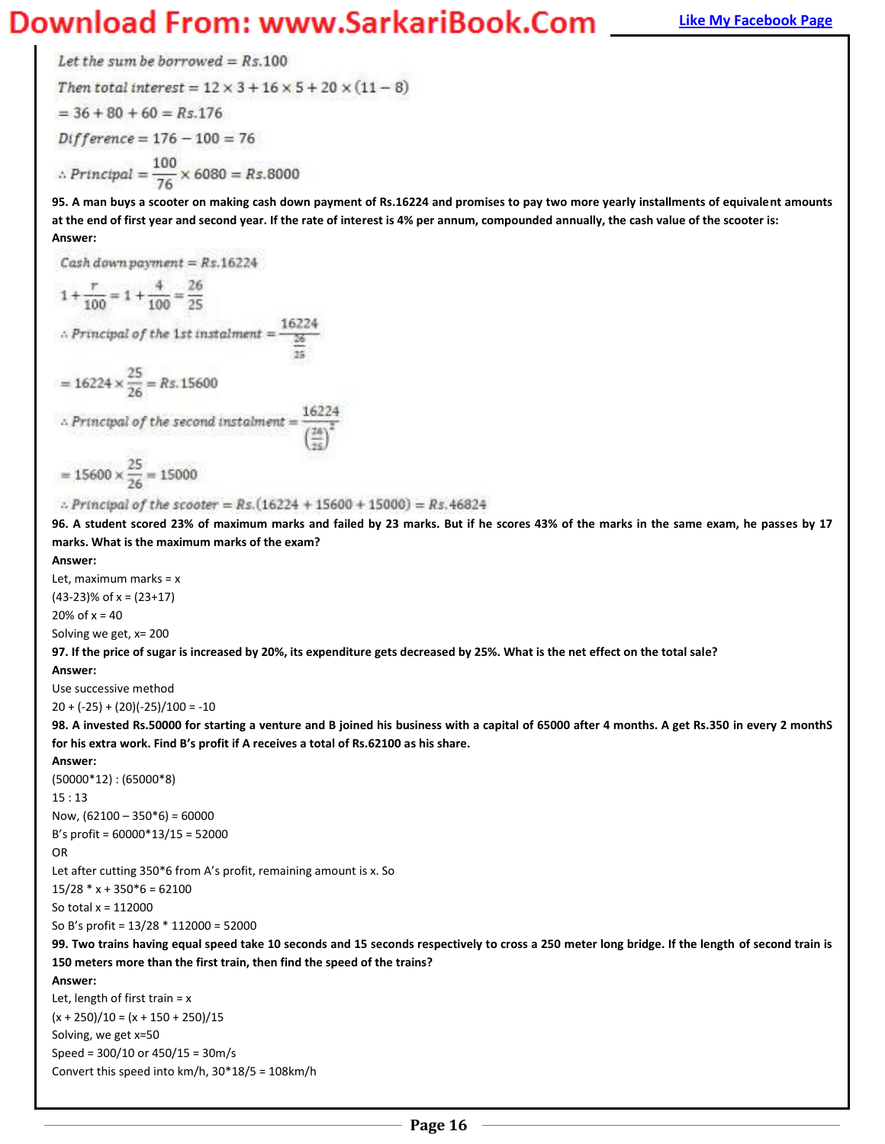### **Magnus Bank Example 20 You Bank Example 20 You Download From: WWW.SarkariBook.Com**

Let the sum be borrowed =  $Rs.100$ Then total interest =  $12 \times 3 + 16 \times 5 + 20 \times (11 - 8)$  $=$  36 + 80 + 60 =  $Rs.176$  $Difference = 176 - 100 = 76$ ∴ Principal =  $\frac{100}{76}$  × 6080 = Rs.8000

**95. A man buys a scooter on making cash down payment of Rs.16224 and promises to pay two more yearly installments of equivalent amounts at the end of first year and second year. If the rate of interest is 4% per annum, compounded annually, the cash value of the scooter is: Answer:** 

Cash down payment =  $Rs.16224$  $1 + \frac{r}{100} = 1 + \frac{4}{100} = \frac{26}{25}$  $\therefore \textit{Principal of the 1st} \textit{instant} = \frac{16224}{26}$ =  $16224 \times \frac{25}{26}$  = Rs. 15600 16224  $\therefore$  Principal of the second instalment =  $= 15600 \times \frac{25}{26} = 15000$ 

:. Principal of the scooter =  $Rs. (16224 + 15600 + 15000) = Rs.46824$ 

**96. A student scored 23% of maximum marks and failed by 23 marks. But if he scores 43% of the marks in the same exam, he passes by 17 marks. What is the maximum marks of the exam?** 

**Answer:** 

Let, maximum marks = x  $(43-23)$ % of x =  $(23+17)$ 20% of  $x = 40$ 

Solving we get, x= 200

**97. If the price of sugar is increased by 20%, its expenditure gets decreased by 25%. What is the net effect on the total sale?**

**Answer:** 

Use successive method  $20 + (-25) + (20)(-25)/100 = -10$ 

**98. A invested Rs.50000 for starting a venture and B joined his business with a capital of 65000 after 4 months. A get Rs.350 in every 2 monthS**  for his extra work. Find B's profit if A receives a total of Rs.62100 as his share.

**Answer:** 

```
(50000*12) : (65000*8) 
15 : 13
Now, (62100 - 350*6) = 60000B's profit = 60000*13/15 = 52000OR
Let after cutting 350*6 from A's profit, remaining amount is x. So
15/28 * x + 350*6 = 62100So total x = 112000 
So B's profit = 13/28 * 112000 = 52000
```
**99. Two trains having equal speed take 10 seconds and 15 seconds respectively to cross a 250 meter long bridge. If the length of second train is 150 meters more than the first train, then find the speed of the trains?** 

**Answer:** 

Let, length of first train  $= x$  $(x + 250)/10 = (x + 150 + 250)/15$ Solving, we get x=50 Speed = 300/10 or 450/15 = 30m/s Convert this speed into km/h, 30\*18/5 = 108km/h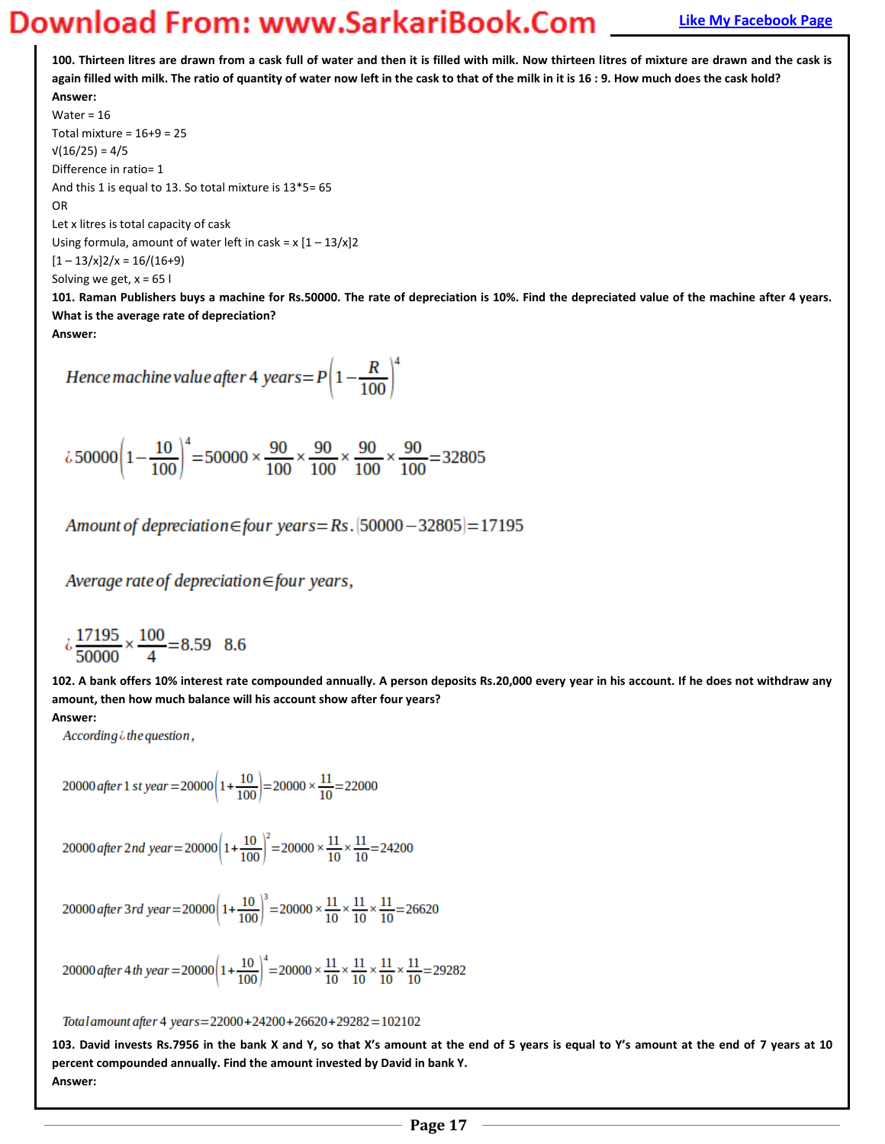**100. Thirteen litres are drawn from a cask full of water and then it is filled with milk. Now thirteen litres of mixture are drawn and the cask is again filled with milk. The ratio of quantity of water now left in the cask to that of the milk in it is 16 : 9. How much does the cask hold? Answer:** 

Water = 16 Total mixture =  $16+9 = 25$  $V(16/25) = 4/5$ Difference in ratio= 1 And this 1 is equal to 13. So total mixture is 13\*5= 65 OR Let x litres is total capacity of cask Using formula, amount of water left in cask =  $x [1 - 13/x]$ 2  $[1 - 13/x]2/x = 16/(16+9)$ Solving we get,  $x = 65$  l

**101. Raman Publishers buys a machine for Rs.50000. The rate of depreciation is 10%. Find the depreciated value of the machine after 4 years. What is the average rate of depreciation?** 

**Answer:** 

Hence machine value after 4 years =  $P\left(1-\frac{R}{100}\right)^4$ 

$$
\lambda 50000 \left(1 - \frac{10}{100}\right)^4 = 50000 \times \frac{90}{100} \times \frac{90}{100} \times \frac{90}{100} \times \frac{90}{100} = 32805
$$

Amount of depreciation  $\in$  four years = Rs.  $[50000 - 32805] = 17195$ 

Average rate of depreciation  $\in$  four years,

$$
\dot{c} \frac{17195}{50000} \times \frac{100}{4} = 8.59 \quad 8.6
$$

**102. A bank offers 10% interest rate compounded annually. A person deposits Rs.20,000 every year in his account. If he does not withdraw any amount, then how much balance will his account show after four years? Answer:** 

According  $\ddot{\phi}$  the question,

20000 after 1 st year = 20000  $\left(1+\frac{10}{100}\right)$  = 20000  $\times \frac{11}{10}$  = 22000

20000 after 2nd year = 20000  $\left(1+\frac{10}{100}\right)^2$  = 20000  $\times \frac{11}{10} \times \frac{11}{10}$  = 24200

20000 after 3rd year = 20000  $\left(1+\frac{10}{100}\right)^3$  = 20000  $\times \frac{11}{10} \times \frac{11}{10} \times \frac{11}{10}$  = 26620

20000 after 4 th year = 20000  $\left(1+\frac{10}{100}\right)^4$  = 20000  $\times \frac{11}{10} \times \frac{11}{10} \times \frac{11}{10} \times \frac{11}{10}$  = 29282

Total amount after 4 years=22000+24200+26620+29282=102102

103. David invests Rs.7956 in the bank X and Y, so that X's amount at the end of 5 years is equal to Y's amount at the end of 7 years at 10 **percent compounded annually. Find the amount invested by David in bank Y. Answer:**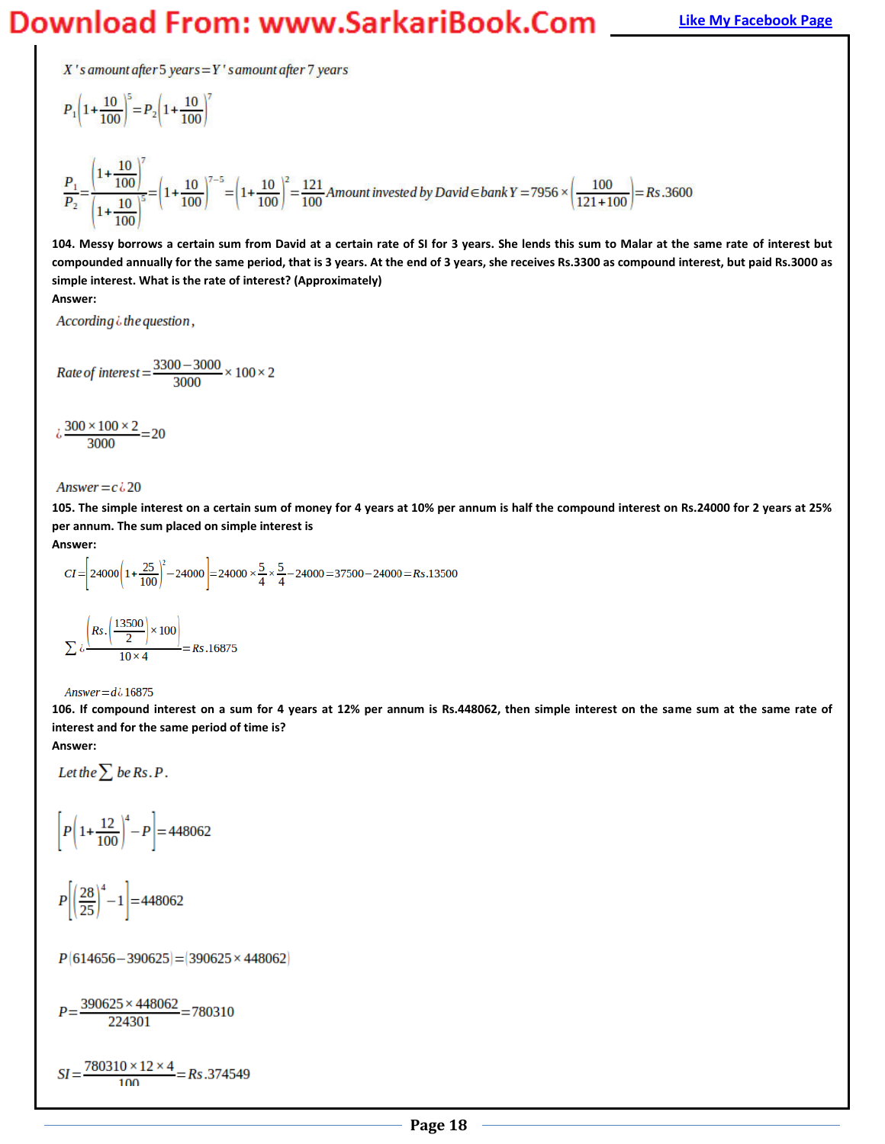### **Magnum Bank Bank Example 20 WORD** *Download* **From: WWW.SarkariBook.Com <u>[Like My Facebook Page](http://www.facebook.com/munipallisairam)</u>**

 $X$ 's amount after 5 years =  $Y$ 's amount after 7 years

$$
P_{1}\left(1+\frac{10}{100}\right)^{5} = P_{2}\left(1+\frac{10}{100}\right)^{7}
$$
  

$$
\frac{P_{1}}{P_{2}} = \frac{\left(1+\frac{10}{100}\right)^{7}}{\left(1+\frac{10}{100}\right)^{5}} = \left(1+\frac{10}{100}\right)^{7-5} = \left(1+\frac{10}{100}\right)^{2} = \frac{121}{100}
$$
Amount invested by David EbankY = 7956 ×  $\left(\frac{100}{121+100}\right) = Rs.3600$ 

**104. Messy borrows a certain sum from David at a certain rate of SI for 3 years. She lends this sum to Malar at the same rate of interest but compounded annually for the same period, that is 3 years. At the end of 3 years, she receives Rs.3300 as compound interest, but paid Rs.3000 as simple interest. What is the rate of interest? (Approximately)** 

**Answer:** 

According  $\ddot{\theta}$  the question,

Rate of interest 
$$
=
$$
  $\frac{3300-3000}{3000} \times 100 \times 2$ 

$$
\frac{100 \times 100 \times 2}{3000} = 20
$$

Answer =  $c \lambda$  20

**105. The simple interest on a certain sum of money for 4 years at 10% per annum is half the compound interest on Rs.24000 for 2 years at 25% per annum. The sum placed on simple interest is** 

**Answer:** 

$$
CI = \left[24000\left(1 + \frac{25}{100}\right)^2 - 24000\right] = 24000 \times \frac{5}{4} \times \frac{5}{4} - 24000 = 37500 - 24000 = Rs.13500
$$
  

$$
\sum \frac{\left(Rs.\left(\frac{13500}{2}\right) \times 100\right)}{10 \times 4} = Rs.16875
$$

#### Answer =  $d\lambda$  16875

**106. If compound interest on a sum for 4 years at 12% per annum is Rs.448062, then simple interest on the same sum at the same rate of interest and for the same period of time is? Answer:** 

Let the  $\sum$  be Rs. P.

$$
\left[ P \left( 1 + \frac{12}{100} \right)^4 - P \right] = 448062
$$

$$
P\left[\left(\frac{28}{25}\right)^4 - 1\right] = 448062
$$

 $P[614656 - 390625] = [390625 \times 448062]$ 

$$
P = \frac{390625 \times 448062}{224301} = 780310
$$

 $SI = \frac{780310 \times 12 \times 4}{100} = Rs.374549$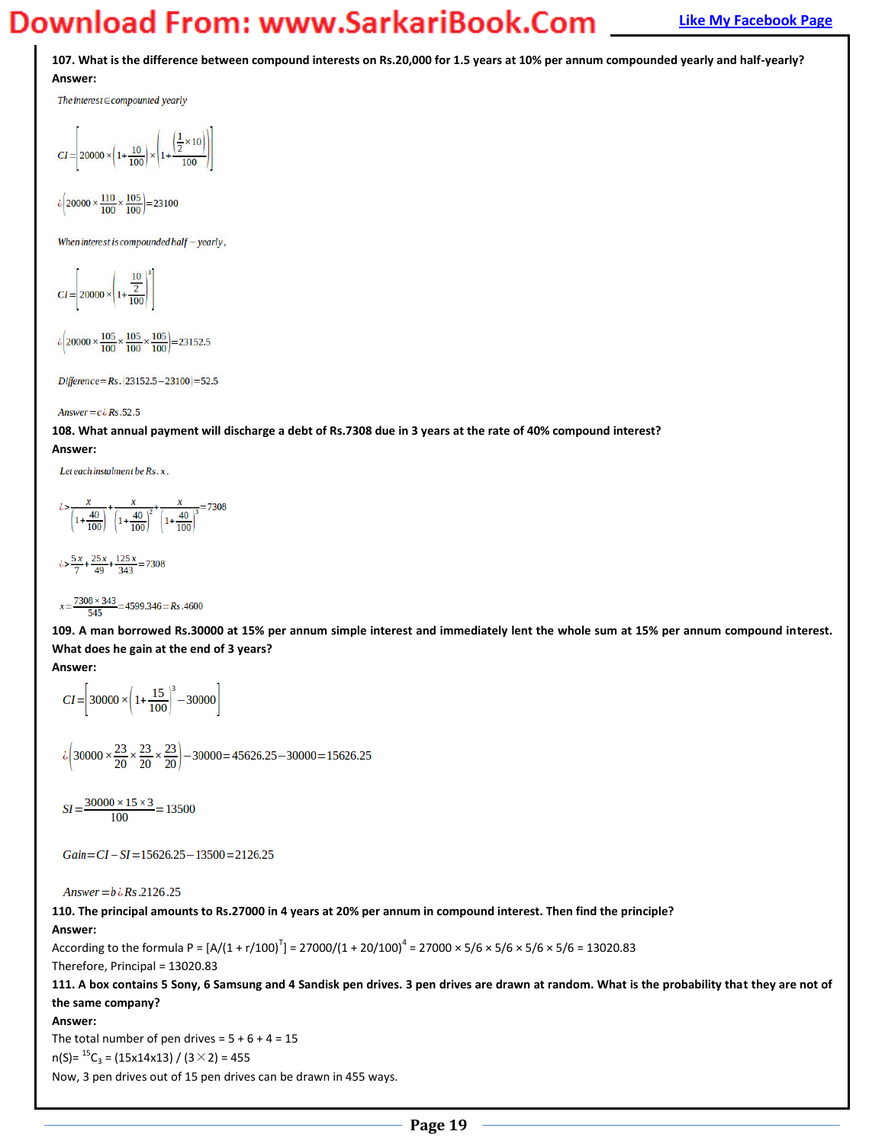**107. What is the difference between compound interests on Rs.20,000 for 1.5 years at 10% per annum compounded yearly and half-yearly? Answer:** 

The interest  $\in$  compounted yearly

$$
CI = \left[ 20000 \times \left( 1 + \frac{10}{100} \right) \times \left( 1 + \frac{\left( \frac{1}{2} \times 10 \right)}{100} \right) \right]
$$

 $\lambda \left( 20000 \times \frac{110}{100} \times \frac{105}{100} \right) = 23100$ 

When interest is compounded half  $-$  yearly,

$$
CI = \left[ 20000 \times \left( 1 + \frac{10}{2} \right)^3 \right]
$$

 $\frac{1}{6}$  20000 ×  $\frac{105}{100}$  ×  $\frac{105}{100}$  ×  $\frac{105}{100}$  = 23152.5

Difference = Rs. (23152.5 - 23100) = 52.5

#### Answer =  $c \lambda$  Rs.52.5

**108. What annual payment will discharge a debt of Rs.7308 due in 3 years at the rate of 40% compound interest? Answer:** 

Let each instalment be Rs. x.

$$
\left(\frac{x}{1+\frac{40}{100}}\right)^{+\frac{x}{\left(1+\frac{40}{100}\right)^{2}}} + \frac{x}{\left(1+\frac{40}{100}\right)^{3}} = 7308
$$

 $\lambda > \frac{5x}{7} + \frac{25x}{49} + \frac{125x}{343} = 7308$ 

 $x=\frac{7308\times343}{545}=4599.346=Rs.4600$ 545

**109. A man borrowed Rs.30000 at 15% per annum simple interest and immediately lent the whole sum at 15% per annum compound interest. What does he gain at the end of 3 years?** 

#### **Answer:**

$$
CI = \left[30000 \times \left(1 + \frac{15}{100}\right)^3 - 30000\right]
$$

 $\lambda\left(30000\times\frac{23}{20}\times\frac{23}{20}\times\frac{23}{20}\right)-30000=45626.25-30000=15626.25$ 

 $SI = \frac{30000 \times 15 \times 3}{100} = 13500$ 

 $Gain = CI - SI = 15626.25 - 13500 = 2126.25$ 

Answer =  $b \dot{\textit{i}}$  Rs.2126.25

**110. The principal amounts to Rs.27000 in 4 years at 20% per annum in compound interest. Then find the principle? Answer:** 

According to the formula P =  $[A/(1 + r/100)^T]$  = 27000/(1 + 20/100)<sup>4</sup> = 27000 × 5/6 × 5/6 × 5/6 × 5/6 = 13020.83 Therefore, Principal = 13020.83

**111. A box contains 5 Sony, 6 Samsung and 4 Sandisk pen drives. 3 pen drives are drawn at random. What is the probability that they are not of the same company?** 

#### **Answer:**

The total number of pen drives =  $5 + 6 + 4 = 15$  $n(S) = {}^{15}C_3 = (15x14x13) / (3 \times 2) = 455$ 

Now, 3 pen drives out of 15 pen drives can be drawn in 455 ways.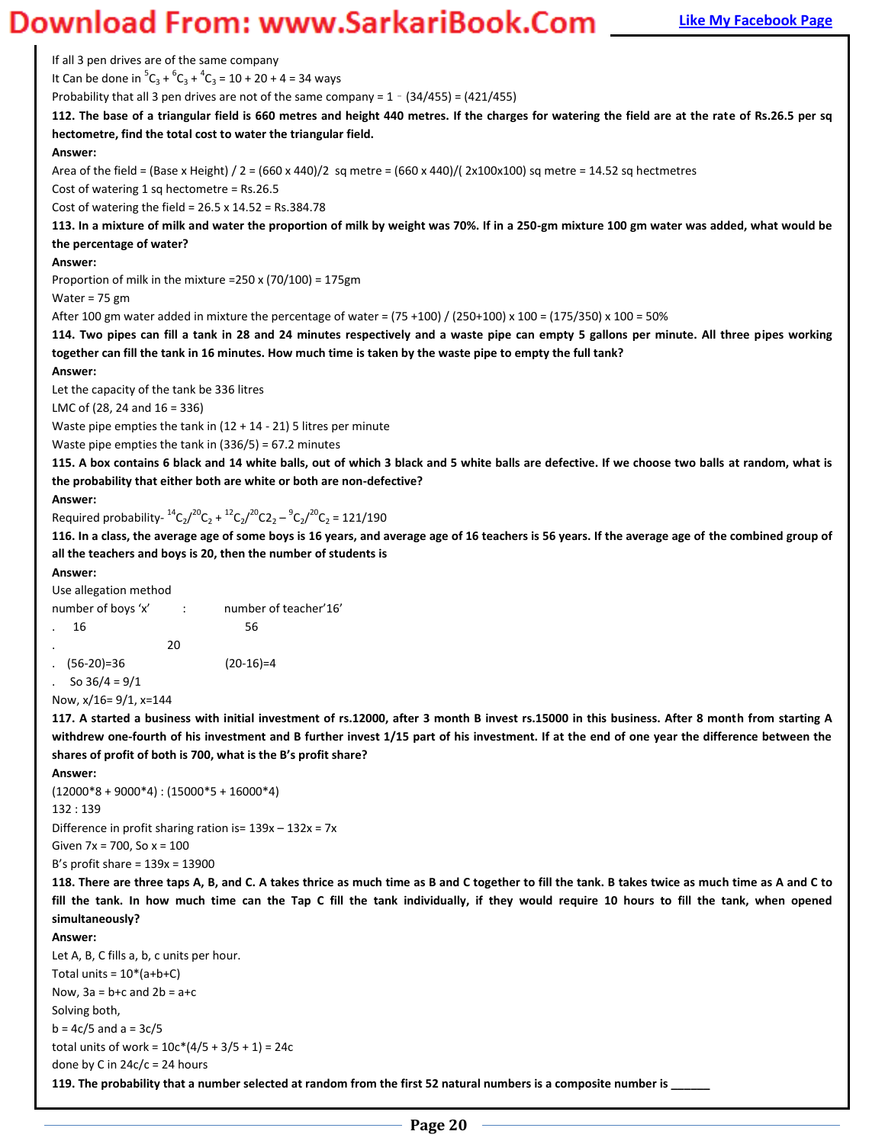### **Magnum Bank Bank Apple 2011 Mentor Comet Apple Apple Apple Apple Apple Apple Apple Apple Apple Apple Apple Bank Page**

If all 3 pen drives are of the same company It Can be done in  ${}^5C_3 + {}^6C_3 + {}^4C_3 = 10 + 20 + 4 = 34$  ways Probability that all 3 pen drives are not of the same company =  $1 - (34/455) = (421/455)$ **112. The base of a triangular field is 660 metres and height 440 metres. If the charges for watering the field are at the rate of Rs.26.5 per sq hectometre, find the total cost to water the triangular field. Answer:**  Area of the field = (Base x Height) /  $2 = (660 \times 440)/2$  sq metre =  $(660 \times 440)/$  ( $2 \times 100 \times 100$ ) sq metre = 14.52 sq hectmetres Cost of watering 1 sq hectometre = Rs.26.5 Cost of watering the field = 26.5 x 14.52 = Rs.384.78 **113. In a mixture of milk and water the proportion of milk by weight was 70%. If in a 250-gm mixture 100 gm water was added, what would be the percentage of water? Answer:**  Proportion of milk in the mixture =250 x (70/100) = 175gm Water = 75 gm After 100 gm water added in mixture the percentage of water = (75 +100) / (250+100) x 100 = (175/350) x 100 = 50% **114. Two pipes can fill a tank in 28 and 24 minutes respectively and a waste pipe can empty 5 gallons per minute. All three pipes working together can fill the tank in 16 minutes. How much time is taken by the waste pipe to empty the full tank? Answer:**  Let the capacity of the tank be 336 litres LMC of (28, 24 and 16 = 336) Waste pipe empties the tank in (12 + 14 - 21) 5 litres per minute Waste pipe empties the tank in (336/5) = 67.2 minutes **115. A box contains 6 black and 14 white balls, out of which 3 black and 5 white balls are defective. If we choose two balls at random, what is the probability that either both are white or both are non-defective? Answer:**  Required probability- ${}^{14}C_2/{}^{20}C_2 + {}^{12}C_2/{}^{20}C_2 - {}^{9}C_2/{}^{20}C_2 = 121/190$ **116. In a class, the average age of some boys is 16 years, and average age of 16 teachers is 56 years. If the average age of the combined group of all the teachers and boys is 20, then the number of students is Answer:**  Use allegation method number of boys 'x' : ^ ^ number of teacher'16'  $16$  56 . 20 . (56-20)=36 (20-16)=4 . So  $36/4 = 9/1$ Now, x/16= 9/1, x=144 **117. A started a business with initial investment of rs.12000, after 3 month B invest rs.15000 in this business. After 8 month from starting A withdrew one-fourth of his investment and B further invest 1/15 part of his investment. If at the end of one year the difference between the**  shares of profit of both is 700, what is the B's profit share? **Answer:**   $(12000*8+9000*4):(15000*5+16000*4)$ 132 : 139 Difference in profit sharing ration is=  $139x - 132x = 7x$ Given 7x = 700, So x = 100 B's profit share =  $139x = 13900$ **118. There are three taps A, B, and C. A takes thrice as much time as B and C together to fill the tank. B takes twice as much time as A and C to fill the tank. In how much time can the Tap C fill the tank individually, if they would require 10 hours to fill the tank, when opened simultaneously? Answer:**  Let A, B, C fills a, b, c units per hour.

Total units =  $10*(a+b+C)$ Now,  $3a = b + c$  and  $2b = a + c$ Solving both,  $b = 4c/5$  and  $a = 3c/5$ total units of work =  $10c*(4/5 + 3/5 + 1) = 24c$ done by C in  $24c/c = 24$  hours

**119. The probability that a number selected at random from the first 52 natural numbers is a composite number is**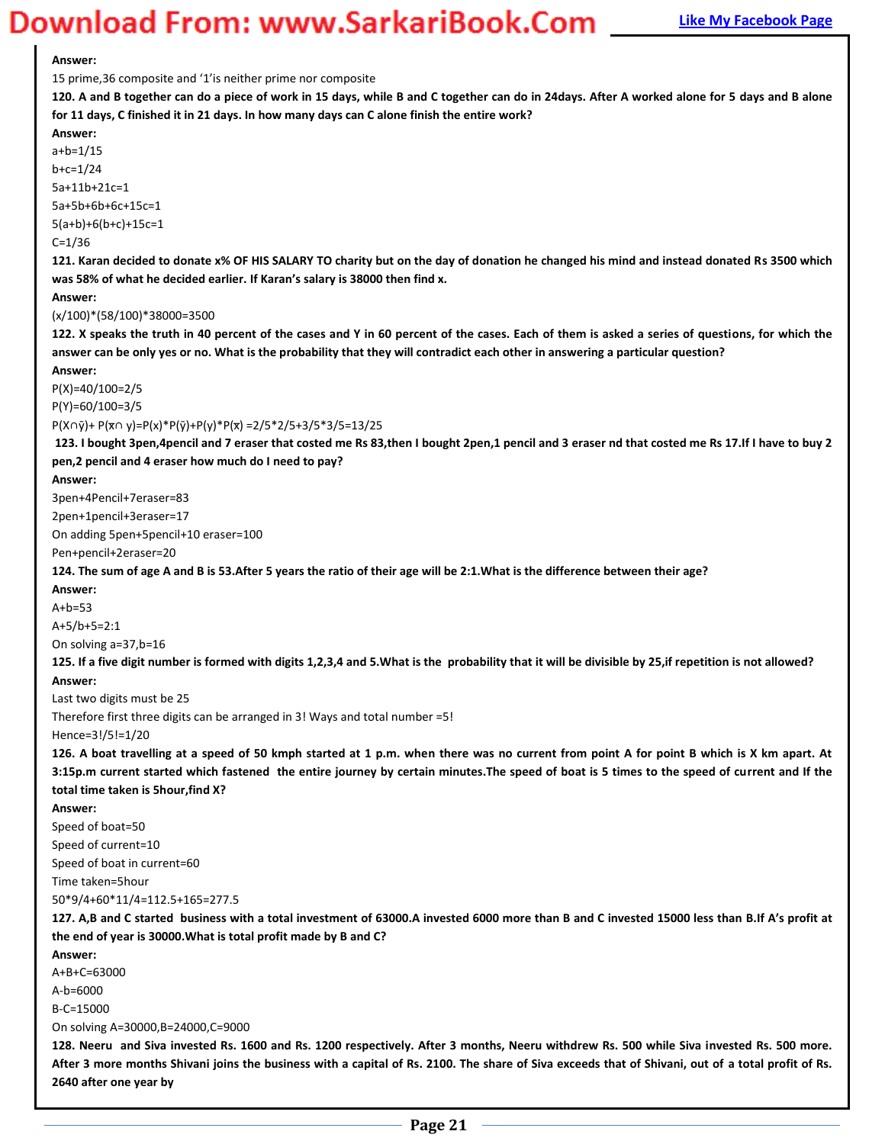### **Magnum** Bank Bank Example **2.1 Aprox 2015 Concern Apple Apropries Page Concern Apple 2016 Concern Apple 2016 Concern Apple 2016 Concern Apple 2016 Concern Apple 2016 Concern Apple 2016 Concern Apple 2016**

#### **Answer:**

15 prime, 36 composite and '1' is neither prime nor composite

**120. A and B together can do a piece of work in 15 days, while B and C together can do in 24days. After A worked alone for 5 days and B alone for 11 days, C finished it in 21 days. In how many days can C alone finish the entire work?** 

**Answer:**  a+b=1/15 b+c=1/24 5a+11b+21c=1 5a+5b+6b+6c+15c=1 5(a+b)+6(b+c)+15c=1  $C = 1/36$ **121. Karan decided to donate x% OF HIS SALARY TO charity but on the day of donation he changed his mind and instead donated Rs 3500 which was 58% of what he decided earlier. If Karan's salary is 38000 then find x. Answer:**  (x/100)\*(58/100)\*38000=3500 **122. X speaks the truth in 40 percent of the cases and Y in 60 percent of the cases. Each of them is asked a series of questions, for which the answer can be only yes or no. What is the probability that they will contradict each other in answering a particular question? Answer:**  P(X)=40/100=2/5 P(Y)=60/100=3/5  $P(X \cap \bar{y}) + P(\bar{x} \cap y) = P(x) * P(\bar{y}) + P(y) * P(\bar{x}) = 2/5 * 2/5 + 3/5 * 3/5 = 13/25$ **123. I bought 3pen,4pencil and 7 eraser that costed me Rs 83,then I bought 2pen,1 pencil and 3 eraser nd that costed me Rs 17.If I have to buy 2 pen,2 pencil and 4 eraser how much do I need to pay? Answer:**  3pen+4Pencil+7eraser=83 2pen+1pencil+3eraser=17 On adding 5pen+5pencil+10 eraser=100 Pen+pencil+2eraser=20 **124. The sum of age A and B is 53.After 5 years the ratio of their age will be 2:1.What is the difference between their age? Answer:**   $A + h = 53$ A+5/b+5=2:1 On solving a=37,b=16 **125. If a five digit number is formed with digits 1,2,3,4 and 5.What is the probability that it will be divisible by 25,if repetition is not allowed? Answer:**  Last two digits must be 25 Therefore first three digits can be arranged in 3! Ways and total number =5! Hence=3!/5!=1/20 **126. A boat travelling at a speed of 50 kmph started at 1 p.m. when there was no current from point A for point B which is X km apart. At 3:15p.m current started which fastened the entire journey by certain minutes.The speed of boat is 5 times to the speed of current and If the total time taken is 5hour,find X? Answer:**  Speed of boat=50 Speed of current=10 Speed of boat in current=60 Time taken=5hour 50\*9/4+60\*11/4=112.5+165=277.5 **127. A,B and C started business with a total investment of 63000.A invested 6000 more than B and C invested 15000 less than B.If A͛s pƌofit at the end of year is 30000.What is total profit made by B and C? Answer:**  A+B+C=63000 A-b=6000 B-C=15000 On solving A=30000,B=24000,C=9000 **128. Neeru and Siva invested Rs. 1600 and Rs. 1200 respectively. After 3 months, Neeru withdrew Rs. 500 while Siva invested Rs. 500 more. After 3 more months Shivani joins the business with a capital of Rs. 2100. The share of Siva exceeds that of Shivani, out of a total profit of Rs. 2640 after one year by**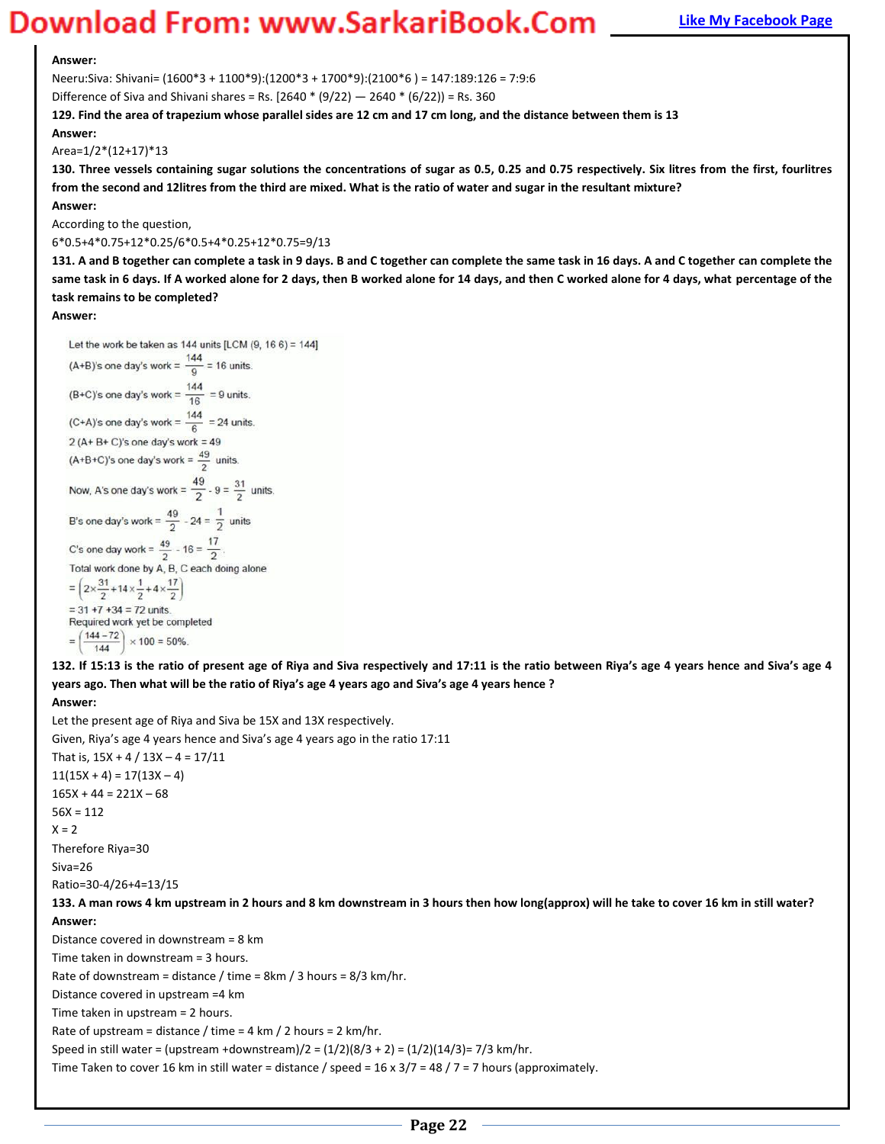#### **Answer:**

Neeru:Siva: Shivani= (1600\*3 + 1100\*9):(1200\*3 + 1700\*9):(2100\*6 ) = 147:189:126 = 7:9:6

Difference of Siva and Shivani shares = Rs.  $[2640 * (9/22) - 2640 * (6/22)] =$  Rs. 360

**129. Find the area of trapezium whose parallel sides are 12 cm and 17 cm long, and the distance between them is 13** 

**Answer:** 

Area=1/2\*(12+17)\*13

**130. Three vessels containing sugar solutions the concentrations of sugar as 0.5, 0.25 and 0.75 respectively. Six litres from the first, fourlitres from the second and 12litres from the third are mixed. What is the ratio of water and sugar in the resultant mixture?** 

**Answer:** 

According to the question,

6\*0.5+4\*0.75+12\*0.25/6\*0.5+4\*0.25+12\*0.75=9/13

**131. A and B together can complete a task in 9 days. B and C together can complete the same task in 16 days. A and C together can complete the same task in 6 days. If A worked alone for 2 days, then B worked alone for 14 days, and then C worked alone for 4 days, what percentage of the task remains to be completed?** 

**Answer:** 

Let the work be taken as 144 units [LCM  $(9, 166) = 144$ ] (A+B)'s one day's work =  $\frac{144}{0}$  = 16 units. (B+C)'s one day's work =  $\frac{144}{16}$  = 9 units. (C+A)'s one day's work =  $\frac{144}{6}$  = 24 units.  $2 (A + B + C)'s$  one day's work = 49 (A+B+C)'s one day's work =  $\frac{49}{2}$  units. Now, A's one day's work =  $\frac{49}{2}$  - 9 =  $\frac{31}{2}$  units. B's one day's work =  $\frac{49}{2}$  - 24 =  $\frac{1}{2}$  units C's one day work =  $\frac{49}{2}$  - 16 =  $\frac{17}{2}$ Total work done by A, B, C each doing alone  $=\left(2 \times \frac{31}{2} + 14 \times \frac{1}{2} + 4 \times \frac{17}{2}\right)$  $=$  31 +7 +34 = 72 units. Required work yet be completed  $=\left(\frac{144-72}{144}\right)\times 100 = 50\%$ 

132. If 15:13 is the ratio of present age of Riya and Siva respectively and 17:11 is the ratio between Riya's age 4 years hence and Siva's age 4 years ago. Then what will be the ratio of Riya's age 4 years ago and Siva's age 4 years hence ?

**Answer:** 

Let the present age of Riya and Siva be 15X and 13X respectively. Given, Riya's age 4 years hence and Siva's age 4 years ago in the ratio 17:11 That is,  $15X + 4 / 13X - 4 = 17/11$  $11(15X + 4) = 17(13X - 4)$  $165X + 44 = 221X - 68$  $56X = 112$  $X = 2$ Therefore Riya=30 Siva=26 Ratio=30-4/26+4=13/15 **133. A man rows 4 km upstream in 2 hours and 8 km downstream in 3 hours then how long(approx) will he take to cover 16 km in still water? Answer:**  Distance covered in downstream = 8 km Time taken in downstream = 3 hours. Rate of downstream = distance / time = 8km / 3 hours = 8/3 km/hr. Distance covered in upstream =4 km Time taken in upstream = 2 hours. Rate of upstream = distance / time = 4 km / 2 hours = 2 km/hr. Speed in still water = (upstream +downstream)/2 =  $(1/2)(8/3 + 2) = (1/2)(14/3) = 7/3$  km/hr. Time Taken to cover 16 km in still water = distance / speed =  $16 \times 3/7 = 48 / 7 = 7$  hours (approximately.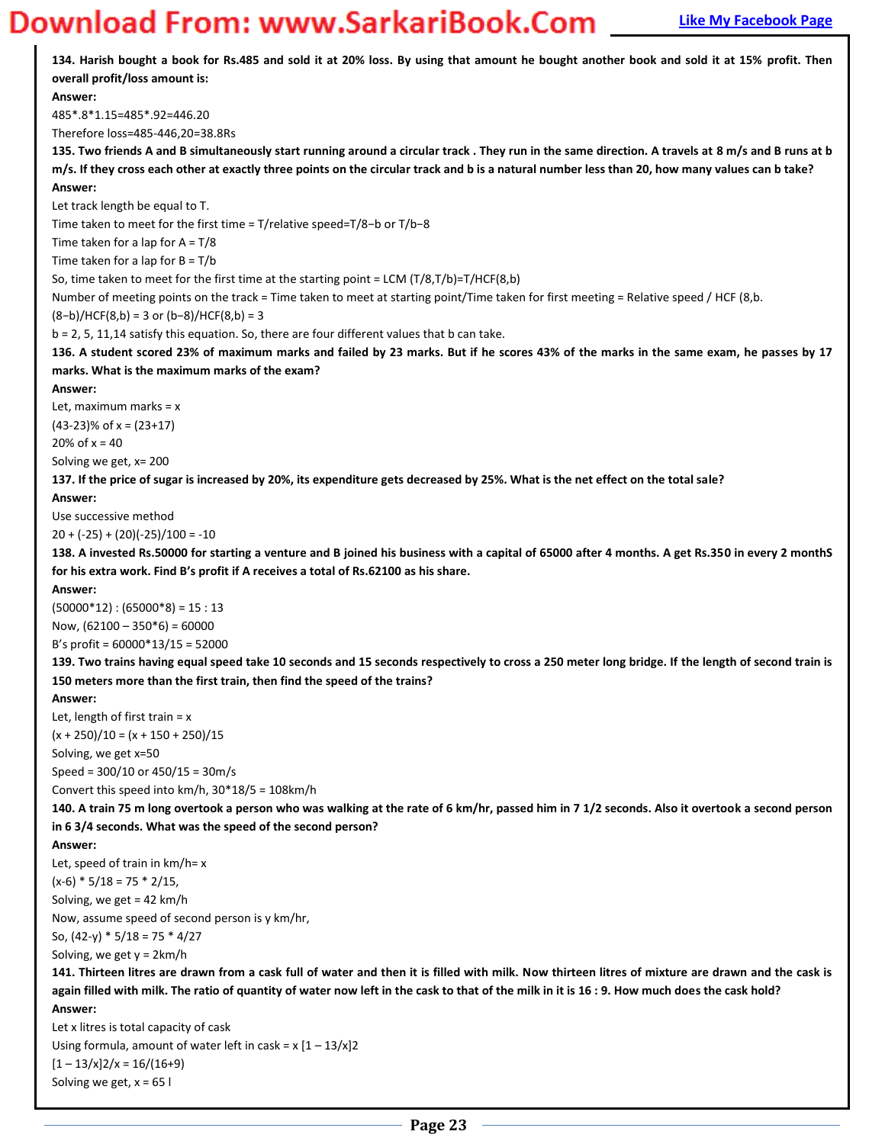# **Magnum Bank Bank Example 20 Works Apple 2011 Magnum 2013 Tagger Apple 2013 Tagger Apple 2013 Tagger Apple 2013 Tagger Apple 2013 Tagger Apple 2013 Tagger Apple 2014 Tagger Apple 2013 Tagger Apple 2013 Tagger Apple 2013 Ta**

| overall profit/loss amount is:                                                                                                                     |
|----------------------------------------------------------------------------------------------------------------------------------------------------|
| Answer:                                                                                                                                            |
| 485*.8*1.15=485*.92=446.20                                                                                                                         |
| Therefore loss=485-446,20=38.8Rs                                                                                                                   |
| 135. Two friends A and B simultaneously start running around a circular track. They run in the same direction. A travels at 8 m/s and B runs at b  |
| m/s. If they cross each other at exactly three points on the circular track and b is a natural number less than 20, how many values can b take?    |
| Answer:<br>Let track length be equal to T.                                                                                                         |
| Time taken to meet for the first time = $T$ /relative speed= $T/8$ -b or $T/b-8$                                                                   |
| Time taken for a lap for $A = T/8$                                                                                                                 |
| Time taken for a lap for $B = T/b$                                                                                                                 |
| So, time taken to meet for the first time at the starting point = LCM (T/8,T/b)=T/HCF(8,b)                                                         |
| Number of meeting points on the track = Time taken to meet at starting point/Time taken for first meeting = Relative speed / HCF (8,b.             |
| $(8-b)/HCF(8,b) = 3$ or $(b-8)/HCF(8,b) = 3$                                                                                                       |
| b = 2, 5, 11,14 satisfy this equation. So, there are four different values that b can take.                                                        |
| 136. A student scored 23% of maximum marks and failed by 23 marks. But if he scores 43% of the marks in the same exam, he passes by 17             |
| marks. What is the maximum marks of the exam?                                                                                                      |
| Answer:                                                                                                                                            |
| Let, maximum marks = $x$                                                                                                                           |
| $(43-23)\%$ of x = $(23+17)$                                                                                                                       |
| 20% of $x = 40$                                                                                                                                    |
| Solving we get, x= 200                                                                                                                             |
| 137. If the price of sugar is increased by 20%, its expenditure gets decreased by 25%. What is the net effect on the total sale?<br>Answer:        |
| Use successive method                                                                                                                              |
| $20 + (-25) + (20)(-25)/100 = -10$                                                                                                                 |
| 138. A invested Rs.50000 for starting a venture and B joined his business with a capital of 65000 after 4 months. A get Rs.350 in every 2 monthS   |
| for his extra work. Find B's profit if A receives a total of Rs.62100 as his share.                                                                |
| Answer:                                                                                                                                            |
|                                                                                                                                                    |
| $(50000*12):(65000*8)=15:13$                                                                                                                       |
| Now, $(62100 - 350*6) = 60000$                                                                                                                     |
| B's profit = $60000*13/15 = 52000$                                                                                                                 |
| 139. Two trains having equal speed take 10 seconds and 15 seconds respectively to cross a 250 meter long bridge. If the length of second train is  |
| 150 meters more than the first train, then find the speed of the trains?                                                                           |
| Answer:                                                                                                                                            |
| Let, length of first train = $x$                                                                                                                   |
| $(x + 250)/10 = (x + 150 + 250)/15$                                                                                                                |
| Solving, we get x=50                                                                                                                               |
| Speed = $300/10$ or $450/15 = 30$ m/s                                                                                                              |
| Convert this speed into km/h, $30*18/5 = 108$ km/h                                                                                                 |
| 140. A train 75 m long overtook a person who was walking at the rate of 6 km/hr, passed him in 7 1/2 seconds. Also it overtook a second person     |
| in 63/4 seconds. What was the speed of the second person?<br>Answer:                                                                               |
| Let, speed of train in $km/h = x$                                                                                                                  |
| $(x-6) * 5/18 = 75 * 2/15$                                                                                                                         |
| Solving, we get = $42$ km/h                                                                                                                        |
| Now, assume speed of second person is y km/hr,                                                                                                     |
| So, $(42-y) * 5/18 = 75 * 4/27$                                                                                                                    |
| Solving, we get $y = 2km/h$                                                                                                                        |
| 141. Thirteen litres are drawn from a cask full of water and then it is filled with milk. Now thirteen litres of mixture are drawn and the cask is |
| again filled with milk. The ratio of quantity of water now left in the cask to that of the milk in it is 16:9. How much does the cask hold?        |
| Answer:                                                                                                                                            |
| Let x litres is total capacity of cask                                                                                                             |
| Using formula, amount of water left in cask = $x$ $[1 - 13/x]2$                                                                                    |
| $[1 - 13/x]2/x = 16/(16+9)$<br>Solving we get, $x = 65$ l                                                                                          |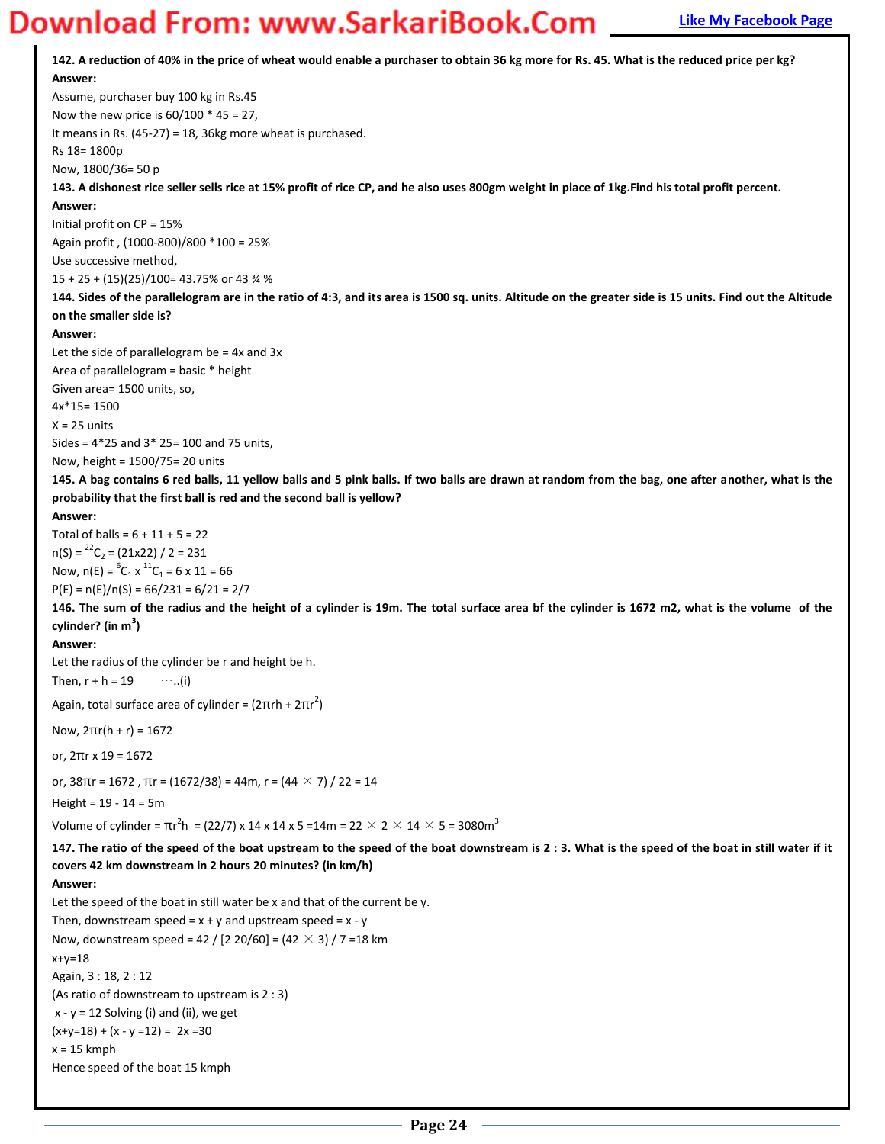**142. A reduction of 40% in the price of wheat would enable a purchaser to obtain 36 kg more for Rs. 45. What is the reduced price per kg? Answer:**  Assume, purchaser buy 100 kg in Rs.45 Now the new price is  $60/100 * 45 = 27$ , It means in Rs. (45-27) = 18, 36kg more wheat is purchased. Rs 18= 1800p Now, 1800/36= 50 p **143. A dishonest rice seller sells rice at 15% profit of rice CP, and he also uses 800gm weight in place of 1kg.Find his total profit percent. Answer:**  Initial profit on CP = 15% Again profit , (1000-800)/800 \*100 = 25% Use successive method, 15 + 25 + (15)(25)/100= 43.75% or 43 ¾ % **144. Sides of the parallelogram are in the ratio of 4:3, and its area is 1500 sq. units. Altitude on the greater side is 15 units. Find out the Altitude on the smaller side is? Answer:**  Let the side of parallelogram be  $=$  4x and 3x Area of parallelogram = basic \* height Given area= 1500 units, so, 4x\*15= 1500  $X = 25$  units Sides = 4\*25 and 3\* 25= 100 and 75 units, Now, height = 1500/75= 20 units **145. A bag contains 6 red balls, 11 yellow balls and 5 pink balls. If two balls are drawn at random from the bag, one after another, what is the probability that the first ball is red and the second ball is yellow? Answer:**  Total of balls =  $6 + 11 + 5 = 22$  $n(S) = {}^{22}C_2 = (21x22) / 2 = 231$ Now,  $n(E) = {^{6}}C_1 \times {^{11}}C_1 = 6 \times 11 = 66$  $P(E) = n(E)/n(S) = 66/231 = 6/21 = 2/7$ **146. The sum of the radius and the height of a cylinder is 19m. The total surface area bf the cylinder is 1672 m2, what is the volume of the cylinder? (in m<sup>3</sup> ) Answer:**  Let the radius of the cylinder be r and height be h. Then,  $r + h = 19$  …..(i) Again, total surface area of cylinder =  $(2\pi rh + 2\pi r^2)$ Now, 2πr(h + r) = 1672 or, 2πr x 19 = 1672 or,  $38\pi r = 1672$ ,  $\pi r = (1672/38) = 44$ m,  $r = (44 \times 7)/22 = 14$ Height = 19 - 14 = 5m Volume of cylinder =  $\text{πr}^2\text{h}$  = (22/7) x 14 x 14 x 5 =14m = 22  $\times$  2  $\times$  14  $\times$  5 = 3080m $^3$ **147. The ratio of the speed of the boat upstream to the speed of the boat downstream is 2 : 3. What is the speed of the boat in still water if it covers 42 km downstream in 2 hours 20 minutes? (in km/h) Answer:**  Let the speed of the boat in still water be x and that of the current be y. Then, downstream speed =  $x + y$  and upstream speed =  $x - y$ Now, downstream speed = 42 / [2 20/60] =  $(42 \times 3)$  / 7 = 18 km  $x+y=18$ Again, 3 : 18, 2 : 12 (As ratio of downstream to upstream is 2 : 3)  $x - y = 12$  Solving (i) and (ii), we get  $(x+y=18) + (x - y = 12) = 2x = 30$  $x = 15$  kmph Hence speed of the boat 15 kmph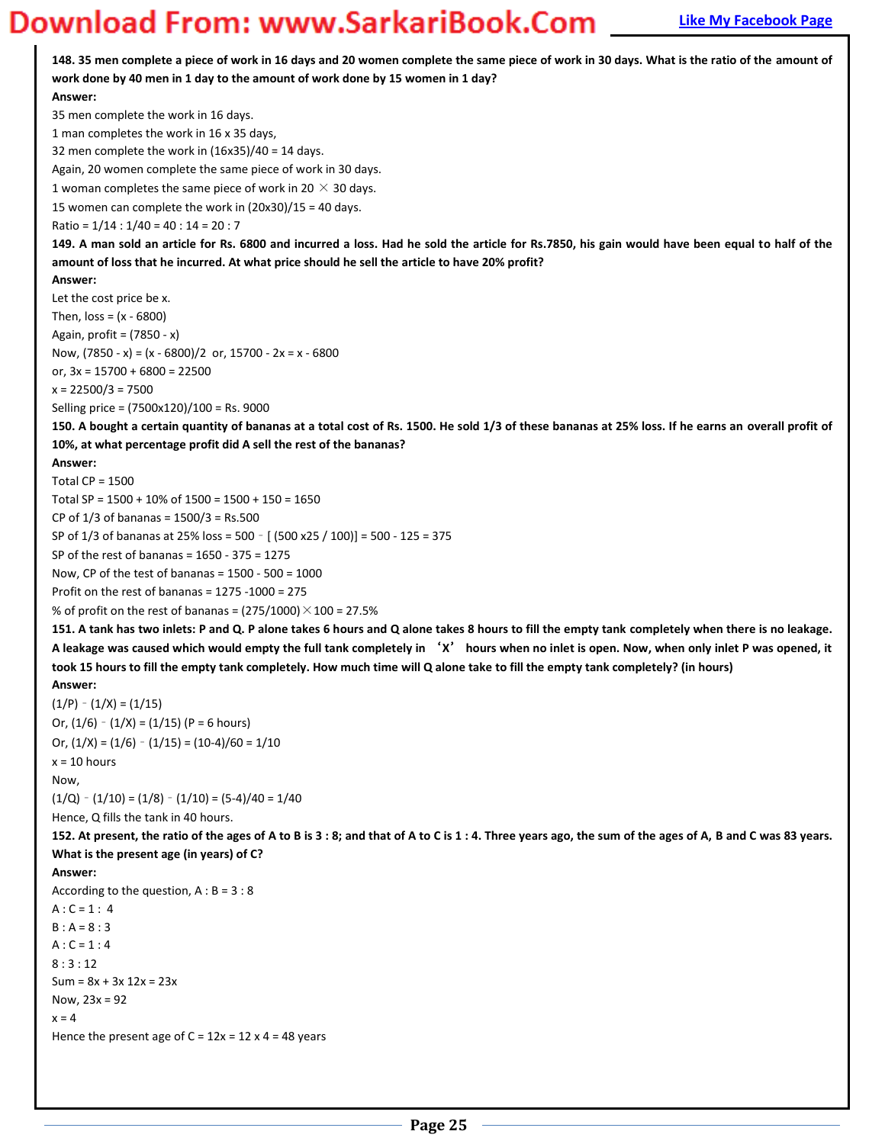**148. 35 men complete a piece of work in 16 days and 20 women complete the same piece of work in 30 days. What is the ratio of the amount of work done by 40 men in 1 day to the amount of work done by 15 women in 1 day? Answer:**  35 men complete the work in 16 days. 1 man completes the work in 16 x 35 days, 32 men complete the work in (16x35)/40 = 14 days. Again, 20 women complete the same piece of work in 30 days. 1 woman completes the same piece of work in 20  $\times$  30 days. 15 women can complete the work in (20x30)/15 = 40 days. Ratio = 1/14 : 1/40 = 40 : 14 = 20 : 7 **149. A man sold an article for Rs. 6800 and incurred a loss. Had he sold the article for Rs.7850, his gain would have been equal to half of the amount of loss that he incurred. At what price should he sell the article to have 20% profit? Answer:**  Let the cost price be x. Then,  $loss = (x - 6800)$ Again, profit = (7850 - x) Now,  $(7850 - x) = (x - 6800)/2$  or,  $15700 - 2x = x - 6800$ or,  $3x = 15700 + 6800 = 22500$  $x = 22500/3 = 7500$ Selling price = (7500x120)/100 = Rs. 9000 **150. A bought a certain quantity of bananas at a total cost of Rs. 1500. He sold 1/3 of these bananas at 25% loss. If he earns an overall profit of 10%, at what percentage profit did A sell the rest of the bananas? Answer:**  Total CP = 1500 Total SP = 1500 + 10% of 1500 = 1500 + 150 = 1650 CP of  $1/3$  of bananas =  $1500/3$  = Rs.500 SP of 1/3 of bananas at 25% loss = 500 – [ (500 x25 / 100)] = 500 - 125 = 375 SP of the rest of bananas = 1650 - 375 = 1275 Now, CP of the test of bananas =  $1500 - 500 = 1000$ Profit on the rest of bananas = 1275 -1000 = 275 % of profit on the rest of bananas =  $(275/1000) \times 100 = 27.5\%$ **151. A tank has two inlets: P and Q. P alone takes 6 hours and Q alone takes 8 hours to fill the empty tank completely when there is no leakage. A leakage was caused which would empty the full tank completely in** ͂**X**̓ **hours when no inlet is open. Now, when only inlet P was opened, it took 15 hours to fill the empty tank completely. How much time will Q alone take to fill the empty tank completely? (in hours) Answer:**   $(1/P) - (1/X) = (1/15)$ Or,  $(1/6) - (1/X) = (1/15)$  (P = 6 hours) Or,  $(1/X) = (1/6) - (1/15) = (10-4)/60 = 1/10$  $x = 10$  hours Now,  $(1/Q) - (1/10) = (1/8) - (1/10) = (5-4)/40 = 1/40$ Hence, Q fills the tank in 40 hours. **152. At present, the ratio of the ages of A to B is 3 : 8; and that of A to C is 1 : 4. Three years ago, the sum of the ages of A, B and C was 83 years. What is the present age (in years) of C? Answer:**  According to the question,  $A : B = 3 : 8$  $A : C = 1 : 4$  $B : A = 8 : 3$  $A : C = 1 : 4$  $8 \cdot 3 \cdot 12$  $Sum = 8x + 3x 12x = 23x$ Now,  $23x = 92$  $x = 4$ Hence the present age of  $C = 12x = 12 \times 4 = 48$  years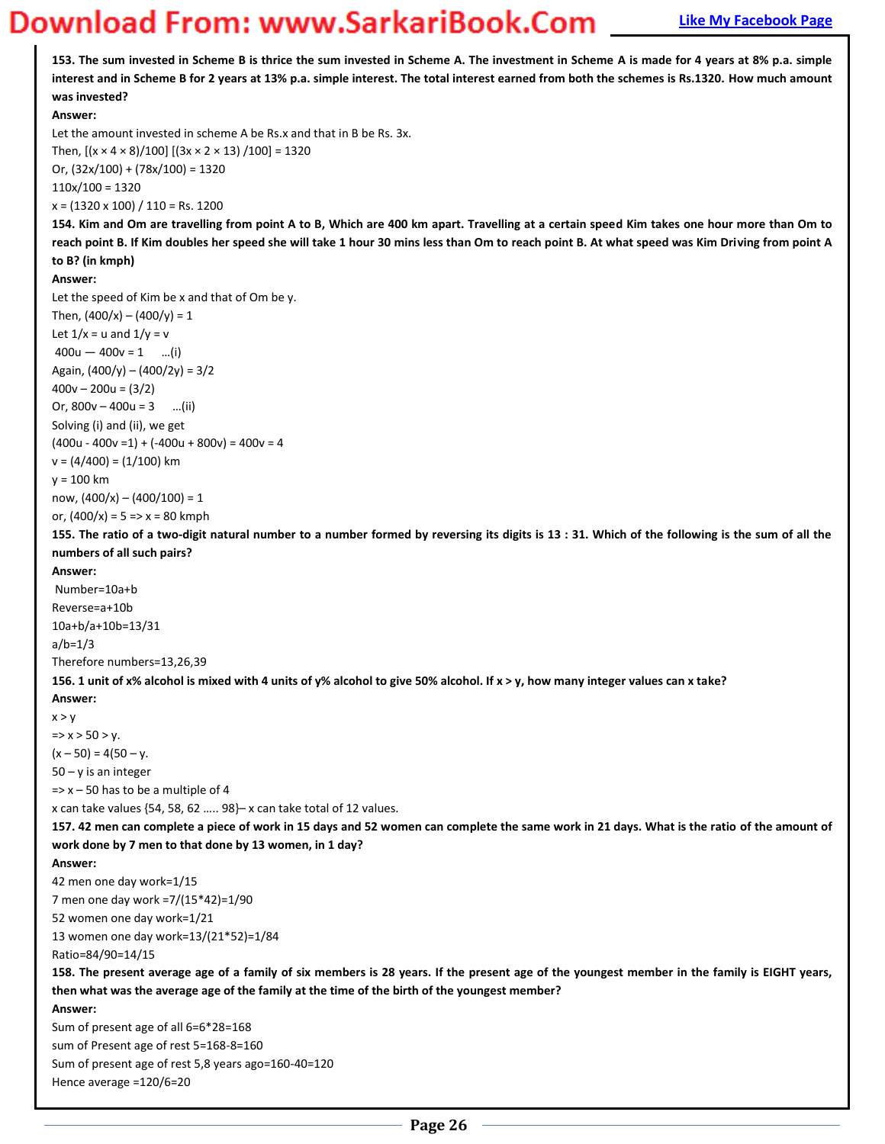### **Magnus Bank Example 20 You Bank Example 20 You Download From: WWW.SarkariBook.Com**

**153. The sum invested in Scheme B is thrice the sum invested in Scheme A. The investment in Scheme A is made for 4 years at 8% p.a. simple interest and in Scheme B for 2 years at 13% p.a. simple interest. The total interest earned from both the schemes is Rs.1320. How much amount was invested? Answer:**  Let the amount invested in scheme A be Rs.x and that in B be Rs. 3x. Then,  $[(x \times 4 \times 8)/100]$   $[(3x \times 2 \times 13)/100] = 1320$ Or,  $(32x/100) + (78x/100) = 1320$ 110x/100 = 1320  $x = (1320 \times 100) / 110 =$ Rs. 1200 **154. Kim and Om are travelling from point A to B, Which are 400 km apart. Travelling at a certain speed Kim takes one hour more than Om to reach point B. If Kim doubles her speed she will take 1 hour 30 mins less than Om to reach point B. At what speed was Kim Driving from point A to B? (in kmph) Answer:**  Let the speed of Kim be x and that of Om be y. Then,  $(400/x) - (400/y) = 1$ Let  $1/x = u$  and  $1/y = v$  $400u - 400v = 1$  ...(i) Again,  $(400/y) - (400/2y) = 3/2$  $400v - 200u = (3/2)$ Or,  $800v - 400u = 3$  ...(ii) Solving (i) and (ii), we get  $(400u - 400v = 1) + (-400u + 800v) = 400v = 4$  $v = (4/400) = (1/100)$  km y = 100 km now, (400/x) – (400/100) = 1 or,  $(400/x) = 5 \Rightarrow x = 80$  kmph **155. The ratio of a two-digit natural number to a number formed by reversing its digits is 13 : 31. Which of the following is the sum of all the numbers of all such pairs? Answer:**  Number=10a+b Reverse=a+10b 10a+b/a+10b=13/31 a/b=1/3 Therefore numbers=13,26,39 **156. 1 unit of x% alcohol is mixed with 4 units of y% alcohol to give 50% alcohol. If x > y, how many integer values can x take? Answer:**   $x > v$  $\Rightarrow$  x  $>$  50  $>$  y.  $(x - 50) = 4(50 - y.$ 50 – y is an integer  $\Rightarrow$  x – 50 has to be a multiple of 4 x can take values  $\{54, 58, 62, \ldots, 98\}$ – x can take total of 12 values. **157. 42 men can complete a piece of work in 15 days and 52 women can complete the same work in 21 days. What is the ratio of the amount of work done by 7 men to that done by 13 women, in 1 day? Answer:**  42 men one day work=1/15 7 men one day work =7/(15\*42)=1/90 52 women one day work=1/21 13 women one day work=13/(21\*52)=1/84 Ratio=84/90=14/15 **158. The present average age of a family of six members is 28 years. If the present age of the youngest member in the family is EIGHT years, then what was the average age of the family at the time of the birth of the youngest member? Answer:**  Sum of present age of all 6=6\*28=168 sum of Present age of rest 5=168-8=160 Sum of present age of rest 5,8 years ago=160-40=120 Hence average =120/6=20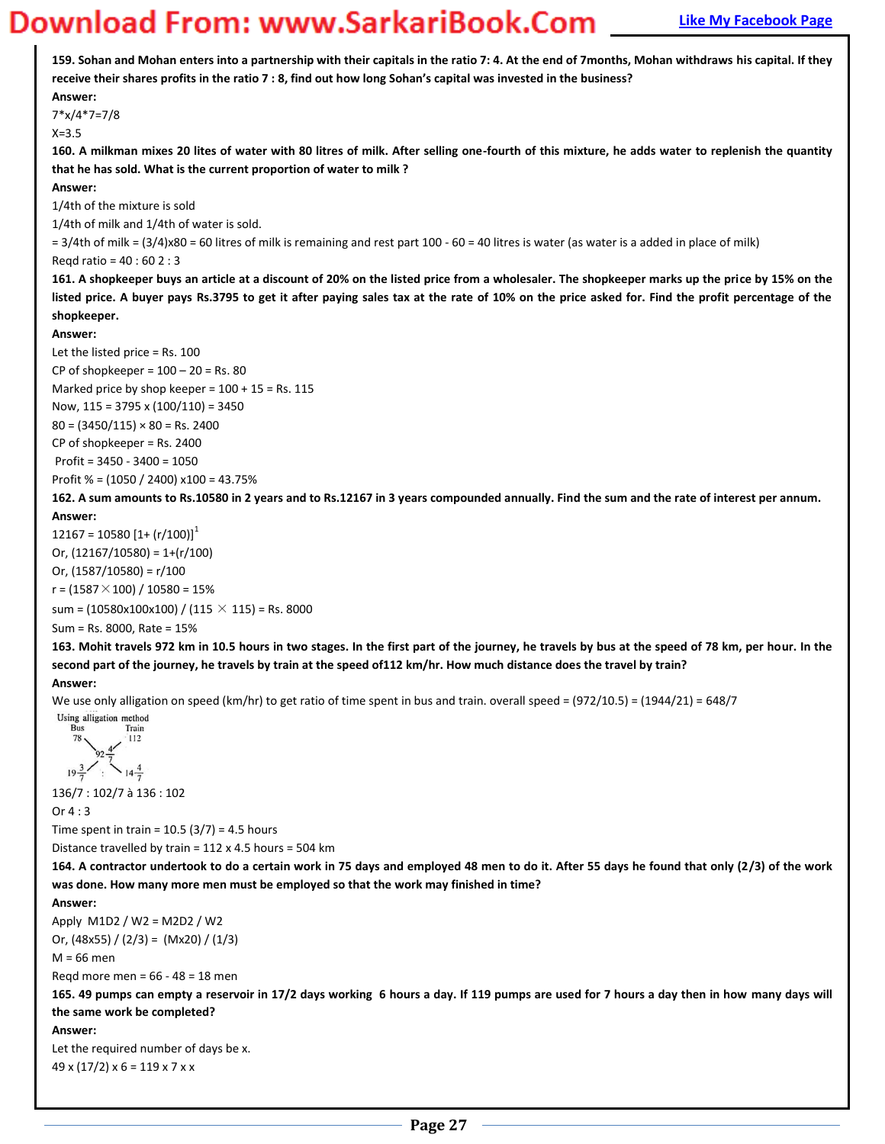**159. Sohan and Mohan enters into a partnership with their capitals in the ratio 7: 4. At the end of 7months, Mohan withdraws his capital. If they**  receive their shares profits in the ratio 7 : 8, find out how long Sohan's capital was invested in the business? **Answer:**  7\*x/4\*7=7/8 X=3.5 **160. A milkman mixes 20 lites of water with 80 litres of milk. After selling one-fourth of this mixture, he adds water to replenish the quantity that he has sold. What is the current proportion of water to milk ? Answer:**  1/4th of the mixture is sold 1/4th of milk and 1/4th of water is sold.  $= 3/4$ th of milk = (3/4)x80 = 60 litres of milk is remaining and rest part 100 - 60 = 40 litres is water (as water is a added in place of milk) Reqd ratio = 40 : 60 2 : 3 **161. A shopkeeper buys an article at a discount of 20% on the listed price from a wholesaler. The shopkeeper marks up the price by 15% on the listed price. A buyer pays Rs.3795 to get it after paying sales tax at the rate of 10% on the price asked for. Find the profit percentage of the shopkeeper. Answer:**  Let the listed price = Rs. 100 CP of shopkeeper =  $100 - 20 =$  Rs. 80 Marked price by shop keeper =  $100 + 15$  = Rs. 115 Now, 115 = 3795 x (100/110) = 3450  $80 = (3450/115) \times 80 =$  Rs. 2400 CP of shopkeeper = Rs. 2400 Profit = 3450 - 3400 = 1050 Profit % = (1050 / 2400) x100 = 43.75% **162. A sum amounts to Rs.10580 in 2 years and to Rs.12167 in 3 years compounded annually. Find the sum and the rate of interest per annum. Answer:**   $12167 = 10580$   $[1 + (r/100)]<sup>1</sup>$ Or,  $(12167/10580) = 1+(r/100)$ Or,  $(1587/10580) = r/100$  $r = (1587 \times 100) / 10580 = 15%$ sum = (10580x100x100) / (115  $\times$  115) = Rs. 8000 Sum = Rs. 8000, Rate = 15% **163. Mohit travels 972 km in 10.5 hours in two stages. In the first part of the journey, he travels by bus at the speed of 78 km, per hour. In the second part of the journey, he travels by train at the speed of112 km/hr. How much distance does the travel by train? Answer:**  We use only alligation on speed (km/hr) to get ratio of time spent in bus and train. overall speed = (972/10.5) = (1944/21) = 648/7 Using alligation method 78  $112$  $14\frac{4}{7}$  $19\frac{3}{7}$ 136/7 : 102/7 à 136 : 102 Or 4 : 3 Time spent in train =  $10.5$  (3/7) = 4.5 hours Distance travelled by train = 112 x 4.5 hours = 504 km **164. A contractor undertook to do a certain work in 75 days and employed 48 men to do it. After 55 days he found that only (2/3) of the work was done. How many more men must be employed so that the work may finished in time? Answer:**  Apply M1D2 / W2 = M2D2 / W2 Or, (48x55) / (2/3) = (Mx20) / (1/3)  $M = 66$  men Reqd more men = 66 - 48 = 18 men **165. 49 pumps can empty a reservoir in 17/2 days working 6 hours a day. If 119 pumps are used for 7 hours a day then in how many days will the same work be completed? Answer:**  Let the required number of days be x.  $49 \times (17/2) \times 6 = 119 \times 7 \times x$ **Page 27**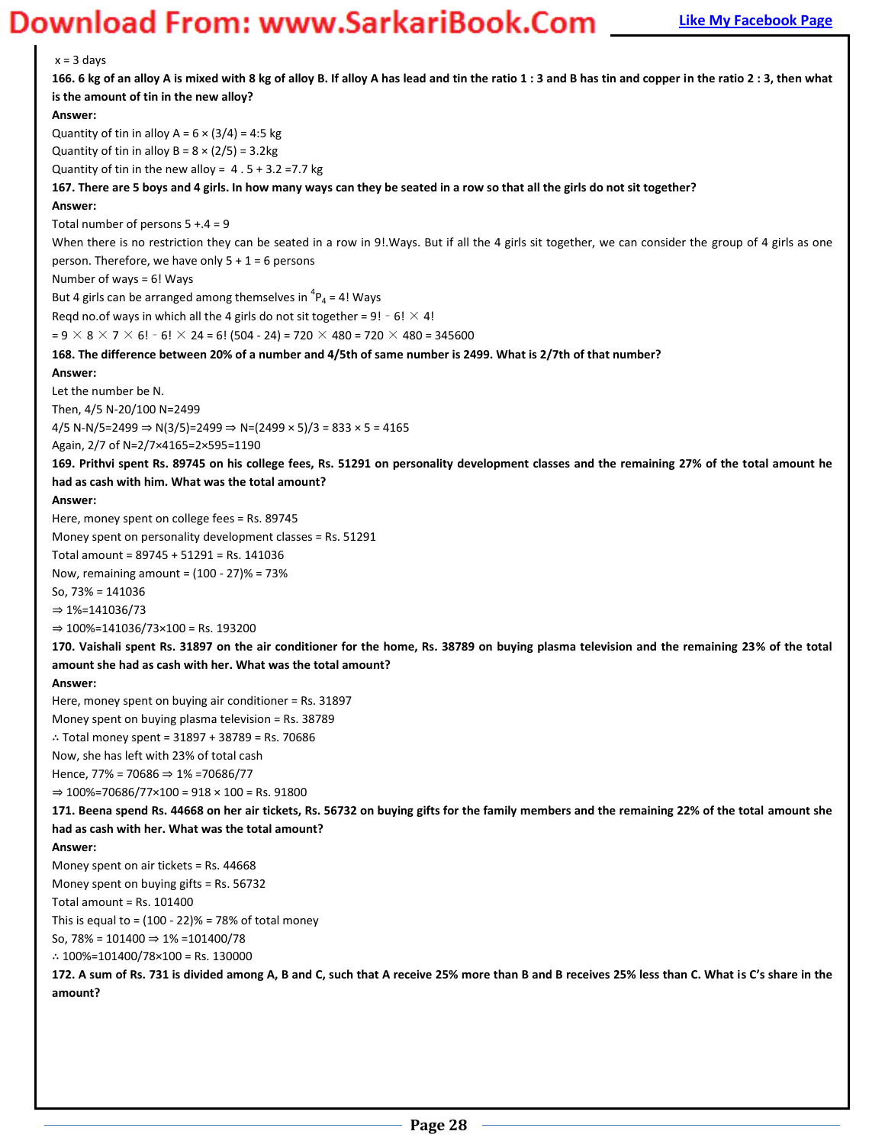### **Magnum Bank Example 20 Word Concerns Apple 2013 The My Facebook Page**

 $x = 3$  days **166. 6 kg of an alloy A is mixed with 8 kg of alloy B. If alloy A has lead and tin the ratio 1 : 3 and B has tin and copper in the ratio 2 : 3, then what is the amount of tin in the new alloy? Answer:**  Quantity of tin in alloy  $A = 6 \times (3/4) = 4:5$  kg Quantity of tin in alloy  $B = 8 \times (2/5) = 3.2$ kg Quantity of tin in the new alloy =  $4.5 + 3.2 = 7.7$  kg **167. There are 5 boys and 4 girls. In how many ways can they be seated in a row so that all the girls do not sit together? Answer:**  Total number of persons  $5 + .4 = 9$ When there is no restriction they can be seated in a row in 9! Ways. But if all the 4 girls sit together, we can consider the group of 4 girls as one person. Therefore, we have only  $5 + 1 = 6$  persons Number of ways = 6! Ways But 4 girls can be arranged among themselves in  ${}^{4}P_4$  = 4! Ways Reqd no.of ways in which all the 4 girls do not sit together =  $9! - 6! \times 4!$  $= 9 \times 8 \times 7 \times 6!$  - 6!  $\times$  24 = 6! (504 - 24) = 720  $\times$  480 = 720  $\times$  480 = 345600 **168. The difference between 20% of a number and 4/5th of same number is 2499. What is 2/7th of that number? Answer:**  Let the number be N. Then, 4/5 N-20/100 N=2499  $4/5$  N-N/5=2499  $\Rightarrow$  N(3/5)=2499  $\Rightarrow$  N=(2499  $\times$  5)/3 = 833  $\times$  5 = 4165 Again, 2/7 of N=2/7×4165=2×595=1190 **169. Prithvi spent Rs. 89745 on his college fees, Rs. 51291 on personality development classes and the remaining 27% of the total amount he had as cash with him. What was the total amount? Answer:**  Here, money spent on college fees = Rs. 89745 Money spent on personality development classes = Rs. 51291 Total amount = 89745 + 51291 = Rs. 141036 Now, remaining amount = (100 - 27)% = 73% So, 73% = 141036  $⇒ 1%=141036/73$  $\Rightarrow$  100%=141036/73×100 = Rs. 193200 **170. Vaishali spent Rs. 31897 on the air conditioner for the home, Rs. 38789 on buying plasma television and the remaining 23% of the total amount she had as cash with her. What was the total amount? Answer:**  Here, money spent on buying air conditioner = Rs. 31897 Money spent on buying plasma television = Rs. 38789 ∴ Total money spent = 31897 + 38789 = Rs. 70686 Now, she has left with 23% of total cash Hence, 77% = 70686  $\Rightarrow$  1% = 70686/77  $\Rightarrow$  100%=70686/77×100 = 918 × 100 = Rs. 91800 **171. Beena spend Rs. 44668 on her air tickets, Rs. 56732 on buying gifts for the family members and the remaining 22% of the total amount she had as cash with her. What was the total amount? Answer:**  Money spent on air tickets = Rs. 44668 Money spent on buying gifts = Rs. 56732 Total amount = Rs. 101400 This is equal to =  $(100 - 22)\% = 78\%$  of total money So, 78% = 101400  $\Rightarrow$  1% = 101400/78 ∴ 100%=101400/78×100 = Rs. 130000 172. A sum of Rs. 731 is divided among A, B and C, such that A receive 25% more than B and B receives 25% less than C. What is C's share in the **amount?**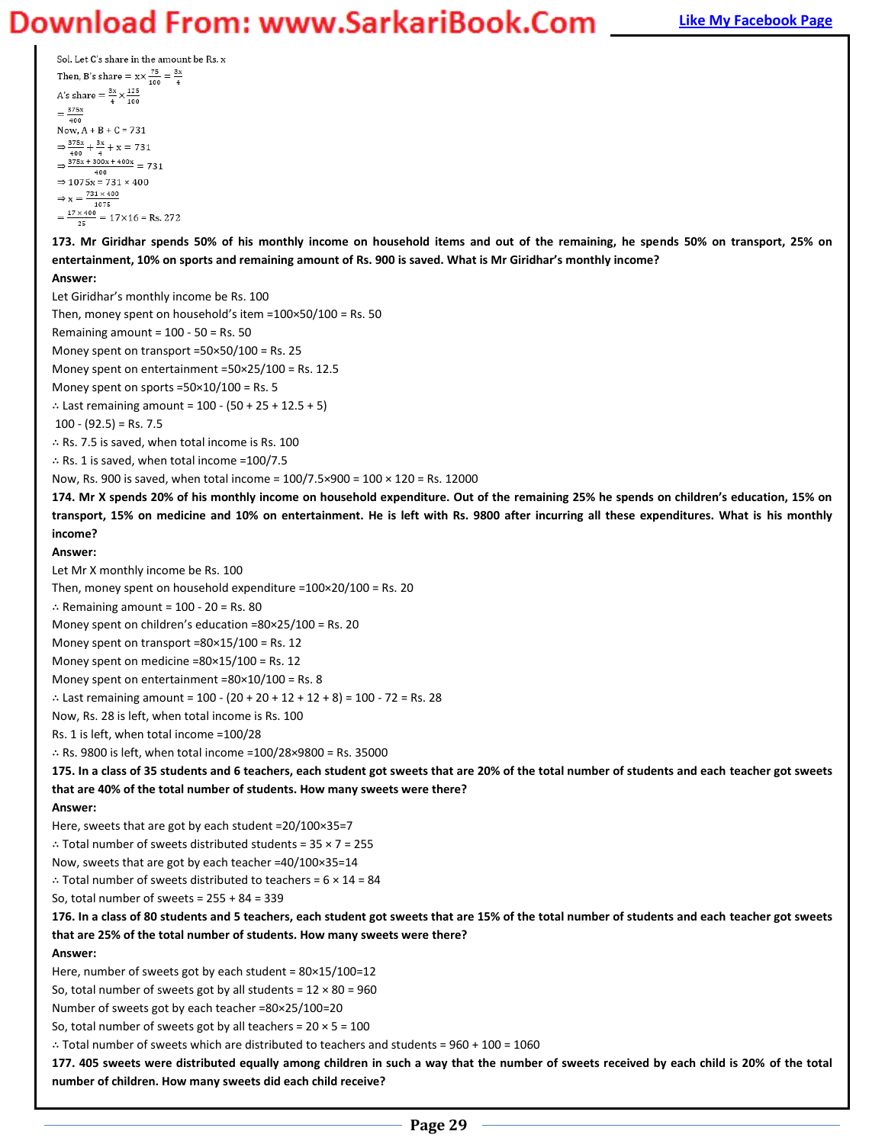Sol. Let C's share in the amount be Rs. x Then, B's share =  $x \times \frac{75}{100} = \frac{3x}{4}$ A's share =  $\frac{3x}{4} \times \frac{125}{100}$  $=\frac{375x}{400}$ Now,  $A + B + C = 731$  $\Rightarrow \frac{375x}{400} + \frac{3x}{4} + x = 731$  $\Rightarrow \frac{375x + 300x + 400x}{375x + 300x} = 731$ 400  $\Rightarrow$  1075x = 731 × 400  $\Rightarrow x = \frac{731 \times 400}{1075}$  $=\frac{17 \times 400}{25} = 17 \times 16 = \text{Rs. } 272$ 

**173. Mr Giridhar spends 50% of his monthly income on household items and out of the remaining, he spends 50% on transport, 25% on**  entertainment, 10% on sports and remaining amount of Rs. 900 is saved. What is Mr Giridhar's monthly income?

### **Answer:**

Let Giridhar's monthly income be Rs. 100

Then, money spent on household's item = $100 \times 50/100$  = Rs. 50

Remaining amount =  $100 - 50 = Rs. 50$ 

Money spent on transport =50×50/100 = Rs. 25

Money spent on entertainment =50×25/100 = Rs. 12.5

Money spent on sports = $50 \times 10 / 100$  = Rs. 5

∴ Last remaining amount = 100 - (50 + 25 + 12.5 + 5)

 $100 - (92.5) =$  Rs. 7.5

∴ Rs. 7.5 is saved, when total income is Rs. 100

∴ Rs. 1 is saved, when total income =100/7.5

Now, Rs. 900 is saved, when total income =  $100/7.5 \times 900 = 100 \times 120 =$  Rs. 12000

174. Mr X spends 20% of his monthly income on household expenditure. Out of the remaining 25% he spends on children's education, 15% on **transport, 15% on medicine and 10% on entertainment. He is left with Rs. 9800 after incurring all these expenditures. What is his monthly income?** 

### **Answer:**

Let Mr X monthly income be Rs. 100

Then, money spent on household expenditure =100×20/100 = Rs. 20

∴ Remaining amount = 100 - 20 = Rs. 80

Money spent on children's education = $80 \times 25/100$  = Rs. 20

Money spent on transport =80×15/100 = Rs. 12

Money spent on medicine =80×15/100 = Rs. 12

Money spent on entertainment =80×10/100 = Rs. 8

∴ Last remaining amount =  $100 - (20 + 20 + 12 + 12 + 8) = 100 - 72 =$  Rs. 28

Now, Rs. 28 is left, when total income is Rs. 100

Rs. 1 is left, when total income =100/28

∴ Rs. 9800 is left, when total income =100/28×9800 = Rs. 35000

**175. In a class of 35 students and 6 teachers, each student got sweets that are 20% of the total number of students and each teacher got sweets that are 40% of the total number of students. How many sweets were there?** 

**Answer:** 

Here, sweets that are got by each student =20/100×35=7

∴ Total number of sweets distributed students = 35 × 7 = 255

Now, sweets that are got by each teacher =40/100×35=14

∴ Total number of sweets distributed to teachers = 6 × 14 = 84

So, total number of sweets =  $255 + 84 = 339$ 

**176. In a class of 80 students and 5 teachers, each student got sweets that are 15% of the total number of students and each teacher got sweets that are 25% of the total number of students. How many sweets were there?** 

#### **Answer:**

Here, number of sweets got by each student = 80×15/100=12

So, total number of sweets got by all students =  $12 \times 80 = 960$ 

Number of sweets got by each teacher =80×25/100=20

So, total number of sweets got by all teachers =  $20 \times 5 = 100$ 

∴ Total number of sweets which are distributed to teachers and students = 960 + 100 = 1060

**177. 405 sweets were distributed equally among children in such a way that the number of sweets received by each child is 20% of the total number of children. How many sweets did each child receive?**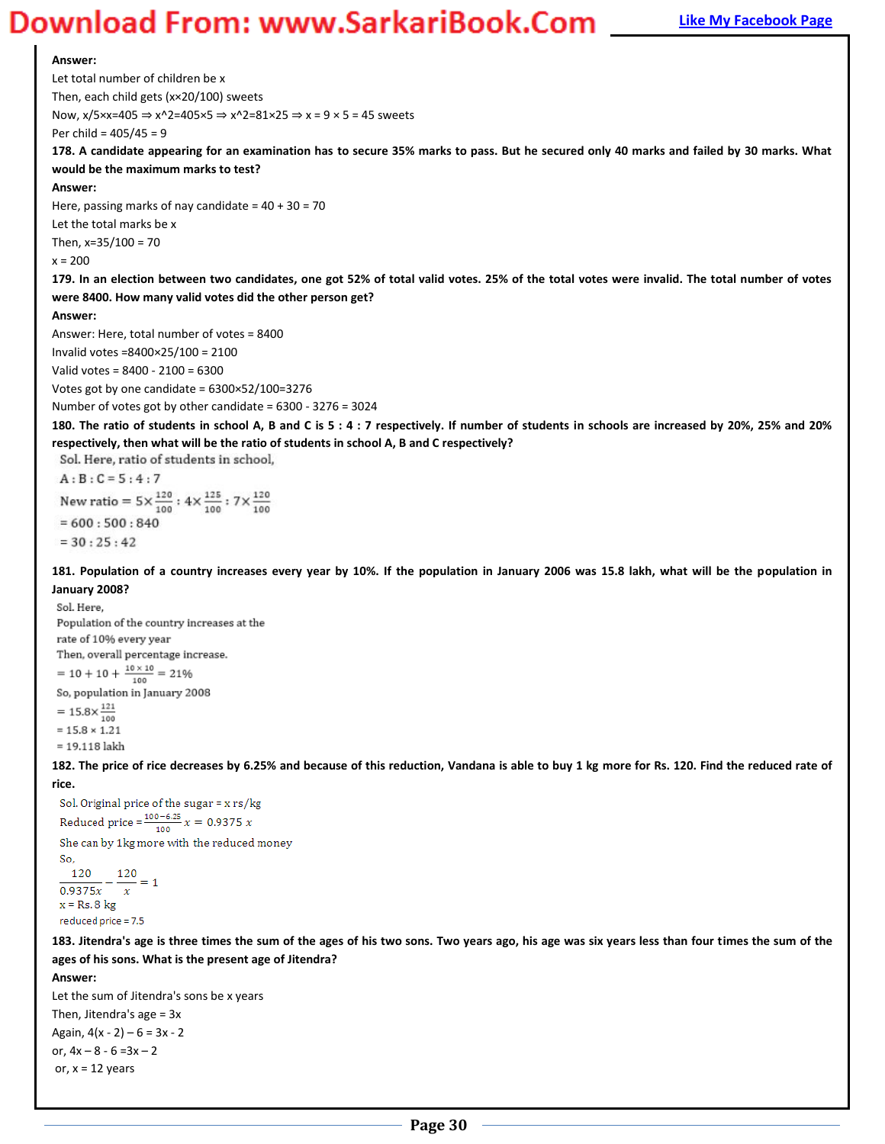#### **Answer:**

Let total number of children be x Then, each child gets (x×20/100) sweets Now,  $x/5 \times x = 405 \Rightarrow x^2 = 405 \times 5 \Rightarrow x^2 = 81 \times 25 \Rightarrow x = 9 \times 5 = 45$  sweets Per child = 405/45 = 9

**178. A candidate appearing for an examination has to secure 35% marks to pass. But he secured only 40 marks and failed by 30 marks. What would be the maximum marks to test?** 

#### **Answer:**

Here, passing marks of nay candidate =  $40 + 30 = 70$ 

Let the total marks be x

Then, x=35/100 = 70

 $x = 200$ 

**179. In an election between two candidates, one got 52% of total valid votes. 25% of the total votes were invalid. The total number of votes were 8400. How many valid votes did the other person get?** 

#### **Answer:**

Answer: Here, total number of votes = 8400

Invalid votes =8400×25/100 = 2100

Valid votes = 8400 - 2100 = 6300

Votes got by one candidate = 6300×52/100=3276 Number of votes got by other candidate = 6300 - 3276 = 3024

**180. The ratio of students in school A, B and C is 5 : 4 : 7 respectively. If number of students in schools are increased by 20%, 25% and 20% respectively, then what will be the ratio of students in school A, B and C respectively?** 

Sol. Here, ratio of students in school,

```
A:B:C=5:4:7New ratio = 5 \times \frac{120}{100} : 4 \times \frac{125}{100} : 7 \times \frac{120}{100}= 600 : 500 : 840= 30:25:42
```
**181. Population of a country increases every year by 10%. If the population in January 2006 was 15.8 lakh, what will be the population in January 2008?** 

Sol. Here. Population of the country increases at the rate of 10% every year Then, overall percentage increase.  $= 10 + 10 + \frac{10 \times 10}{100} = 21\%$ So, population in January 2008  $= 15.8 \times \frac{121}{100}$  $= 15.8 \times 1.21$ 

 $= 19.118$  lakh

**182. The price of rice decreases by 6.25% and because of this reduction, Vandana is able to buy 1 kg more for Rs. 120. Find the reduced rate of rice.** 

```
Sol. Original price of the sugar = x rs/kg
Reduced price = \frac{100 - 6.25}{100} x = 0.9375 xShe can by 1kg more with the reduced money
So.
  120
            120
                 =1\frac{1}{0.9375x} - \frac{1}{x}x = Rs. 8 kgreduced price = 7.5
```
**183. Jitendra's age is three times the sum of the ages of his two sons. Two years ago, his age was six years less than four times the sum of the ages of his sons. What is the present age of Jitendra?** 

#### **Answer:**

Let the sum of Jitendra's sons be x years Then, Jitendra's age = 3x Again,  $4(x - 2) - 6 = 3x - 2$ or,  $4x - 8 - 6 = 3x - 2$ or,  $x = 12$  years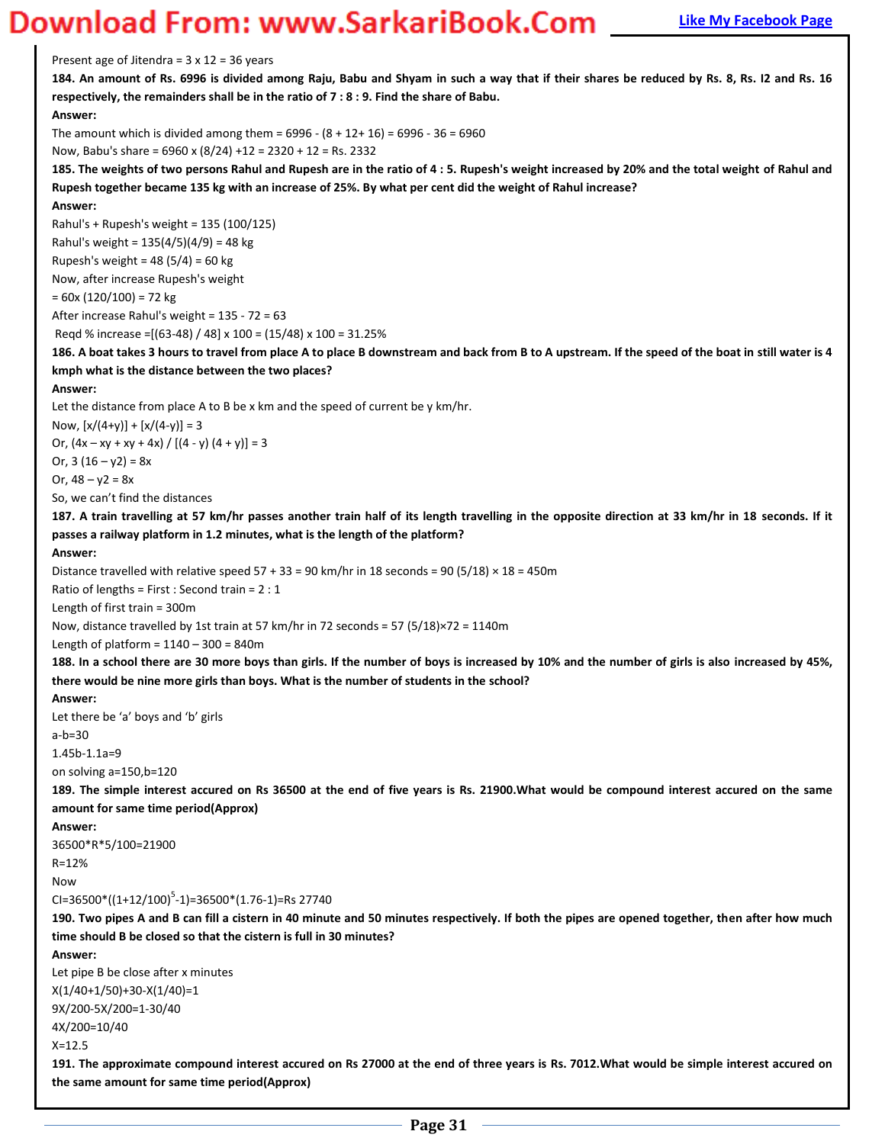Present age of Jitendra =  $3 \times 12 = 36$  years

**184. An amount of Rs. 6996 is divided among Raju, Babu and Shyam in such a way that if their shares be reduced by Rs. 8, Rs. I2 and Rs. 16 respectively, the remainders shall be in the ratio of 7 : 8 : 9. Find the share of Babu.** 

#### **Answer:**

The amount which is divided among them =  $6996 - (8 + 12 + 16) = 6996 - 36 = 6960$ 

Now, Babu's share = 6960 x (8/24) +12 = 2320 + 12 = Rs. 2332

**185. The weights of two persons Rahul and Rupesh are in the ratio of 4 : 5. Rupesh's weight increased by 20% and the total weight of Rahul and Rupesh together became 135 kg with an increase of 25%. By what per cent did the weight of Rahul increase?** 

### **Answer:**

Rahul's + Rupesh's weight = 135 (100/125) Rahul's weight = 135(4/5)(4/9) = 48 kg Rupesh's weight = 48 (5/4) = 60 kg Now, after increase Rupesh's weight

 $= 60x (120/100) = 72 kg$ 

After increase Rahul's weight = 135 - 72 = 63

Reqd % increase =[(63-48) / 48] x 100 = (15/48) x 100 = 31.25%

**186. A boat takes 3 hours to travel from place A to place B downstream and back from B to A upstream. If the speed of the boat in still water is 4 kmph what is the distance between the two places?** 

#### **Answer:**

Let the distance from place A to B be x km and the speed of current be y km/hr.

Now,  $[x/(4+y)] + [x/(4-y)] = 3$ Or,  $(4x - xy + xy + 4x) / [(4 - y) (4 + y)] = 3$ Or,  $3(16 - y2) = 8x$ 

Or,  $48 - y2 = 8x$ 

So, we can't find the distances

**187. A train travelling at 57 km/hr passes another train half of its length travelling in the opposite direction at 33 km/hr in 18 seconds. If it passes a railway platform in 1.2 minutes, what is the length of the platform?** 

#### **Answer:**

Distance travelled with relative speed 57 + 33 = 90 km/hr in 18 seconds = 90 (5/18)  $\times$  18 = 450m

Ratio of lengths = First : Second train = 2 : 1

Length of first train = 300m

Now, distance travelled by 1st train at 57 km/hr in 72 seconds = 57 (5/18)×72 = 1140m

Length of platform =  $1140 - 300 = 840$ m

**188. In a school there are 30 more boys than girls. If the number of boys is increased by 10% and the number of girls is also increased by 45%, there would be nine more girls than boys. What is the number of students in the school?** 

#### **Answer:**

Let there be 'a' boys and 'b' girls

a-b=30

1.45b-1.1a=9

on solving a=150,b=120

**189. The simple interest accured on Rs 36500 at the end of five years is Rs. 21900.What would be compound interest accured on the same amount for same time period(Approx)** 

**Answer:** 

36500\*R\*5/100=21900

R=12%

Now

 $CI = 36500 * ((1 + 12/100)^5 - 1) = 36500 * (1.76 - 1) = Rs 27740$ 

**190. Two pipes A and B can fill a cistern in 40 minute and 50 minutes respectively. If both the pipes are opened together, then after how much time should B be closed so that the cistern is full in 30 minutes?** 

**Answer:** 

Let pipe B be close after x minutes X(1/40+1/50)+30-X(1/40)=1 9X/200-5X/200=1-30/40 4X/200=10/40

X=12.5

**191. The approximate compound interest accured on Rs 27000 at the end of three years is Rs. 7012.What would be simple interest accured on the same amount for same time period(Approx)**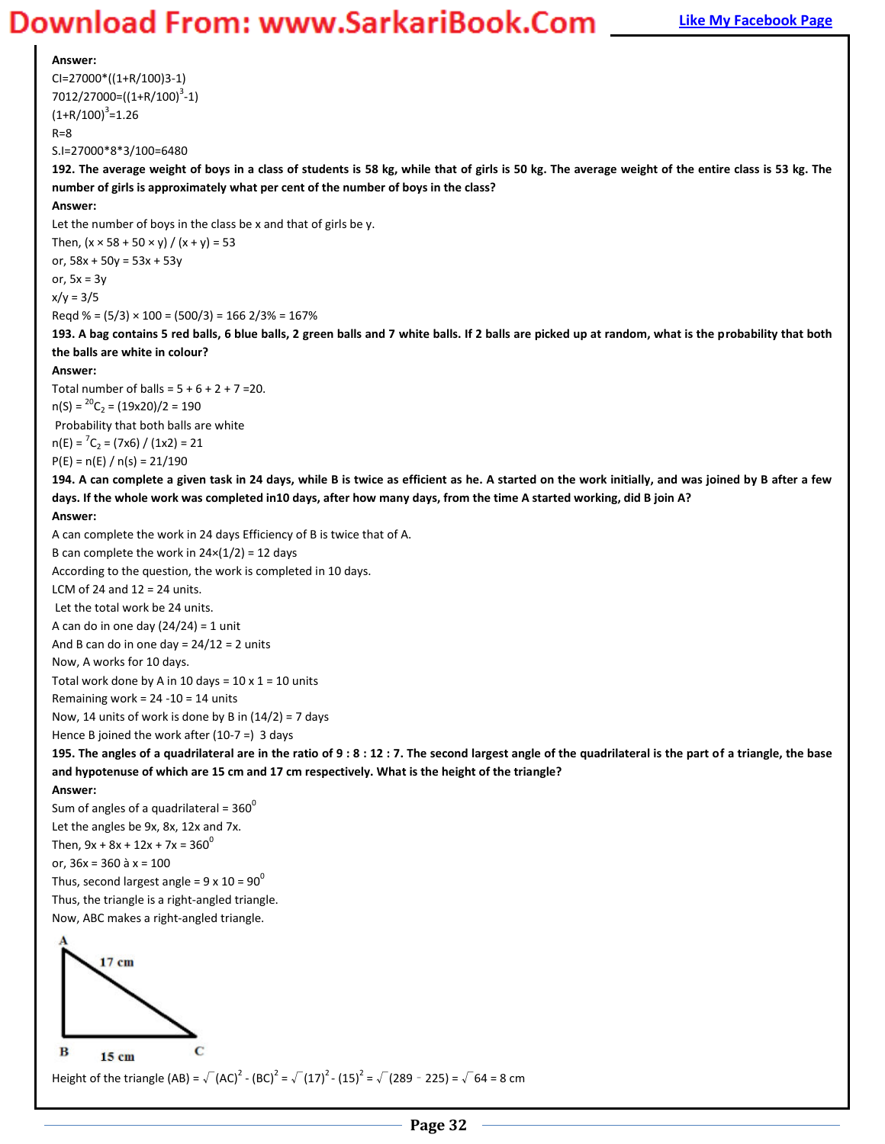#### **Answer:**

CI=27000\*((1+R/100)3-1) 7012/27000=((1+R/100)<sup>3</sup>-1)  $(1+R/100)^3$ =1.26  $R=8$ S.I=27000\*8\*3/100=6480

**192. The average weight of boys in a class of students is 58 kg, while that of girls is 50 kg. The average weight of the entire class is 53 kg. The number of girls is approximately what per cent of the number of boys in the class?** 

#### **Answer:**

Let the number of boys in the class be x and that of girls be y.

Then,  $(x \times 58 + 50 \times y) / (x + y) = 53$ or, 58x + 50y = 53x + 53y or,  $5x = 3y$  $x/y = 3/5$ Reqd % =  $(5/3) \times 100 = (500/3) = 1662/3\% = 167\%$ 

**193. A bag contains 5 red balls, 6 blue balls, 2 green balls and 7 white balls. If 2 balls are picked up at random, what is the probability that both the balls are white in colour?** 

#### **Answer:**

Total number of balls =  $5 + 6 + 2 + 7 = 20$ .  $n(S) = {}^{20}C_2 = (19x20)/2 = 190$  Probability that both balls are white  $n(E) = {}^{7}C_{2} = (7 \times 6) / (1 \times 2) = 21$  $P(E) = n(E) / n(s) = 21/190$ 

**194. A can complete a given task in 24 days, while B is twice as efficient as he. A started on the work initially, and was joined by B after a few days. If the whole work was completed in10 days, after how many days, from the time A started working, did B join A?** 

#### **Answer:**

A can complete the work in 24 days Efficiency of B is twice that of A.

B can complete the work in  $24\times(1/2) = 12$  days

According to the question, the work is completed in 10 days.

LCM of 24 and  $12 = 24$  units.

Let the total work be 24 units.

A can do in one day  $(24/24) = 1$  unit

And B can do in one day =  $24/12 = 2$  units

Now, A works for 10 days.

Total work done by A in 10 days =  $10 \times 1 = 10$  units

Remaining work =  $24 - 10 = 14$  units

Now, 14 units of work is done by B in  $(14/2)$  = 7 days

Hence B joined the work after  $(10-7 =)$  3 days

**195. The angles of a quadrilateral are in the ratio of 9 : 8 : 12 : 7. The second largest angle of the quadrilateral is the part of a triangle, the base and hypotenuse of which are 15 cm and 17 cm respectively. What is the height of the triangle?** 

#### **Answer:**

Sum of angles of a quadrilateral =  $360^{\circ}$ Let the angles be 9x, 8x, 12x and 7x. Then,  $9x + 8x + 12x + 7x = 360^{\circ}$ or,  $36x = 360$  à  $x = 100$ Thus, second largest angle =  $9 \times 10 = 90^0$ Thus, the triangle is a right-angled triangle. Now, ABC makes a right-angled triangle.



Height of the triangle (AB) =  $\sqrt{(AC)}^2$  - (BC)<sup>2</sup> =  $\sqrt{(17)}^2$  - (15)<sup>2</sup> =  $\sqrt{(289 - 225)}$  =  $\sqrt{64}$  = 8 cm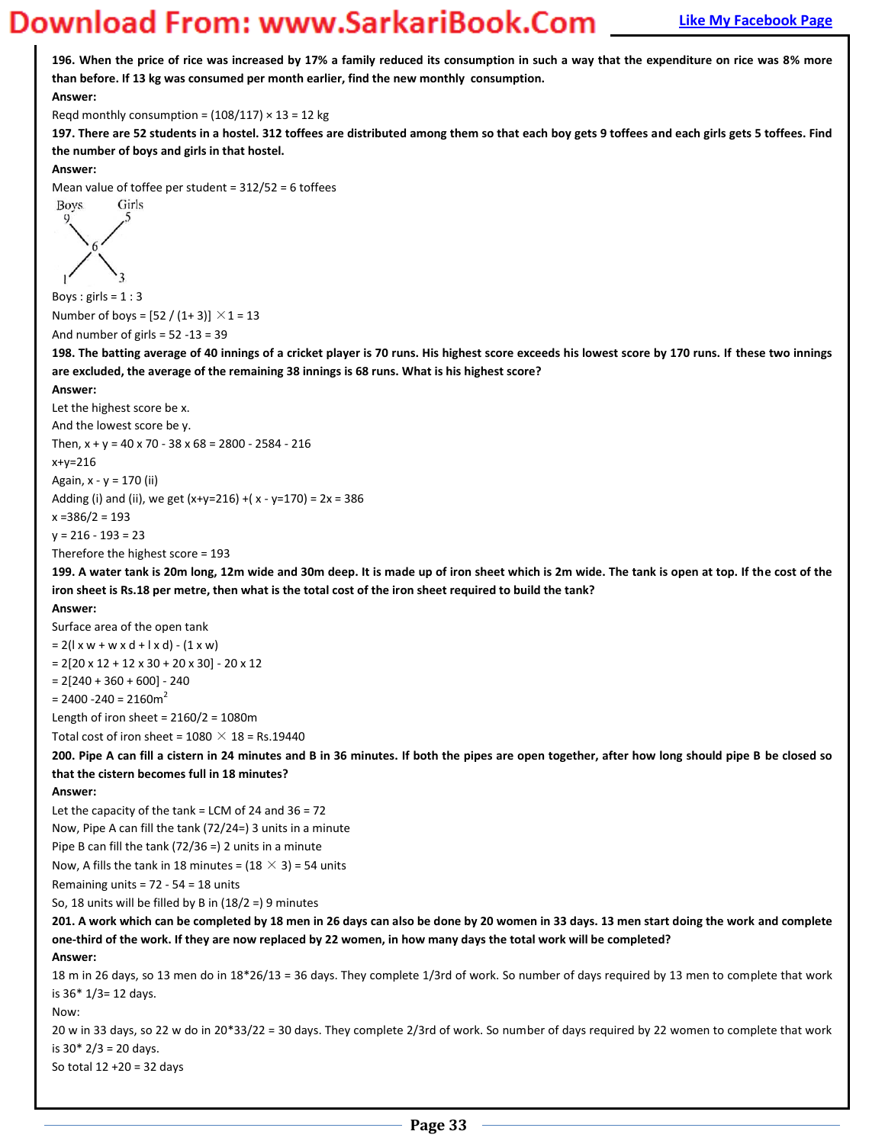**196. When the price of rice was increased by 17% a family reduced its consumption in such a way that the expenditure on rice was 8% more than before. If 13 kg was consumed per month earlier, find the new monthly consumption. Answer:**  Reqd monthly consumption =  $(108/117) \times 13 = 12$  kg **197. There are 52 students in a hostel. 312 toffees are distributed among them so that each boy gets 9 toffees and each girls gets 5 toffees. Find the number of boys and girls in that hostel. Answer:**  Mean value of toffee per student =  $312/52 = 6$  toffees Girls Boys. Boys :  $girls = 1:3$ Number of boys =  $[52 / (1 + 3)] \times 1 = 13$ And number of girls = 52 -13 = 39 **198. The batting average of 40 innings of a cricket player is 70 runs. His highest score exceeds his lowest score by 170 runs. If these two innings are excluded, the average of the remaining 38 innings is 68 runs. What is his highest score? Answer:**  Let the highest score be x. And the lowest score be y. Then,  $x + y = 40 \times 70 - 38 \times 68 = 2800 - 2584 - 216$ x+y=216 Again, x - y = 170 (ii) Adding (i) and (ii), we get  $(x+y=216) + (x - y=170) = 2x = 386$ x =386/2 = 193  $y = 216 - 193 = 23$ Therefore the highest score = 193 **199. A water tank is 20m long, 12m wide and 30m deep. It is made up of iron sheet which is 2m wide. The tank is open at top. If the cost of the iron sheet is Rs.18 per metre, then what is the total cost of the iron sheet required to build the tank? Answer:**  Surface area of the open tank  $= 2(l \times w + w \times d + l \times d) - (1 \times w)$  $= 2[20 \times 12 + 12 \times 30 + 20 \times 30] - 20 \times 12$  $= 2[240 + 360 + 600] - 240$  $= 2400 - 240 = 2160m<sup>2</sup>$ Length of iron sheet =  $2160/2 = 1080$ m Total cost of iron sheet =  $1080 \times 18$  = Rs.19440 **200. Pipe A can fill a cistern in 24 minutes and B in 36 minutes. If both the pipes are open together, after how long should pipe B be closed so that the cistern becomes full in 18 minutes? Answer:**  Let the capacity of the tank = LCM of 24 and 36 = 72 Now, Pipe A can fill the tank (72/24=) 3 units in a minute Pipe B can fill the tank (72/36 =) 2 units in a minute Now, A fills the tank in 18 minutes =  $(18 \times 3)$  = 54 units Remaining units =  $72 - 54 = 18$  units So, 18 units will be filled by B in (18/2 =) 9 minutes **201. A work which can be completed by 18 men in 26 days can also be done by 20 women in 33 days. 13 men start doing the work and complete one-third of the work. If they are now replaced by 22 women, in how many days the total work will be completed? Answer:**  18 m in 26 days, so 13 men do in 18\*26/13 = 36 days. They complete 1/3rd of work. So number of days required by 13 men to complete that work is 36\* 1/3= 12 days. Now: 20 w in 33 days, so 22 w do in 20\*33/22 = 30 days. They complete 2/3rd of work. So number of days required by 22 women to complete that work is 30\* 2/3 = 20 days. So total 12 +20 = 32 days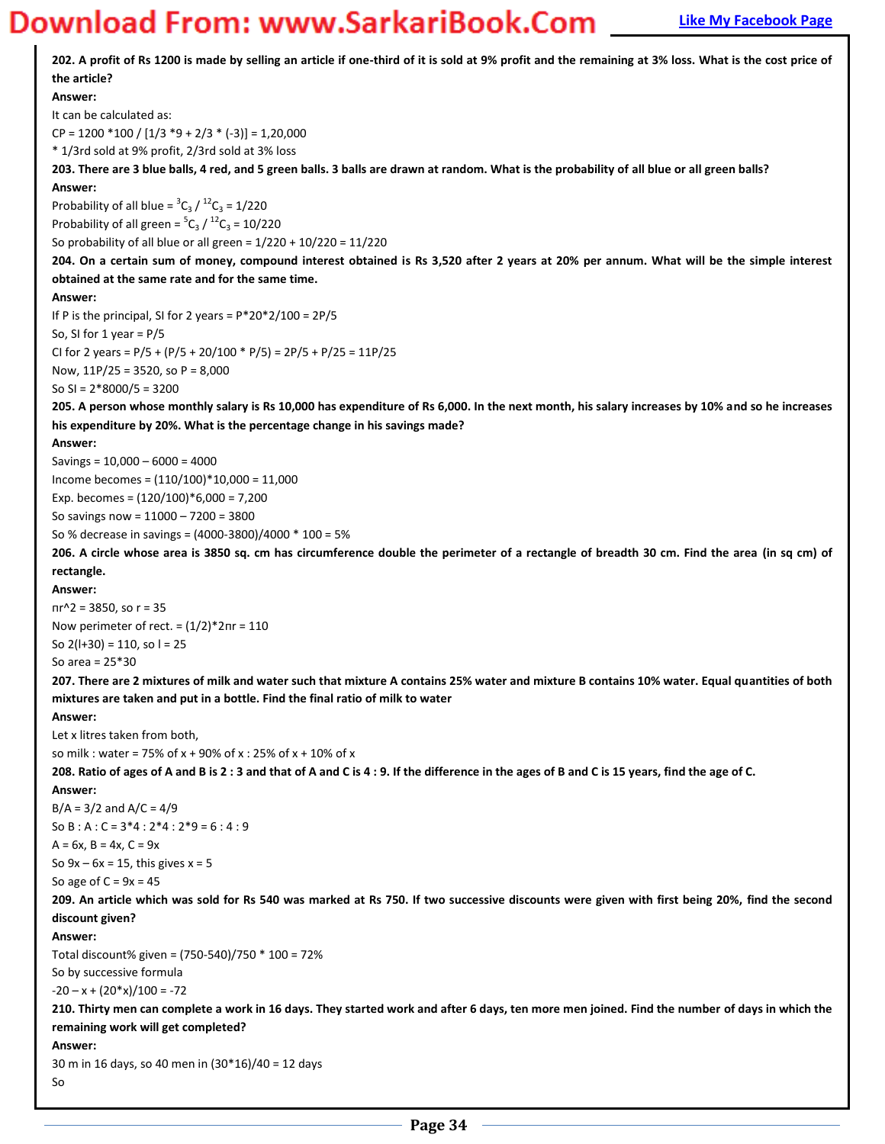# **Magnum Bank Bank Example 20 Works Apple 2011 Magnum 2013 Tagger Apple 2013 Tagger Apple 2013 Tagger Apple 2013 Tagger Apple 2013 Tagger Apple 2013 Tagger Apple 2014 Tagger Apple 2013 Tagger Apple 2013 Tagger Apple 2013 Ta**

| 202. A profit of Rs 1200 is made by selling an article if one-third of it is sold at 9% profit and the remaining at 3% loss. What is the cost price of |
|--------------------------------------------------------------------------------------------------------------------------------------------------------|
| the article?                                                                                                                                           |
| Answer:                                                                                                                                                |
| It can be calculated as:                                                                                                                               |
| $CP = 1200 * 100 / [1/3 * 9 + 2/3 * (-3)] = 1,20,000$                                                                                                  |
| * 1/3rd sold at 9% profit, 2/3rd sold at 3% loss                                                                                                       |
| 203. There are 3 blue balls, 4 red, and 5 green balls. 3 balls are drawn at random. What is the probability of all blue or all green balls?            |
| Answer:                                                                                                                                                |
| Probability of all blue = ${}^{3}C_{3}$ / ${}^{12}C_{3}$ = 1/220                                                                                       |
| Probability of all green = ${}^5C_3 / {}^{12}C_3 = 10/220$                                                                                             |
| So probability of all blue or all green = $1/220 + 10/220 = 11/220$                                                                                    |
| 204. On a certain sum of money, compound interest obtained is Rs 3,520 after 2 years at 20% per annum. What will be the simple interest                |
| obtained at the same rate and for the same time.                                                                                                       |
| Answer:                                                                                                                                                |
| If P is the principal, SI for 2 years = $P*20*2/100 = 2P/5$                                                                                            |
| So, SI for 1 year = $P/5$                                                                                                                              |
| CI for 2 years = $P/5$ + $(P/5 + 20/100 * P/5)$ = $2P/5$ + $P/25$ = $11P/25$                                                                           |
| Now, 11P/25 = 3520, so P = 8,000                                                                                                                       |
| So SI = $2*8000/5 = 3200$                                                                                                                              |
| 205. A person whose monthly salary is Rs 10,000 has expenditure of Rs 6,000. In the next month, his salary increases by 10% and so he increases        |
| his expenditure by 20%. What is the percentage change in his savings made?                                                                             |
| Answer:                                                                                                                                                |
| Savings = $10,000 - 6000 = 4000$                                                                                                                       |
| Income becomes = $(110/100)*10,000 = 11,000$                                                                                                           |
| Exp. becomes = $(120/100)*6,000 = 7,200$                                                                                                               |
| So savings now = $11000 - 7200 = 3800$                                                                                                                 |
| So % decrease in savings = (4000-3800)/4000 * 100 = 5%                                                                                                 |
| 206. A circle whose area is 3850 sq. cm has circumference double the perimeter of a rectangle of breadth 30 cm. Find the area (in sq cm) of            |
| rectangle.                                                                                                                                             |
| Answer:                                                                                                                                                |
| $nr^2 = 3850$ , so r = 35                                                                                                                              |
| Now perimeter of rect. = $(1/2)^*2\pi r = 110$                                                                                                         |
| So $2(l+30) = 110$ , so $l = 25$                                                                                                                       |
| So area = $25*30$                                                                                                                                      |
| 207. There are 2 mixtures of milk and water such that mixture A contains 25% water and mixture B contains 10% water. Equal quantities of both          |
| mixtures are taken and put in a bottle. Find the final ratio of milk to water                                                                          |
| Answer:                                                                                                                                                |
| Let x litres taken from both,                                                                                                                          |
| so milk : water = 75% of x + 90% of x : 25% of x + 10% of x                                                                                            |
| 208. Ratio of ages of A and B is 2:3 and that of A and C is 4:9. If the difference in the ages of B and C is 15 years, find the age of C.              |
| Answer:                                                                                                                                                |
| $B/A = 3/2$ and $A/C = 4/9$                                                                                                                            |
| So B : A : C = $3*4$ : $2*4$ : $2*9 = 6$ : 4 : 9                                                                                                       |
| $A = 6x$ , $B = 4x$ , $C = 9x$                                                                                                                         |
| So $9x - 6x = 15$ , this gives $x = 5$                                                                                                                 |
| So age of $C = 9x = 45$                                                                                                                                |
| 209. An article which was sold for Rs 540 was marked at Rs 750. If two successive discounts were given with first being 20%, find the second           |
| discount given?                                                                                                                                        |
| Answer:                                                                                                                                                |
| Total discount% given = (750-540)/750 * 100 = 72%                                                                                                      |
| So by successive formula                                                                                                                               |
| $-20 - x + (20*x)/100 = -72$                                                                                                                           |
| 210. Thirty men can complete a work in 16 days. They started work and after 6 days, ten more men joined. Find the number of days in which the          |
| remaining work will get completed?                                                                                                                     |
| Answer:                                                                                                                                                |
| 30 m in 16 days, so 40 men in (30*16)/40 = 12 days                                                                                                     |
| So                                                                                                                                                     |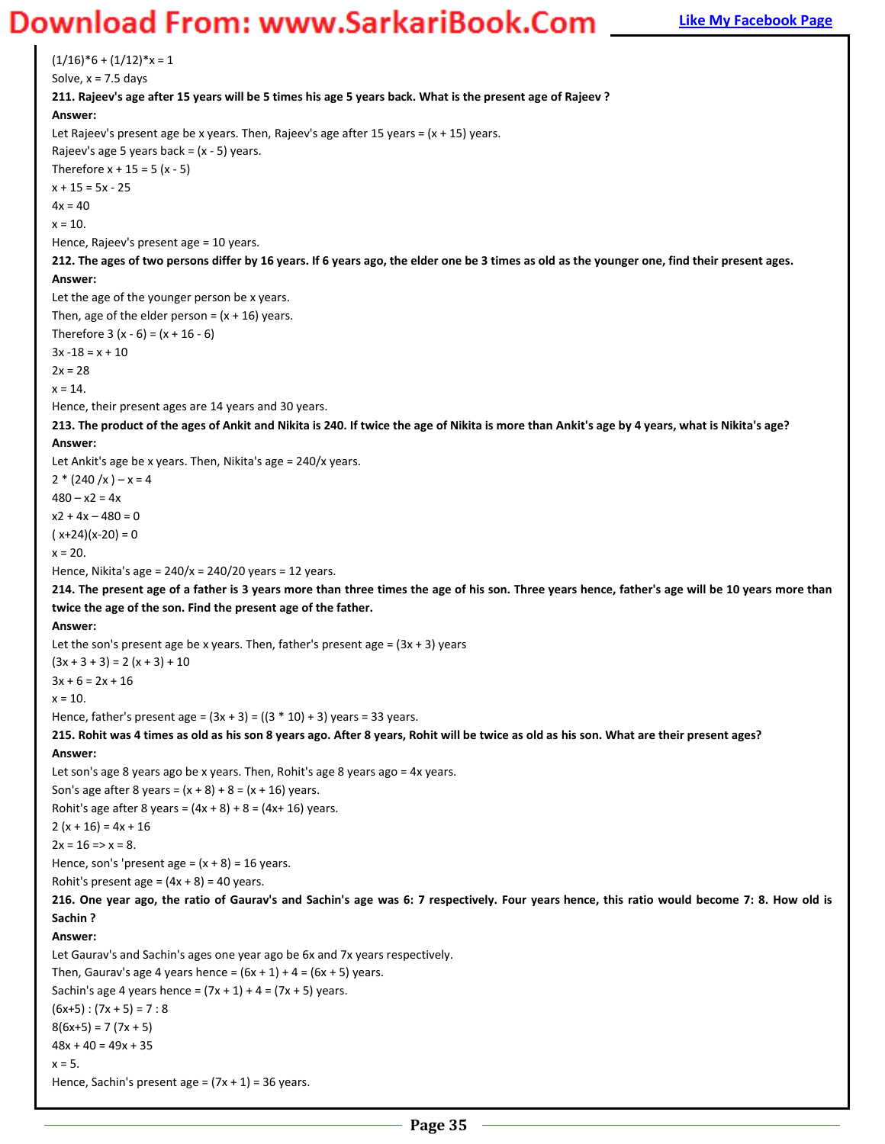### **Magnus Bank Example 20 You Bank Example 20 You Download From: WWW.SarkariBook.Com False Apple Page**

 $(1/16)*6 + (1/12)*x = 1$ Solve,  $x = 7.5$  days **211. Rajeev's age after 15 years will be 5 times his age 5 years back. What is the present age of Rajeev ? Answer:**  Let Rajeev's present age be x years. Then, Rajeev's age after 15 years =  $(x + 15)$  years. Rajeev's age 5 years back =  $(x - 5)$  years. Therefore  $x + 15 = 5 (x - 5)$  $x + 15 = 5x - 25$  $4x = 40$  $x = 10$ . Hence, Rajeev's present age = 10 years. **212. The ages of two persons differ by 16 years. If 6 years ago, the elder one be 3 times as old as the younger one, find their present ages. Answer:**  Let the age of the younger person be x years. Then, age of the elder person =  $(x + 16)$  years. Therefore 3 (x - 6) = (x + 16 - 6)  $3x - 18 = x + 10$  $2x = 28$  $x = 14$ . Hence, their present ages are 14 years and 30 years. **213. The product of the ages of Ankit and Nikita is 240. If twice the age of Nikita is more than Ankit's age by 4 years, what is Nikita's age? Answer:**  Let Ankit's age be x years. Then, Nikita's age = 240/x years.  $2 * (240 / x) - x = 4$  $480 - x2 = 4x$  $x2 + 4x - 480 = 0$  $(x+24)(x-20) = 0$  $x = 20$ . Hence, Nikita's age =  $240/x = 240/20$  years = 12 years. **214. The present age of a father is 3 years more than three times the age of his son. Three years hence, father's age will be 10 years more than twice the age of the son. Find the present age of the father. Answer:**  Let the son's present age be x years. Then, father's present age =  $(3x + 3)$  years  $(3x + 3 + 3) = 2(x + 3) + 10$  $3x + 6 = 2x + 16$  $x = 10$ . Hence, father's present age =  $(3x + 3) = ((3 * 10) + 3)$  years = 33 years. **215. Rohit was 4 times as old as his son 8 years ago. After 8 years, Rohit will be twice as old as his son. What are their present ages? Answer:**  Let son's age 8 years ago be x years. Then, Rohit's age 8 years ago = 4x years. Son's age after 8 years =  $(x + 8) + 8 = (x + 16)$  years. Rohit's age after 8 years =  $(4x + 8) + 8 = (4x + 16)$  years.  $2(x + 16) = 4x + 16$  $2x = 16 \Rightarrow x = 8.$ Hence, son's 'present age =  $(x + 8) = 16$  years. Rohit's present age =  $(4x + 8)$  = 40 years. **216. One year ago, the ratio of Gaurav's and Sachin's age was 6: 7 respectively. Four years hence, this ratio would become 7: 8. How old is Sachin ? Answer:**  Let Gaurav's and Sachin's ages one year ago be 6x and 7x years respectively. Then, Gaurav's age 4 years hence =  $(6x + 1) + 4 = (6x + 5)$  years. Sachin's age 4 years hence =  $(7x + 1) + 4 = (7x + 5)$  years.  $(6x+5):(7x+5)=7:8$  $8(6x+5) = 7(7x + 5)$  $48x + 40 = 49x + 35$  $x = 5$ . Hence, Sachin's present age =  $(7x + 1) = 36$  years.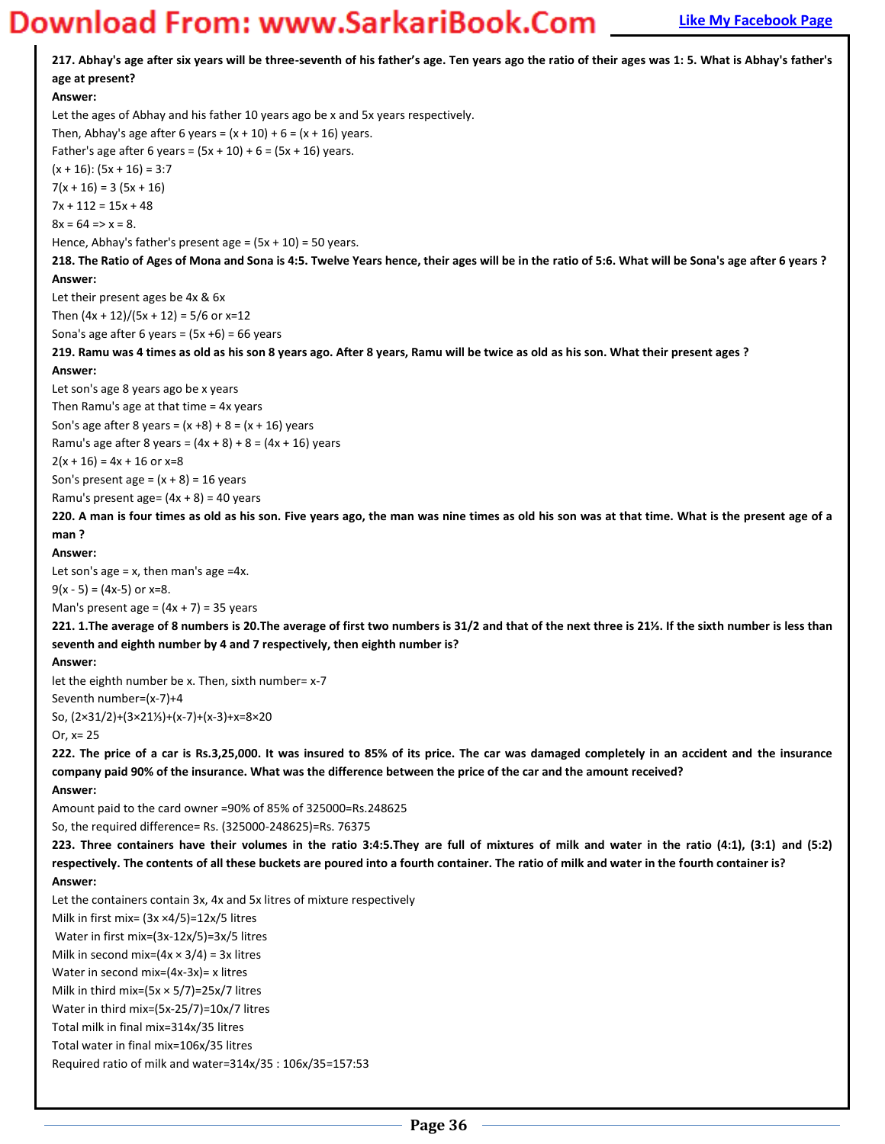217. Abhay's age after six years will be three-seventh of his father's age. Ten years ago the ratio of their ages was 1: 5. What is Abhay's father's **age at present? Answer:**  Let the ages of Abhay and his father 10 years ago be x and 5x years respectively. Then, Abhay's age after 6 years =  $(x + 10) + 6 = (x + 16)$  years. Father's age after 6 years =  $(5x + 10) + 6 = (5x + 16)$  years.  $(x + 16)$ :  $(5x + 16) = 3:7$  $7(x + 16) = 3(5x + 16)$  $7x + 112 = 15x + 48$  $8x = 64 \Rightarrow x = 8.$ Hence, Abhay's father's present age =  $(5x + 10) = 50$  years. **218. The Ratio of Ages of Mona and Sona is 4:5. Twelve Years hence, their ages will be in the ratio of 5:6. What will be Sona's age after 6 years ? Answer:**  Let their present ages be 4x & 6x Then  $(4x + 12)/(5x + 12) = 5/6$  or  $x=12$ Sona's age after 6 years =  $(5x +6)$  = 66 years **219. Ramu was 4 times as old as his son 8 years ago. After 8 years, Ramu will be twice as old as his son. What their present ages ? Answer:**  Let son's age 8 years ago be x years Then Ramu's age at that time = 4x years Son's age after 8 years =  $(x + 8) + 8 = (x + 16)$  years Ramu's age after 8 years =  $(4x + 8) + 8 = (4x + 16)$  years  $2(x + 16) = 4x + 16$  or  $x=8$ Son's present age =  $(x + 8) = 16$  years Ramu's present age=  $(4x + 8) = 40$  years **220. A man is four times as old as his son. Five years ago, the man was nine times as old his son was at that time. What is the present age of a man ? Answer:**  Let son's age  $= x$ , then man's age  $=4x$ .  $9(x - 5) = (4x-5)$  or x=8. Man's present age =  $(4x + 7) = 35$  years 221. 1.The average of 8 numbers is 20.The average of first two numbers is 31/2 and that of the next three is 21%. If the sixth number is less than **seventh and eighth number by 4 and 7 respectively, then eighth number is? Answer:**  let the eighth number be x. Then, sixth number= x-7 Seventh number=(x-7)+4 So,  $(2 \times 31/2) + (3 \times 21\frac{1}{3}) + (x-7) + (x-3) + x = 8 \times 20$ Or, x= 25 **222. The price of a car is Rs.3,25,000. It was insured to 85% of its price. The car was damaged completely in an accident and the insurance company paid 90% of the insurance. What was the difference between the price of the car and the amount received? Answer:**  Amount paid to the card owner =90% of 85% of 325000=Rs.248625 So, the required difference= Rs. (325000-248625)=Rs. 76375 **223. Three containers have their volumes in the ratio 3:4:5.They are full of mixtures of milk and water in the ratio (4:1), (3:1) and (5:2) respectively. The contents of all these buckets are poured into a fourth container. The ratio of milk and water in the fourth container is? Answer:**  Let the containers contain 3x, 4x and 5x litres of mixture respectively Milk in first mix= (3x ×4/5)=12x/5 litres Water in first mix=(3x-12x/5)=3x/5 litres Milk in second mix= $(4x \times 3/4) = 3x$  litres Water in second mix=(4x-3x)= x litres Milk in third mix= $(5x \times 5/7)$ =25x/7 litres Water in third mix=(5x-25/7)=10x/7 litres Total milk in final mix=314x/35 litres Total water in final mix=106x/35 litres Required ratio of milk and water=314x/35 : 106x/35=157:53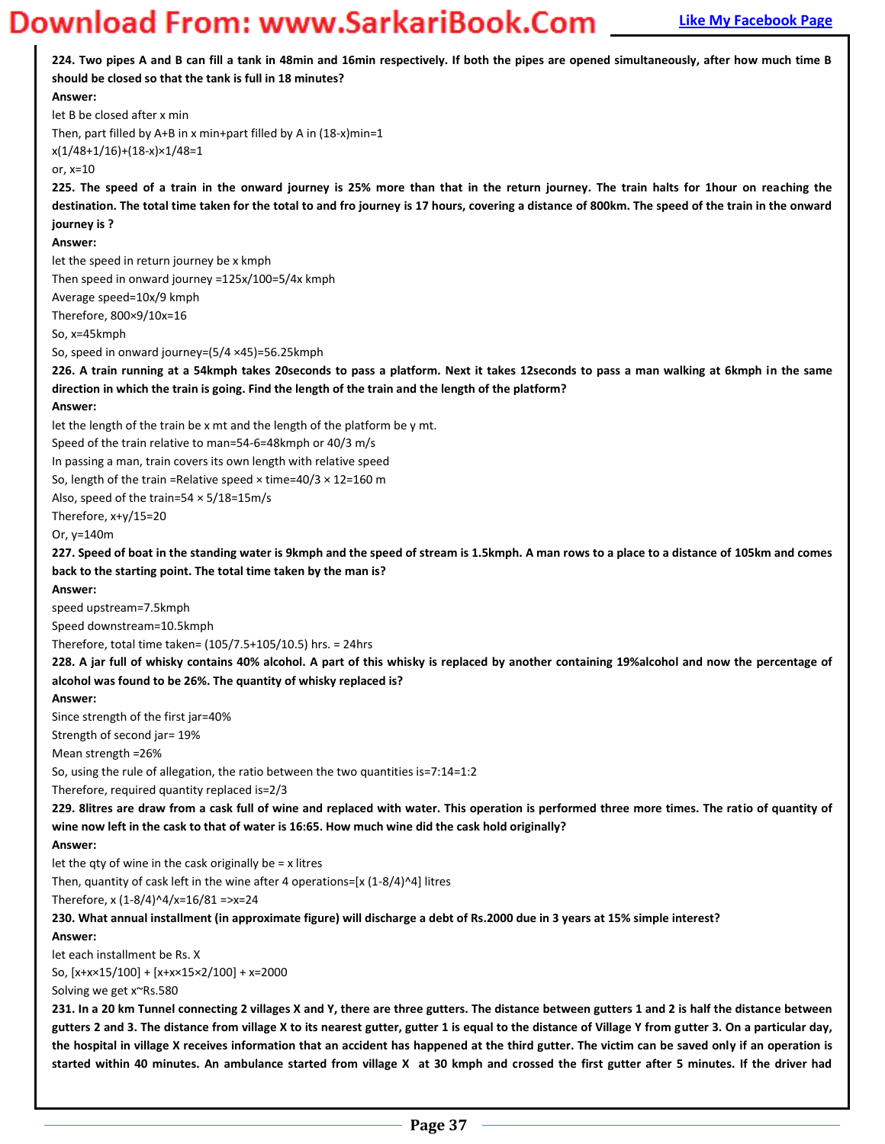| should be closed so that the tank is full in 18 minutes?<br>Answer:<br>let B be closed after x min<br>Then, part filled by A+B in x min+part filled by A in $(18-x)$ min=1<br>$x(1/48+1/16)+(18-x)x1/48=1$<br>or, $x=10$<br>225. The speed of a train in the onward journey is 25% more than that in the return journey. The train halts for 1hour on reaching the<br>destination. The total time taken for the total to and fro journey is 17 hours, covering a distance of 800km. The speed of the train in the onward<br>journey is ?<br>Answer:<br>let the speed in return journey be x kmph<br>Then speed in onward journey =125x/100=5/4x kmph<br>Average speed=10x/9 kmph |
|----------------------------------------------------------------------------------------------------------------------------------------------------------------------------------------------------------------------------------------------------------------------------------------------------------------------------------------------------------------------------------------------------------------------------------------------------------------------------------------------------------------------------------------------------------------------------------------------------------------------------------------------------------------------------------|
|                                                                                                                                                                                                                                                                                                                                                                                                                                                                                                                                                                                                                                                                                  |
|                                                                                                                                                                                                                                                                                                                                                                                                                                                                                                                                                                                                                                                                                  |
|                                                                                                                                                                                                                                                                                                                                                                                                                                                                                                                                                                                                                                                                                  |
|                                                                                                                                                                                                                                                                                                                                                                                                                                                                                                                                                                                                                                                                                  |
|                                                                                                                                                                                                                                                                                                                                                                                                                                                                                                                                                                                                                                                                                  |
|                                                                                                                                                                                                                                                                                                                                                                                                                                                                                                                                                                                                                                                                                  |
|                                                                                                                                                                                                                                                                                                                                                                                                                                                                                                                                                                                                                                                                                  |
|                                                                                                                                                                                                                                                                                                                                                                                                                                                                                                                                                                                                                                                                                  |
|                                                                                                                                                                                                                                                                                                                                                                                                                                                                                                                                                                                                                                                                                  |
|                                                                                                                                                                                                                                                                                                                                                                                                                                                                                                                                                                                                                                                                                  |
|                                                                                                                                                                                                                                                                                                                                                                                                                                                                                                                                                                                                                                                                                  |
|                                                                                                                                                                                                                                                                                                                                                                                                                                                                                                                                                                                                                                                                                  |
| Therefore, 800×9/10x=16                                                                                                                                                                                                                                                                                                                                                                                                                                                                                                                                                                                                                                                          |
| So, x=45kmph                                                                                                                                                                                                                                                                                                                                                                                                                                                                                                                                                                                                                                                                     |
| So, speed in onward journey=(5/4 ×45)=56.25kmph                                                                                                                                                                                                                                                                                                                                                                                                                                                                                                                                                                                                                                  |
| 226. A train running at a 54kmph takes 20seconds to pass a platform. Next it takes 12seconds to pass a man walking at 6kmph in the same<br>direction in which the train is going. Find the length of the train and the length of the platform?                                                                                                                                                                                                                                                                                                                                                                                                                                   |
| Answer:                                                                                                                                                                                                                                                                                                                                                                                                                                                                                                                                                                                                                                                                          |
| let the length of the train be x mt and the length of the platform be y mt.                                                                                                                                                                                                                                                                                                                                                                                                                                                                                                                                                                                                      |
| Speed of the train relative to man=54-6=48kmph or 40/3 m/s                                                                                                                                                                                                                                                                                                                                                                                                                                                                                                                                                                                                                       |
| In passing a man, train covers its own length with relative speed                                                                                                                                                                                                                                                                                                                                                                                                                                                                                                                                                                                                                |
| So, length of the train = Relative speed $\times$ time=40/3 $\times$ 12=160 m                                                                                                                                                                                                                                                                                                                                                                                                                                                                                                                                                                                                    |
| Also, speed of the train=54 $\times$ 5/18=15m/s<br>Therefore, x+y/15=20                                                                                                                                                                                                                                                                                                                                                                                                                                                                                                                                                                                                          |
| Or, $y=140m$                                                                                                                                                                                                                                                                                                                                                                                                                                                                                                                                                                                                                                                                     |
| 227. Speed of boat in the standing water is 9kmph and the speed of stream is 1.5kmph. A man rows to a place to a distance of 105km and comes                                                                                                                                                                                                                                                                                                                                                                                                                                                                                                                                     |
| back to the starting point. The total time taken by the man is?                                                                                                                                                                                                                                                                                                                                                                                                                                                                                                                                                                                                                  |
| Answer:                                                                                                                                                                                                                                                                                                                                                                                                                                                                                                                                                                                                                                                                          |
| speed upstream=7.5kmph                                                                                                                                                                                                                                                                                                                                                                                                                                                                                                                                                                                                                                                           |
| Speed downstream=10.5kmph                                                                                                                                                                                                                                                                                                                                                                                                                                                                                                                                                                                                                                                        |
| Therefore, total time taken= (105/7.5+105/10.5) hrs. = 24hrs                                                                                                                                                                                                                                                                                                                                                                                                                                                                                                                                                                                                                     |
| 228. A jar full of whisky contains 40% alcohol. A part of this whisky is replaced by another containing 19%alcohol and now the percentage of                                                                                                                                                                                                                                                                                                                                                                                                                                                                                                                                     |
| alcohol was found to be 26%. The quantity of whisky replaced is?                                                                                                                                                                                                                                                                                                                                                                                                                                                                                                                                                                                                                 |
| Answer:                                                                                                                                                                                                                                                                                                                                                                                                                                                                                                                                                                                                                                                                          |
| Since strength of the first jar=40%                                                                                                                                                                                                                                                                                                                                                                                                                                                                                                                                                                                                                                              |
| Strength of second jar= 19%                                                                                                                                                                                                                                                                                                                                                                                                                                                                                                                                                                                                                                                      |
| Mean strength = 26%                                                                                                                                                                                                                                                                                                                                                                                                                                                                                                                                                                                                                                                              |
| So, using the rule of allegation, the ratio between the two quantities is=7:14=1:2                                                                                                                                                                                                                                                                                                                                                                                                                                                                                                                                                                                               |
| Therefore, required quantity replaced is=2/3<br>229. 8litres are draw from a cask full of wine and replaced with water. This operation is performed three more times. The ratio of quantity of                                                                                                                                                                                                                                                                                                                                                                                                                                                                                   |
| wine now left in the cask to that of water is 16:65. How much wine did the cask hold originally?                                                                                                                                                                                                                                                                                                                                                                                                                                                                                                                                                                                 |
| Answer:                                                                                                                                                                                                                                                                                                                                                                                                                                                                                                                                                                                                                                                                          |
| let the qty of wine in the cask originally be $= x$ litres                                                                                                                                                                                                                                                                                                                                                                                                                                                                                                                                                                                                                       |
| Then, quantity of cask left in the wine after 4 operations= $[x (1-8/4)^{4}]$ litres                                                                                                                                                                                                                                                                                                                                                                                                                                                                                                                                                                                             |
| Therefore, x $(1-8/4)^{4}/x=16/81$ =>x=24                                                                                                                                                                                                                                                                                                                                                                                                                                                                                                                                                                                                                                        |
| 230. What annual installment (in approximate figure) will discharge a debt of Rs.2000 due in 3 years at 15% simple interest?                                                                                                                                                                                                                                                                                                                                                                                                                                                                                                                                                     |
| Answer:                                                                                                                                                                                                                                                                                                                                                                                                                                                                                                                                                                                                                                                                          |
| let each installment be Rs. X                                                                                                                                                                                                                                                                                                                                                                                                                                                                                                                                                                                                                                                    |
| So, $[x+x×15/100] + [x+x×15×2/100] + x=2000$                                                                                                                                                                                                                                                                                                                                                                                                                                                                                                                                                                                                                                     |
| Solving we get x~Rs.580                                                                                                                                                                                                                                                                                                                                                                                                                                                                                                                                                                                                                                                          |
| 231. In a 20 km Tunnel connecting 2 villages X and Y, there are three gutters. The distance between gutters 1 and 2 is half the distance between                                                                                                                                                                                                                                                                                                                                                                                                                                                                                                                                 |
| gutters 2 and 3. The distance from village X to its nearest gutter, gutter 1 is equal to the distance of Village Y from gutter 3. On a particular day,                                                                                                                                                                                                                                                                                                                                                                                                                                                                                                                           |
| the hospital in village X receives information that an accident has happened at the third gutter. The victim can be saved only if an operation is<br>started within 40 minutes. An ambulance started from village X at 30 kmph and crossed the first gutter after 5 minutes. If the driver had                                                                                                                                                                                                                                                                                                                                                                                   |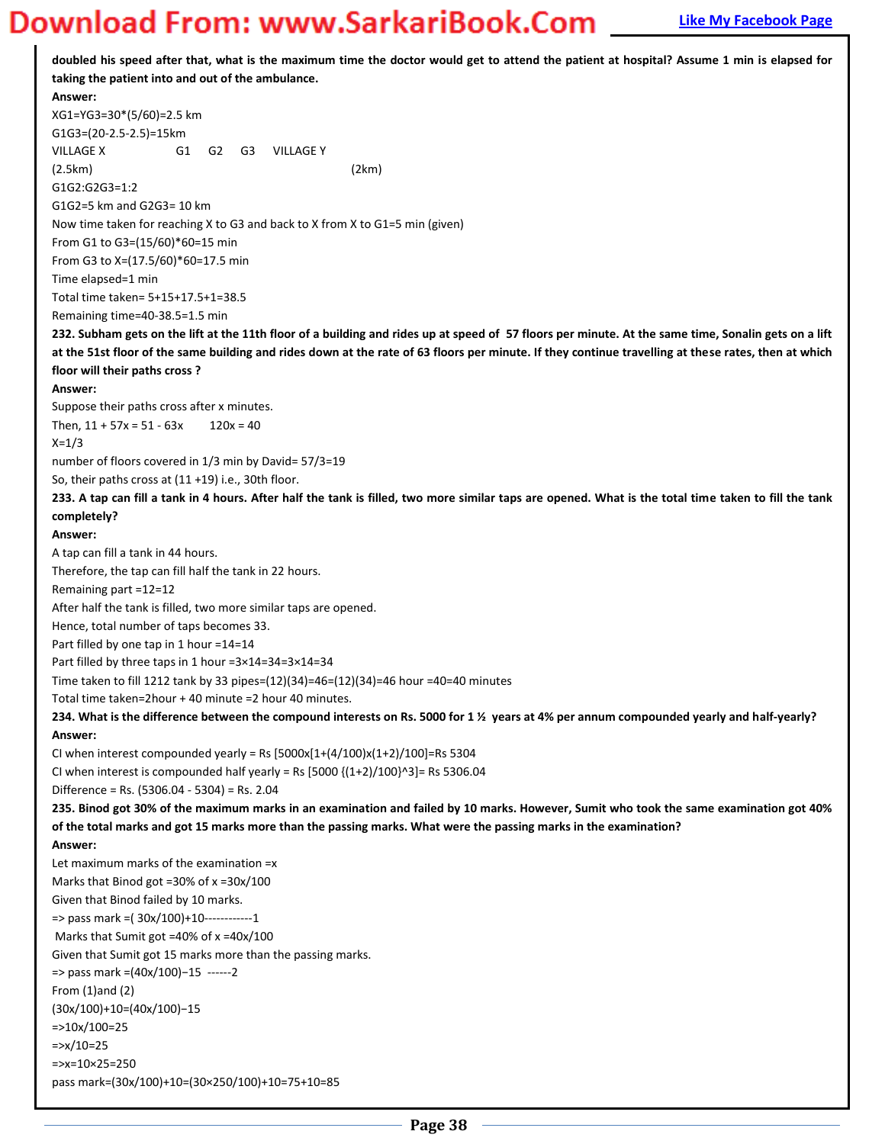**doubled his speed after that, what is the maximum time the doctor would get to attend the patient at hospital? Assume 1 min is elapsed for taking the patient into and out of the ambulance. Answer:**  XG1=YG3=30\*(5/60)=2.5 km G1G3=(20-2.5-2.5)=15km VILLAGE X G1 G2 G3 VILLAGE Y (2.5km) (2km) G1G2:G2G3=1:2 G1G2=5 km and G2G3= 10 km Now time taken for reaching X to G3 and back to X from X to G1=5 min (given) From G1 to G3=(15/60)\*60=15 min From G3 to X=(17.5/60)\*60=17.5 min Time elapsed=1 min Total time taken= 5+15+17.5+1=38.5 Remaining time=40-38.5=1.5 min **232. Subham gets on the lift at the 11th floor of a building and rides up at speed of 57 floors per minute. At the same time, Sonalin gets on a lift at the 51st floor of the same building and rides down at the rate of 63 floors per minute. If they continue travelling at these rates, then at which floor will their paths cross ? Answer:**  Suppose their paths cross after x minutes. Then,  $11 + 57x = 51 - 63x$  120x = 40  $X=1/3$ number of floors covered in 1/3 min by David= 57/3=19 So, their paths cross at (11 +19) i.e., 30th floor. **233. A tap can fill a tank in 4 hours. After half the tank is filled, two more similar taps are opened. What is the total time taken to fill the tank completely? Answer:**  A tap can fill a tank in 44 hours. Therefore, the tap can fill half the tank in 22 hours. Remaining part =12=12 After half the tank is filled, two more similar taps are opened. Hence, total number of taps becomes 33. Part filled by one tap in 1 hour =14=14 Part filled by three taps in 1 hour =3×14=34=3×14=34 Time taken to fill 1212 tank by 33 pipes=(12)(34)=46=(12)(34)=46 hour =40=40 minutes Total time taken=2hour + 40 minute =2 hour 40 minutes. **234. What is the difference between the compound interests on Rs. 5000 for 1 ½ years at 4% per annum compounded yearly and half-yearly? Answer:**  CI when interest compounded yearly = Rs  $[5000x[1+(4/100)x(1+2)/100]$ =Rs 5304 CI when interest is compounded half yearly = Rs  $[5000 {(1+2)/100}^{\wedge}3]$  = Rs 5306.04 Difference = Rs. (5306.04 - 5304) = Rs. 2.04 **235. Binod got 30% of the maximum marks in an examination and failed by 10 marks. However, Sumit who took the same examination got 40% of the total marks and got 15 marks more than the passing marks. What were the passing marks in the examination? Answer:**  Let maximum marks of the examination =x Marks that Binod got =30% of x =30x/100 Given that Binod failed by 10 marks. => pass mark =( 30x/100)+10------------1 Marks that Sumit got =40% of x =40x/100 Given that Sumit got 15 marks more than the passing marks. => pass mark =(40x/100)-15 ------2 From (1)and (2)  $(30x/100)+10= (40x/100)-15$ =>10x/100=25  $=y/10=25$ =>x=10×25=250 pass mark=(30x/100)+10=(30×250/100)+10=75+10=85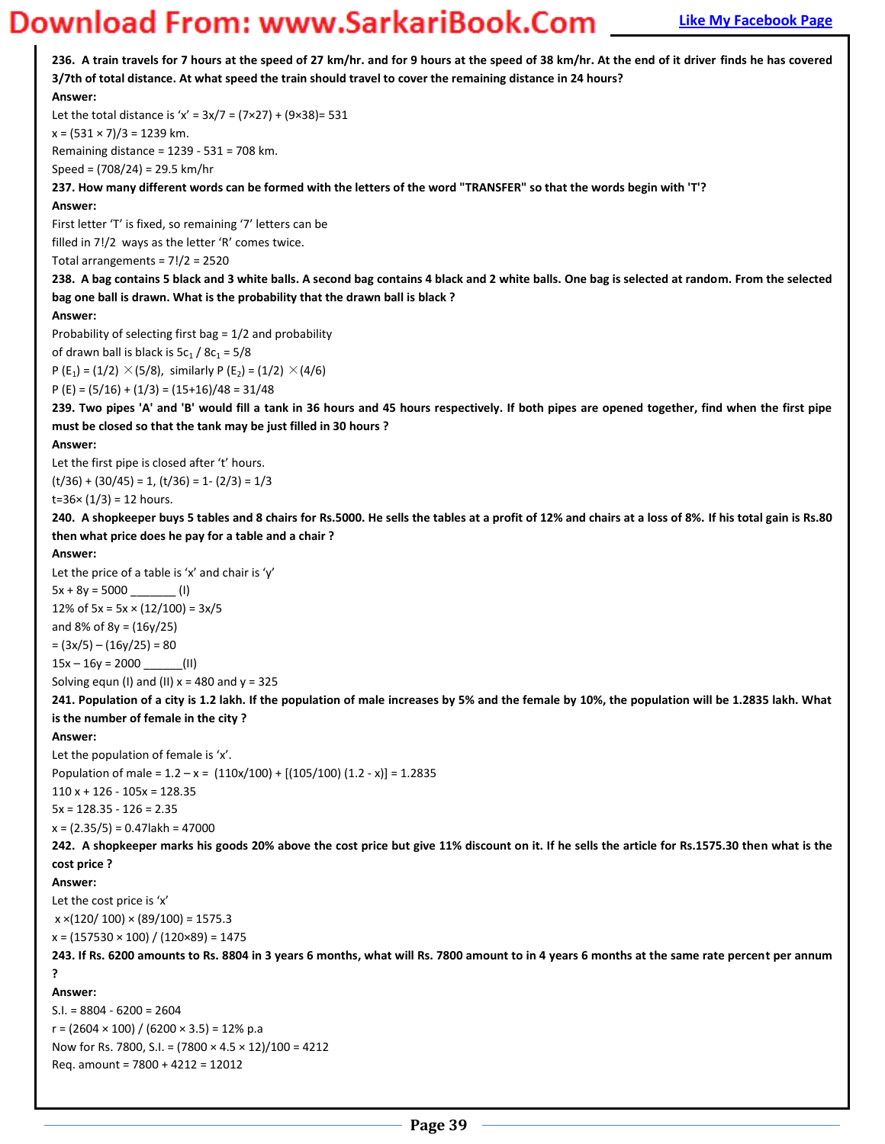**236. A train travels for 7 hours at the speed of 27 km/hr. and for 9 hours at the speed of 38 km/hr. At the end of it driver finds he has covered 3/7th of total distance. At what speed the train should travel to cover the remaining distance in 24 hours? Answer:**  Let the total distance is 'x' =  $3x/7 = (7 \times 27) + (9 \times 38) = 531$  $x = (531 \times 7)/3 = 1239$  km. Remaining distance = 1239 - 531 = 708 km. Speed = (708/24) = 29.5 km/hr **237. How many different words can be formed with the letters of the word "TRANSFER" so that the words begin with 'T'? Answer:**  First letter 'T' is fixed, so remaining '7' letters can be filled in 7!/2 ways as the letter 'R' comes twice. Total arrangements =  $7!/2 = 2520$ **238. A bag contains 5 black and 3 white balls. A second bag contains 4 black and 2 white balls. One bag is selected at random. From the selected bag one ball is drawn. What is the probability that the drawn ball is black ? Answer:**  Probability of selecting first bag = 1/2 and probability of drawn ball is black is  $5c_1 / 8c_1 = 5/8$ P (E<sub>1</sub>) = (1/2)  $\times$  (5/8), similarly P (E<sub>2</sub>) = (1/2)  $\times$  (4/6) P (E) =  $(5/16) + (1/3) = (15+16)/48 = 31/48$ **239. Two pipes 'A' and 'B' would fill a tank in 36 hours and 45 hours respectively. If both pipes are opened together, find when the first pipe must be closed so that the tank may be just filled in 30 hours ? Answer:**  Let the first pipe is closed after 't' hours.  $(t/36) + (30/45) = 1$ ,  $(t/36) = 1 - (2/3) = 1/3$  $t=36\times(1/3) = 12$  hours. **240. A shopkeeper buys 5 tables and 8 chairs for Rs.5000. He sells the tables at a profit of 12% and chairs at a loss of 8%. If his total gain is Rs.80 then what price does he pay for a table and a chair ? Answer:**  Let the price of a table is 'x' and chair is 'y'  $5x + 8y = 5000$  (I) 12% of  $5x = 5x \times (12/100) = 3x/5$ and 8% of 8y = (16y/25)  $= (3x/5) - (16y/25) = 80$  $15x - 16y = 2000$  \_\_\_\_\_\_(II) Solving equn (I) and (II)  $x = 480$  and  $y = 325$ **241. Population of a city is 1.2 lakh. If the population of male increases by 5% and the female by 10%, the population will be 1.2835 lakh. What is the number of female in the city ? Answer:**  Let the population of female is 'x'. Population of male =  $1.2 - x = (110x/100) + [(105/100) (1.2 - x)] = 1.2835$  $110 x + 126 - 105x = 128.35$  $5x = 128.35 - 126 = 2.35$  $x = (2.35/5) = 0.47$ lakh = 47000 **242. A shopkeeper marks his goods 20% above the cost price but give 11% discount on it. If he sells the article for Rs.1575.30 then what is the cost price ? Answer:**  Let the cost price is 'x'  $x \times (120/100) \times (89/100) = 1575.3$  $x = (157530 \times 100) / (120 \times 89) = 1475$ **243. If Rs. 6200 amounts to Rs. 8804 in 3 years 6 months, what will Rs. 7800 amount to in 4 years 6 months at the same rate percent per annum ? Answer:**   $S.I. = 8804 - 6200 = 2604$  $r = (2604 \times 100) / (6200 \times 3.5) = 12\% \text{ p.a}$ Now for Rs. 7800, S.I. = (7800 × 4.5 × 12)/100 = 4212 Req. amount = 7800 + 4212 = 12012